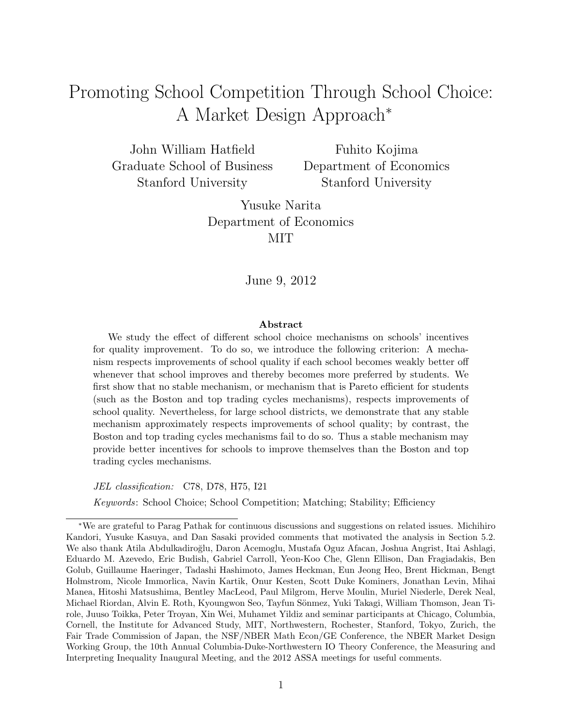# Promoting School Competition Through School Choice: A Market Design Approach<sup>∗</sup>

John William Hatfield Graduate School of Business Stanford University

Fuhito Kojima Department of Economics Stanford University

Yusuke Narita Department of Economics MIT

June 9, 2012

#### Abstract

We study the effect of different school choice mechanisms on schools' incentives for quality improvement. To do so, we introduce the following criterion: A mechanism respects improvements of school quality if each school becomes weakly better off whenever that school improves and thereby becomes more preferred by students. We first show that no stable mechanism, or mechanism that is Pareto efficient for students (such as the Boston and top trading cycles mechanisms), respects improvements of school quality. Nevertheless, for large school districts, we demonstrate that any stable mechanism approximately respects improvements of school quality; by contrast, the Boston and top trading cycles mechanisms fail to do so. Thus a stable mechanism may provide better incentives for schools to improve themselves than the Boston and top trading cycles mechanisms.

JEL classification: C78, D78, H75, I21

Keywords: School Choice; School Competition; Matching; Stability; Efficiency

<sup>∗</sup>We are grateful to Parag Pathak for continuous discussions and suggestions on related issues. Michihiro Kandori, Yusuke Kasuya, and Dan Sasaki provided comments that motivated the analysis in Section 5.2. We also thank Atila Abdulkadiro˘glu, Daron Acemoglu, Mustafa Oguz Afacan, Joshua Angrist, Itai Ashlagi, Eduardo M. Azevedo, Eric Budish, Gabriel Carroll, Yeon-Koo Che, Glenn Ellison, Dan Fragiadakis, Ben Golub, Guillaume Haeringer, Tadashi Hashimoto, James Heckman, Eun Jeong Heo, Brent Hickman, Bengt Holmstrom, Nicole Immorlica, Navin Kartik, Onur Kesten, Scott Duke Kominers, Jonathan Levin, Mihai Manea, Hitoshi Matsushima, Bentley MacLeod, Paul Milgrom, Herve Moulin, Muriel Niederle, Derek Neal, Michael Riordan, Alvin E. Roth, Kyoungwon Seo, Tayfun Sönmez, Yuki Takagi, William Thomson, Jean Tirole, Juuso Toikka, Peter Troyan, Xin Wei, Muhamet Yildiz and seminar participants at Chicago, Columbia, Cornell, the Institute for Advanced Study, MIT, Northwestern, Rochester, Stanford, Tokyo, Zurich, the Fair Trade Commission of Japan, the NSF/NBER Math Econ/GE Conference, the NBER Market Design Working Group, the 10th Annual Columbia-Duke-Northwestern IO Theory Conference, the Measuring and Interpreting Inequality Inaugural Meeting, and the 2012 ASSA meetings for useful comments.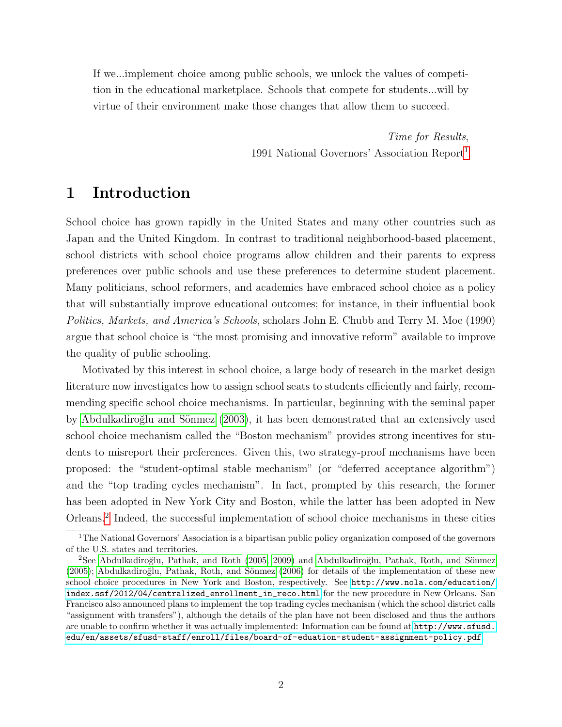If we...implement choice among public schools, we unlock the values of competition in the educational marketplace. Schools that compete for students...will by virtue of their environment make those changes that allow them to succeed.

> Time for Results, 1991 National Governors' Association Report[1](#page-1-0)

# 1 Introduction

School choice has grown rapidly in the United States and many other countries such as Japan and the United Kingdom. In contrast to traditional neighborhood-based placement, school districts with school choice programs allow children and their parents to express preferences over public schools and use these preferences to determine student placement. Many politicians, school reformers, and academics have embraced school choice as a policy that will substantially improve educational outcomes; for instance, in their influential book Politics, Markets, and America's Schools, scholars John E. Chubb and Terry M. Moe (1990) argue that school choice is "the most promising and innovative reform" available to improve the quality of public schooling.

Motivated by this interest in school choice, a large body of research in the market design literature now investigates how to assign school seats to students efficiently and fairly, recommending specific school choice mechanisms. In particular, beginning with the seminal paper by Abdulkadiroğlu and Sönmez (2003), it has been demonstrated that an extensively used school choice mechanism called the "Boston mechanism" provides strong incentives for students to misreport their preferences. Given this, two strategy-proof mechanisms have been proposed: the "student-optimal stable mechanism" (or "deferred acceptance algorithm") and the "top trading cycles mechanism". In fact, prompted by this research, the former has been adopted in New York City and Boston, while the latter has been adopted in New Orleans.[2](#page-1-1) Indeed, the successful implementation of school choice mechanisms in these cities

<span id="page-1-0"></span><sup>&</sup>lt;sup>1</sup>The National Governors' Association is a bipartisan public policy organization composed of the governors of the U.S. states and territories.

<span id="page-1-1"></span> $2$ See Abdulkadiroğlu, Pathak, and Roth [\(2005,](#page-35-1) [2009\)](#page-35-2) and Abdulkadiroğlu, Pathak, Roth, and Sönmez  $(2005)$ ; Abdulkadiroğlu, Pathak, Roth, and Sönmez  $(2006)$  for details of the implementation of these new school choice procedures in New York and Boston, respectively. See [http://www.nola.com/education/](http://www.nola.com/education/index.ssf/2012/04/centralized_enrollment_in_reco.html) [index.ssf/2012/04/centralized\\_enrollment\\_in\\_reco.html](http://www.nola.com/education/index.ssf/2012/04/centralized_enrollment_in_reco.html) for the new procedure in New Orleans. San Francisco also announced plans to implement the top trading cycles mechanism (which the school district calls "assignment with transfers"), although the details of the plan have not been disclosed and thus the authors are unable to confirm whether it was actually implemented: Information can be found at [http://www.sfusd.](http://www.sfusd.edu/en/assets/sfusd-staff/enroll/files/board-of-eduation-student-assignment-policy.pdf) [edu/en/assets/sfusd-staff/enroll/files/board-of-eduation-student-assignment-policy.pdf](http://www.sfusd.edu/en/assets/sfusd-staff/enroll/files/board-of-eduation-student-assignment-policy.pdf).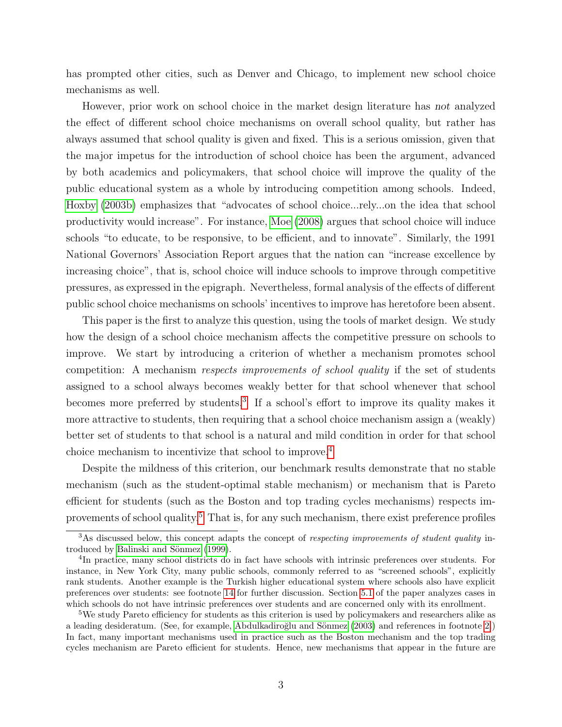has prompted other cities, such as Denver and Chicago, to implement new school choice mechanisms as well.

However, prior work on school choice in the market design literature has not analyzed the effect of different school choice mechanisms on overall school quality, but rather has always assumed that school quality is given and fixed. This is a serious omission, given that the major impetus for the introduction of school choice has been the argument, advanced by both academics and policymakers, that school choice will improve the quality of the public educational system as a whole by introducing competition among schools. Indeed, [Hoxby \(2003b\)](#page-37-0) emphasizes that "advocates of school choice...rely...on the idea that school productivity would increase". For instance, [Moe \(2008\)](#page-38-0) argues that school choice will induce schools "to educate, to be responsive, to be efficient, and to innovate". Similarly, the 1991 National Governors' Association Report argues that the nation can "increase excellence by increasing choice", that is, school choice will induce schools to improve through competitive pressures, as expressed in the epigraph. Nevertheless, formal analysis of the effects of different public school choice mechanisms on schools' incentives to improve has heretofore been absent.

This paper is the first to analyze this question, using the tools of market design. We study how the design of a school choice mechanism affects the competitive pressure on schools to improve. We start by introducing a criterion of whether a mechanism promotes school competition: A mechanism respects improvements of school quality if the set of students assigned to a school always becomes weakly better for that school whenever that school becomes more preferred by students.<sup>[3](#page-2-0)</sup> If a school's effort to improve its quality makes it more attractive to students, then requiring that a school choice mechanism assign a (weakly) better set of students to that school is a natural and mild condition in order for that school choice mechanism to incentivize that school to improve.[4](#page-2-1)

Despite the mildness of this criterion, our benchmark results demonstrate that no stable mechanism (such as the student-optimal stable mechanism) or mechanism that is Pareto efficient for students (such as the Boston and top trading cycles mechanisms) respects im-provements of school quality.<sup>[5](#page-2-2)</sup> That is, for any such mechanism, there exist preference profiles

<span id="page-2-0"></span> $3\text{As discussed below, this concept adapts the concept of *respecting improvements of student quality* in-$ troduced by Balinski and Sönmez [\(1999\)](#page-36-0).

<span id="page-2-1"></span><sup>&</sup>lt;sup>4</sup>In practice, many school districts do in fact have schools with intrinsic preferences over students. For instance, in New York City, many public schools, commonly referred to as "screened schools", explicitly rank students. Another example is the Turkish higher educational system where schools also have explicit preferences over students: see footnote [14](#page-7-0) for further discussion. Section [5.1](#page-24-0) of the paper analyzes cases in which schools do not have intrinsic preferences over students and are concerned only with its enrollment.

<span id="page-2-2"></span><sup>&</sup>lt;sup>5</sup>We study Pareto efficiency for students as this criterion is used by policymakers and researchers alike as a leading desideratum. (See, for example, Abdulkadiroğlu and Sönmez [\(2003\)](#page-35-0) and references in footnote [2.](#page-1-1)) In fact, many important mechanisms used in practice such as the Boston mechanism and the top trading cycles mechanism are Pareto efficient for students. Hence, new mechanisms that appear in the future are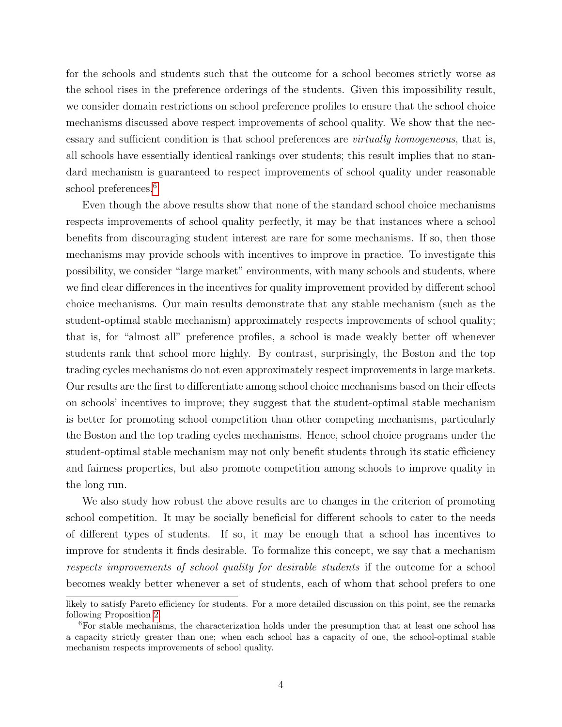for the schools and students such that the outcome for a school becomes strictly worse as the school rises in the preference orderings of the students. Given this impossibility result, we consider domain restrictions on school preference profiles to ensure that the school choice mechanisms discussed above respect improvements of school quality. We show that the necessary and sufficient condition is that school preferences are *virtually homogeneous*, that is, all schools have essentially identical rankings over students; this result implies that no standard mechanism is guaranteed to respect improvements of school quality under reasonable school preferences.<sup>[6](#page-3-0)</sup>

Even though the above results show that none of the standard school choice mechanisms respects improvements of school quality perfectly, it may be that instances where a school benefits from discouraging student interest are rare for some mechanisms. If so, then those mechanisms may provide schools with incentives to improve in practice. To investigate this possibility, we consider "large market" environments, with many schools and students, where we find clear differences in the incentives for quality improvement provided by different school choice mechanisms. Our main results demonstrate that any stable mechanism (such as the student-optimal stable mechanism) approximately respects improvements of school quality; that is, for "almost all" preference profiles, a school is made weakly better off whenever students rank that school more highly. By contrast, surprisingly, the Boston and the top trading cycles mechanisms do not even approximately respect improvements in large markets. Our results are the first to differentiate among school choice mechanisms based on their effects on schools' incentives to improve; they suggest that the student-optimal stable mechanism is better for promoting school competition than other competing mechanisms, particularly the Boston and the top trading cycles mechanisms. Hence, school choice programs under the student-optimal stable mechanism may not only benefit students through its static efficiency and fairness properties, but also promote competition among schools to improve quality in the long run.

We also study how robust the above results are to changes in the criterion of promoting school competition. It may be socially beneficial for different schools to cater to the needs of different types of students. If so, it may be enough that a school has incentives to improve for students it finds desirable. To formalize this concept, we say that a mechanism respects improvements of school quality for desirable students if the outcome for a school becomes weakly better whenever a set of students, each of whom that school prefers to one

likely to satisfy Pareto efficiency for students. For a more detailed discussion on this point, see the remarks following Proposition [2.](#page-15-0)

<span id="page-3-0"></span> ${}^{6}$ For stable mechanisms, the characterization holds under the presumption that at least one school has a capacity strictly greater than one; when each school has a capacity of one, the school-optimal stable mechanism respects improvements of school quality.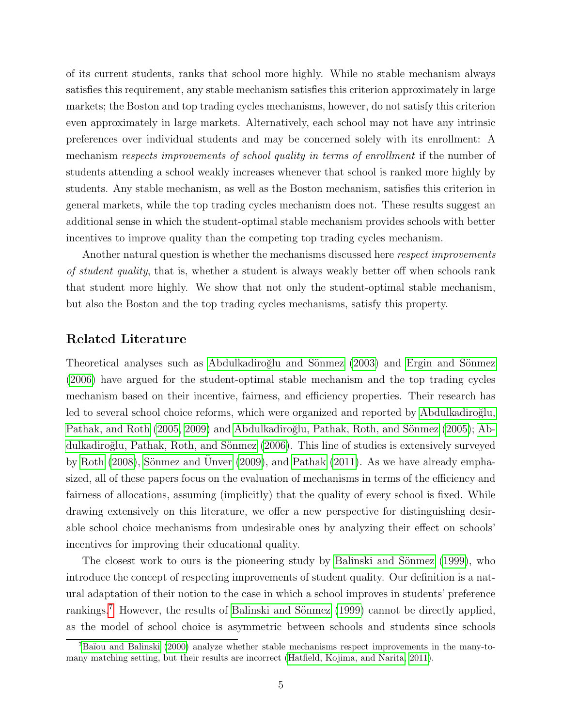of its current students, ranks that school more highly. While no stable mechanism always satisfies this requirement, any stable mechanism satisfies this criterion approximately in large markets; the Boston and top trading cycles mechanisms, however, do not satisfy this criterion even approximately in large markets. Alternatively, each school may not have any intrinsic preferences over individual students and may be concerned solely with its enrollment: A mechanism respects improvements of school quality in terms of enrollment if the number of students attending a school weakly increases whenever that school is ranked more highly by students. Any stable mechanism, as well as the Boston mechanism, satisfies this criterion in general markets, while the top trading cycles mechanism does not. These results suggest an additional sense in which the student-optimal stable mechanism provides schools with better incentives to improve quality than the competing top trading cycles mechanism.

Another natural question is whether the mechanisms discussed here *respect improvements* of student quality, that is, whether a student is always weakly better off when schools rank that student more highly. We show that not only the student-optimal stable mechanism, but also the Boston and the top trading cycles mechanisms, satisfy this property.

#### Related Literature

Theoretical analyses such as Abdulkadiroğlu and Sönmez (2003) and Ergin and Sönmez [\(2006\)](#page-37-1) have argued for the student-optimal stable mechanism and the top trading cycles mechanism based on their incentive, fairness, and efficiency properties. Their research has led to several school choice reforms, which were organized and reported by Abdulkadiroğlu, [Pathak, and Roth \(2005,](#page-35-1) [2009\)](#page-35-2) and Abdulkadiroğlu, Pathak, Roth, and Sönmez (2005); [Ab](#page-35-4)dulkadiroğlu, Pathak, Roth, and Sönmez (2006). This line of studies is extensively surveyed by Roth  $(2008)$ , Sönmez and Unver  $(2009)$ , and Pathak  $(2011)$ . As we have already emphasized, all of these papers focus on the evaluation of mechanisms in terms of the efficiency and fairness of allocations, assuming (implicitly) that the quality of every school is fixed. While drawing extensively on this literature, we offer a new perspective for distinguishing desirable school choice mechanisms from undesirable ones by analyzing their effect on schools' incentives for improving their educational quality.

The closest work to ours is the pioneering study by Balinski and Sönmez (1999), who introduce the concept of respecting improvements of student quality. Our definition is a natural adaptation of their notion to the case in which a school improves in students' preference rankings.<sup>[7](#page-4-0)</sup> However, the results of Balinski and Sönmez (1999) cannot be directly applied, as the model of school choice is asymmetric between schools and students since schools

<span id="page-4-0"></span> ${}^{7}$ Baïou and Balinski [\(2000\)](#page-36-1) analyze whether stable mechanisms respect improvements in the many-tomany matching setting, but their results are incorrect [\(Hatfield, Kojima, and Narita, 2011\)](#page-37-2).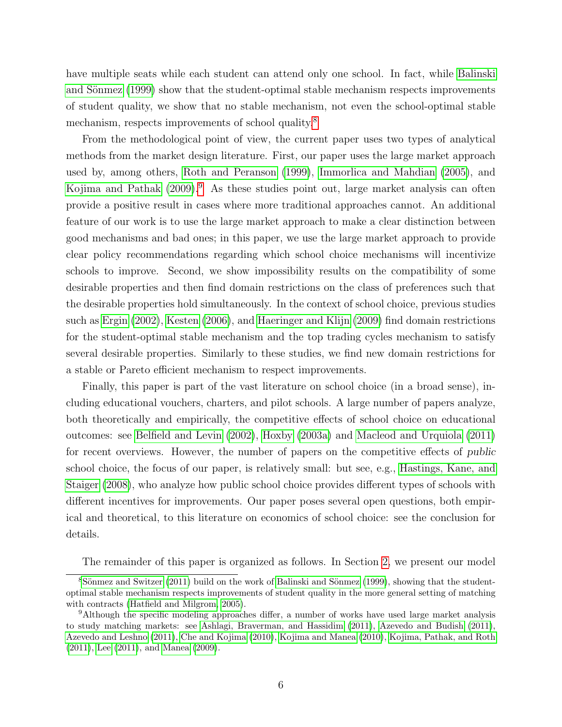have multiple seats while each student can attend only one school. In fact, while [Balinski](#page-36-0) and Sönmez (1999) show that the student-optimal stable mechanism respects improvements of student quality, we show that no stable mechanism, not even the school-optimal stable mechanism, respects improvements of school quality.<sup>[8](#page-5-0)</sup>

From the methodological point of view, the current paper uses two types of analytical methods from the market design literature. First, our paper uses the large market approach used by, among others, [Roth and Peranson \(1999\)](#page-39-2), [Immorlica and Mahdian \(2005\)](#page-37-3), and Kojima and Pathak  $(2009)$  $(2009)$  $(2009)$ <sup>9</sup>. As these studies point out, large market analysis can often provide a positive result in cases where more traditional approaches cannot. An additional feature of our work is to use the large market approach to make a clear distinction between good mechanisms and bad ones; in this paper, we use the large market approach to provide clear policy recommendations regarding which school choice mechanisms will incentivize schools to improve. Second, we show impossibility results on the compatibility of some desirable properties and then find domain restrictions on the class of preferences such that the desirable properties hold simultaneously. In the context of school choice, previous studies such as [Ergin \(2002\)](#page-37-4), [Kesten \(2006\)](#page-37-5), and [Haeringer and Klijn \(2009\)](#page-37-6) find domain restrictions for the student-optimal stable mechanism and the top trading cycles mechanism to satisfy several desirable properties. Similarly to these studies, we find new domain restrictions for a stable or Pareto efficient mechanism to respect improvements.

Finally, this paper is part of the vast literature on school choice (in a broad sense), including educational vouchers, charters, and pilot schools. A large number of papers analyze, both theoretically and empirically, the competitive effects of school choice on educational outcomes: see [Belfield and Levin \(2002\)](#page-36-2), [Hoxby \(2003a\)](#page-37-7) and [Macleod and Urquiola \(2011\)](#page-38-3) for recent overviews. However, the number of papers on the competitive effects of public school choice, the focus of our paper, is relatively small: but see, e.g., [Hastings, Kane, and](#page-37-8) [Staiger \(2008\)](#page-37-8), who analyze how public school choice provides different types of schools with different incentives for improvements. Our paper poses several open questions, both empirical and theoretical, to this literature on economics of school choice: see the conclusion for details.

<span id="page-5-0"></span>The remainder of this paper is organized as follows. In Section [2,](#page-6-0) we present our model

 $8$ Sönmez and Switzer [\(2011\)](#page-39-3) build on the work of Balinski and Sönmez [\(1999\)](#page-36-0), showing that the studentoptimal stable mechanism respects improvements of student quality in the more general setting of matching with contracts [\(Hatfield and Milgrom, 2005\)](#page-37-9).

<span id="page-5-1"></span><sup>9</sup>Although the specific modeling approaches differ, a number of works have used large market analysis to study matching markets: see [Ashlagi, Braverman, and Hassidim](#page-36-3) [\(2011\)](#page-36-3), [Azevedo and Budish](#page-36-4) [\(2011\)](#page-36-4), [Azevedo and Leshno](#page-36-5) [\(2011\)](#page-36-5), [Che and Kojima](#page-36-6) [\(2010\)](#page-36-6), [Kojima and Manea](#page-38-4) [\(2010\)](#page-38-4), [Kojima, Pathak, and Roth](#page-38-5) [\(2011\)](#page-38-5), [Lee](#page-38-6) [\(2011\)](#page-38-6), and [Manea](#page-38-7) [\(2009\)](#page-38-7).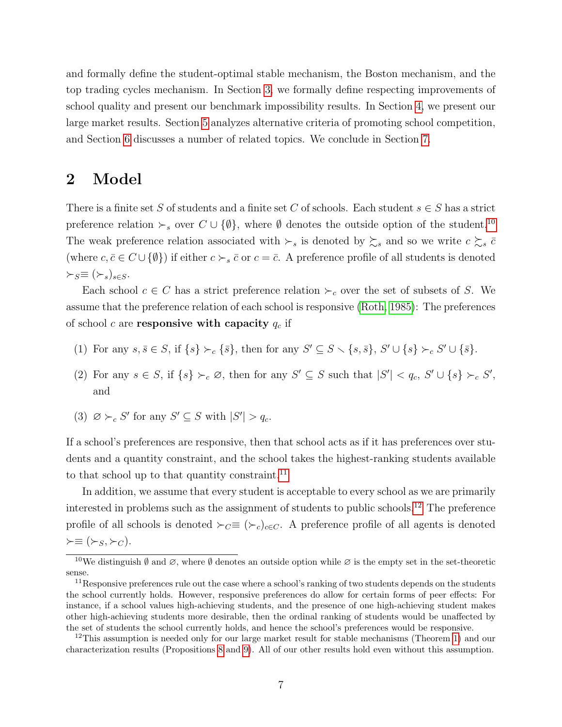and formally define the student-optimal stable mechanism, the Boston mechanism, and the top trading cycles mechanism. In Section [3,](#page-10-0) we formally define respecting improvements of school quality and present our benchmark impossibility results. In Section [4,](#page-17-0) we present our large market results. Section [5](#page-24-1) analyzes alternative criteria of promoting school competition, and Section [6](#page-29-0) discusses a number of related topics. We conclude in Section [7.](#page-33-0)

### <span id="page-6-0"></span>2 Model

There is a finite set S of students and a finite set C of schools. Each student  $s \in S$  has a strict preference relation  $\succ_s$  over  $C \cup \{\emptyset\}$ , where  $\emptyset$  denotes the outside option of the student.<sup>[10](#page-6-1)</sup> The weak preference relation associated with  $\succ_s$  is denoted by  $\succsim_s$  and so we write  $c \succsim_s \bar{c}$ (where  $c, \bar{c} \in C \cup \{\emptyset\}$ ) if either  $c \succ_s \bar{c}$  or  $c = \bar{c}$ . A preference profile of all students is denoted  $\succ_S \equiv (\succ_s)_{s \in S}.$ 

Each school  $c \in C$  has a strict preference relation  $\succ_c$  over the set of subsets of S. We assume that the preference relation of each school is responsive [\(Roth, 1985\)](#page-39-4): The preferences of school c are responsive with capacity  $q_c$  if

- (1) For any  $s, \overline{s} \in S$ , if  $\{s\} \succ_c {\{\overline{s}\}}$ , then for any  $S' \subseteq S \setminus {\{s, \overline{s}\}}$ ,  $S' \cup {\{s\}} \succ_c S' \cup {\{\overline{s}\}}$ .
- (2) For any  $s \in S$ , if  $\{s\} \succ_c \varnothing$ , then for any  $S' \subseteq S$  such that  $|S'| < q_c$ ,  $S' \cup \{s\} \succ_c S'$ , and
- (3)  $\varnothing \succ_c S'$  for any  $S' \subseteq S$  with  $|S'| > q_c$ .

If a school's preferences are responsive, then that school acts as if it has preferences over students and a quantity constraint, and the school takes the highest-ranking students available to that school up to that quantity constraint.<sup>[11](#page-6-2)</sup>

In addition, we assume that every student is acceptable to every school as we are primarily interested in problems such as the assignment of students to public schools.[12](#page-6-3) The preference profile of all schools is denoted  $\succ_C \equiv (\succ_c)_{c \in C}$ . A preference profile of all agents is denoted  $\succ \equiv (\succ_S, \succ_C).$ 

<span id="page-6-1"></span><sup>&</sup>lt;sup>10</sup>We distinguish  $\emptyset$  and  $\emptyset$ , where  $\emptyset$  denotes an outside option while  $\emptyset$  is the empty set in the set-theoretic sense.

<span id="page-6-2"></span> $11$ Responsive preferences rule out the case where a school's ranking of two students depends on the students the school currently holds. However, responsive preferences do allow for certain forms of peer effects: For instance, if a school values high-achieving students, and the presence of one high-achieving student makes other high-achieving students more desirable, then the ordinal ranking of students would be unaffected by the set of students the school currently holds, and hence the school's preferences would be responsive.

<span id="page-6-3"></span> $12$ This assumption is needed only for our large market result for stable mechanisms (Theorem [1\)](#page-20-0) and our characterization results (Propositions [8](#page-30-0) and [9\)](#page-31-0). All of our other results hold even without this assumption.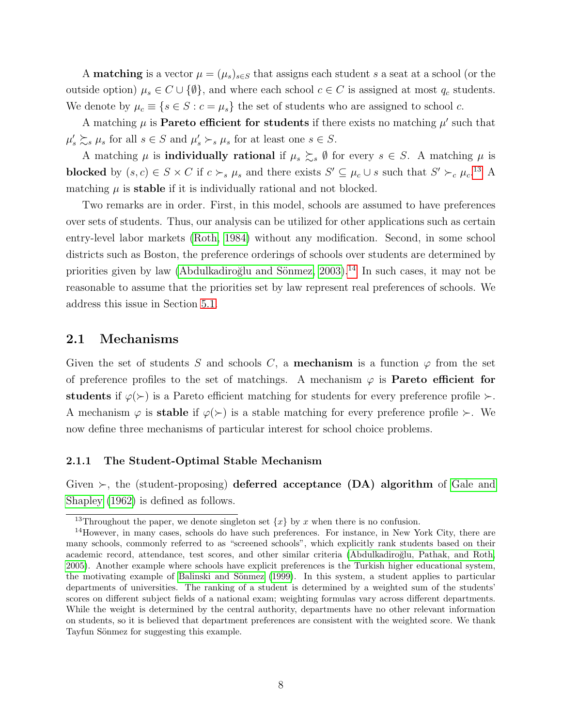A **matching** is a vector  $\mu = (\mu_s)_{s \in S}$  that assigns each student s a seat at a school (or the outside option)  $\mu_s \in C \cup \{\emptyset\}$ , and where each school  $c \in C$  is assigned at most  $q_c$  students. We denote by  $\mu_c \equiv \{s \in S : c = \mu_s\}$  the set of students who are assigned to school c.

A matching  $\mu$  is **Pareto efficient for students** if there exists no matching  $\mu'$  such that  $\mu_s' \succ s \mu_s$  for all  $s \in S$  and  $\mu_s' \succ_s \mu_s$  for at least one  $s \in S$ .

A matching  $\mu$  is **individually rational** if  $\mu_s \gtrsim_s \emptyset$  for every  $s \in S$ . A matching  $\mu$  is blocked by  $(s, c) \in S \times C$  if  $c \succ_s \mu_s$  and there exists  $S' \subseteq \mu_c \cup s$  such that  $S' \succ_c \mu_c$ <sup>[13](#page-7-1)</sup> A matching  $\mu$  is **stable** if it is individually rational and not blocked.

Two remarks are in order. First, in this model, schools are assumed to have preferences over sets of students. Thus, our analysis can be utilized for other applications such as certain entry-level labor markets [\(Roth, 1984\)](#page-38-8) without any modification. Second, in some school districts such as Boston, the preference orderings of schools over students are determined by priorities given by law (Abdulkadiroğlu and Sönmez,  $2003$ ).<sup>[14](#page-7-0)</sup> In such cases, it may not be reasonable to assume that the priorities set by law represent real preferences of schools. We address this issue in Section [5.1.](#page-24-0)

#### 2.1 Mechanisms

Given the set of students S and schools C, a **mechanism** is a function  $\varphi$  from the set of preference profiles to the set of matchings. A mechanism  $\varphi$  is **Pareto efficient for** students if  $\varphi(\succ)$  is a Pareto efficient matching for students for every preference profile  $\succ$ . A mechanism  $\varphi$  is **stable** if  $\varphi(\succ)$  is a stable matching for every preference profile  $\succ$ . We now define three mechanisms of particular interest for school choice problems.

#### 2.1.1 The Student-Optimal Stable Mechanism

Given  $\succ$ , the (student-proposing) deferred acceptance (DA) algorithm of [Gale and](#page-37-10) [Shapley \(1962\)](#page-37-10) is defined as follows.

<span id="page-7-1"></span><span id="page-7-0"></span><sup>&</sup>lt;sup>13</sup>Throughout the paper, we denote singleton set  $\{x\}$  by x when there is no confusion.

<sup>14</sup>However, in many cases, schools do have such preferences. For instance, in New York City, there are many schools, commonly referred to as "screened schools", which explicitly rank students based on their academic record, attendance, test scores, and other similar criteria (Abdulkadiroğlu, Pathak, and Roth, [2005\)](#page-35-1). Another example where schools have explicit preferences is the Turkish higher educational system, the motivating example of Balinski and Sönmez [\(1999\)](#page-36-0). In this system, a student applies to particular departments of universities. The ranking of a student is determined by a weighted sum of the students' scores on different subject fields of a national exam; weighting formulas vary across different departments. While the weight is determined by the central authority, departments have no other relevant information on students, so it is believed that department preferences are consistent with the weighted score. We thank Tayfun Sönmez for suggesting this example.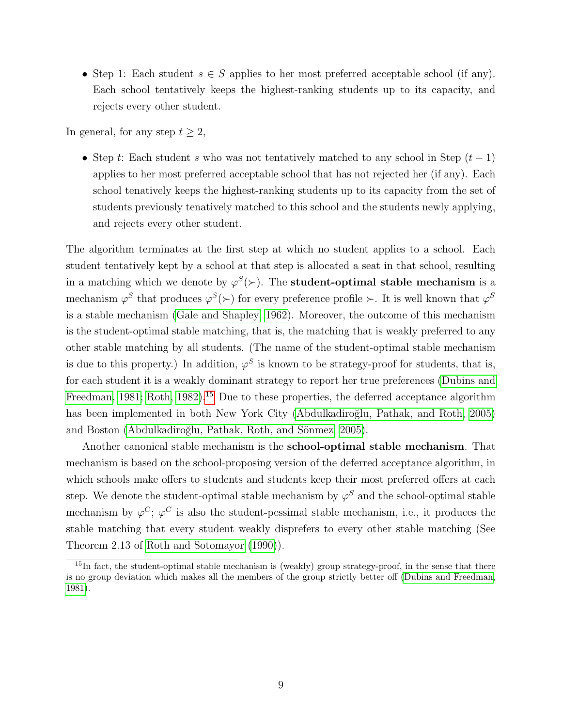• Step 1: Each student  $s \in S$  applies to her most preferred acceptable school (if any). Each school tentatively keeps the highest-ranking students up to its capacity, and rejects every other student.

In general, for any step  $t \geq 2$ ,

• Step t: Each student s who was not tentatively matched to any school in Step  $(t-1)$ applies to her most preferred acceptable school that has not rejected her (if any). Each school tenatively keeps the highest-ranking students up to its capacity from the set of students previously tenatively matched to this school and the students newly applying, and rejects every other student.

The algorithm terminates at the first step at which no student applies to a school. Each student tentatively kept by a school at that step is allocated a seat in that school, resulting in a matching which we denote by  $\varphi^{S}(\succ)$ . The **student-optimal stable mechanism** is a mechanism  $\varphi^S$  that produces  $\varphi^S(\succ)$  for every preference profile  $\succ$ . It is well known that  $\varphi^S$ is a stable mechanism [\(Gale and Shapley, 1962\)](#page-37-10). Moreover, the outcome of this mechanism is the student-optimal stable matching, that is, the matching that is weakly preferred to any other stable matching by all students. (The name of the student-optimal stable mechanism is due to this property.) In addition,  $\varphi^S$  is known to be strategy-proof for students, that is, for each student it is a weakly dominant strategy to report her true preferences [\(Dubins and](#page-36-7) [Freedman, 1981;](#page-36-7) [Roth, 1982\)](#page-38-9).<sup>[15](#page-8-0)</sup> Due to these properties, the deferred acceptance algorithm has been implemented in both New York City (Abdulkadiroğlu, Pathak, and Roth, 2005) and Boston (Abdulkadiroğlu, Pathak, Roth, and Sönmez, 2005).

Another canonical stable mechanism is the school-optimal stable mechanism. That mechanism is based on the school-proposing version of the deferred acceptance algorithm, in which schools make offers to students and students keep their most preferred offers at each step. We denote the student-optimal stable mechanism by  $\varphi^S$  and the school-optimal stable mechanism by  $\varphi^C$ ;  $\varphi^C$  is also the student-pessimal stable mechanism, i.e., it produces the stable matching that every student weakly disprefers to every other stable matching (See Theorem 2.13 of [Roth and Sotomayor \(1990\)](#page-39-5)).

<span id="page-8-0"></span><sup>&</sup>lt;sup>15</sup>In fact, the student-optimal stable mechanism is (weakly) group strategy-proof, in the sense that there is no group deviation which makes all the members of the group strictly better off [\(Dubins and Freedman,](#page-36-7) [1981\)](#page-36-7).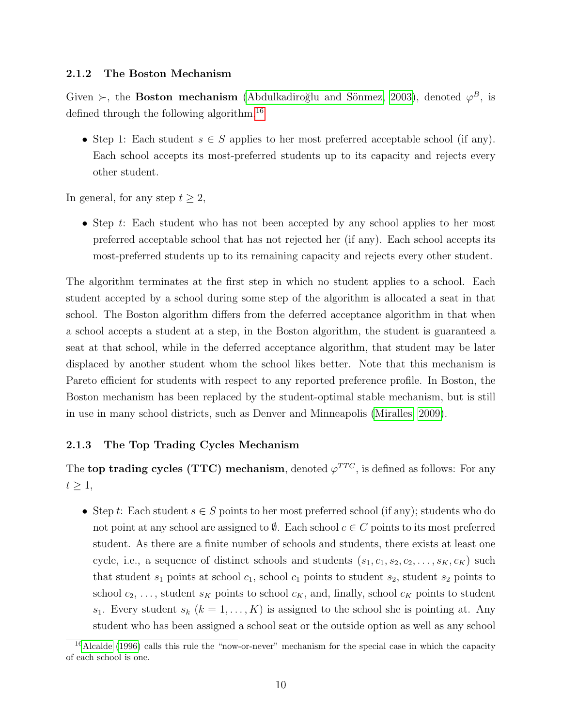#### 2.1.2 The Boston Mechanism

Given  $\succ$ , the **Boston mechanism** (Abdulkadiroğlu and Sönmez, 2003), denoted  $\varphi^B$ , is defined through the following algorithm.[16](#page-9-0)

• Step 1: Each student  $s \in S$  applies to her most preferred acceptable school (if any). Each school accepts its most-preferred students up to its capacity and rejects every other student.

In general, for any step  $t \geq 2$ ,

• Step t: Each student who has not been accepted by any school applies to her most preferred acceptable school that has not rejected her (if any). Each school accepts its most-preferred students up to its remaining capacity and rejects every other student.

The algorithm terminates at the first step in which no student applies to a school. Each student accepted by a school during some step of the algorithm is allocated a seat in that school. The Boston algorithm differs from the deferred acceptance algorithm in that when a school accepts a student at a step, in the Boston algorithm, the student is guaranteed a seat at that school, while in the deferred acceptance algorithm, that student may be later displaced by another student whom the school likes better. Note that this mechanism is Pareto efficient for students with respect to any reported preference profile. In Boston, the Boston mechanism has been replaced by the student-optimal stable mechanism, but is still in use in many school districts, such as Denver and Minneapolis [\(Miralles, 2009\)](#page-38-10).

#### 2.1.3 The Top Trading Cycles Mechanism

The top trading cycles (TTC) mechanism, denoted  $\varphi^{TTC}$ , is defined as follows: For any  $t \geq 1$ ,

• Step t: Each student  $s \in S$  points to her most preferred school (if any); students who do not point at any school are assigned to  $\emptyset$ . Each school  $c \in C$  points to its most preferred student. As there are a finite number of schools and students, there exists at least one cycle, i.e., a sequence of distinct schools and students  $(s_1, c_1, s_2, c_2, \ldots, s_K, c_K)$  such that student  $s_1$  points at school  $c_1$ , school  $c_1$  points to student  $s_2$ , student  $s_2$  points to school  $c_2, \ldots$ , student  $s_K$  points to school  $c_K$ , and, finally, school  $c_K$  points to student  $s_1$ . Every student  $s_k$   $(k = 1, ..., K)$  is assigned to the school she is pointing at. Any student who has been assigned a school seat or the outside option as well as any school

<span id="page-9-0"></span><sup>&</sup>lt;sup>16</sup>[Alcalde](#page-36-8) [\(1996\)](#page-36-8) calls this rule the "now-or-never" mechanism for the special case in which the capacity of each school is one.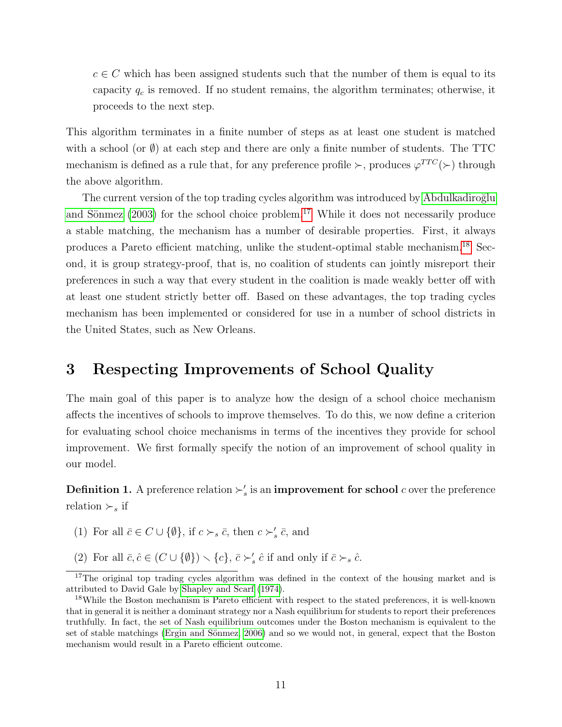$c \in C$  which has been assigned students such that the number of them is equal to its capacity  $q_c$  is removed. If no student remains, the algorithm terminates; otherwise, it proceeds to the next step.

This algorithm terminates in a finite number of steps as at least one student is matched with a school (or  $\emptyset$ ) at each step and there are only a finite number of students. The TTC mechanism is defined as a rule that, for any preference profile  $\succ$ , produces  $\varphi^{TTC}(\succ)$  through the above algorithm.

The current version of the top trading cycles algorithm was introduced by Abdulkadiroğlu and Sönmez  $(2003)$  for the school choice problem.<sup>[17](#page-10-1)</sup> While it does not necessarily produce a stable matching, the mechanism has a number of desirable properties. First, it always produces a Pareto efficient matching, unlike the student-optimal stable mechanism.[18](#page-10-2) Second, it is group strategy-proof, that is, no coalition of students can jointly misreport their preferences in such a way that every student in the coalition is made weakly better off with at least one student strictly better off. Based on these advantages, the top trading cycles mechanism has been implemented or considered for use in a number of school districts in the United States, such as New Orleans.

### <span id="page-10-0"></span>3 Respecting Improvements of School Quality

The main goal of this paper is to analyze how the design of a school choice mechanism affects the incentives of schools to improve themselves. To do this, we now define a criterion for evaluating school choice mechanisms in terms of the incentives they provide for school improvement. We first formally specify the notion of an improvement of school quality in our model.

**Definition 1.** A preference relation  $\succ'_s$  is an **improvement for school** c over the preference relation  $\succ_s$  if

- (1) For all  $\bar{c} \in C \cup \{\emptyset\}$ , if  $c \succ_s \bar{c}$ , then  $c \succ'_s \bar{c}$ , and
- (2) For all  $\bar{c}, \hat{c} \in (C \cup \{\emptyset\}) \setminus \{c\}, \bar{c} \succ_s' \hat{c}$  if and only if  $\bar{c} \succ_s \hat{c}$ .

<span id="page-10-1"></span><sup>&</sup>lt;sup>17</sup>The original top trading cycles algorithm was defined in the context of the housing market and is attributed to David Gale by [Shapley and Scarf](#page-39-6) [\(1974\)](#page-39-6).

<span id="page-10-2"></span><sup>18</sup>While the Boston mechanism is Pareto efficient with respect to the stated preferences, it is well-known that in general it is neither a dominant strategy nor a Nash equilibrium for students to report their preferences truthfully. In fact, the set of Nash equilibrium outcomes under the Boston mechanism is equivalent to the set of stable matchings (Ergin and Sönmez, 2006) and so we would not, in general, expect that the Boston mechanism would result in a Pareto efficient outcome.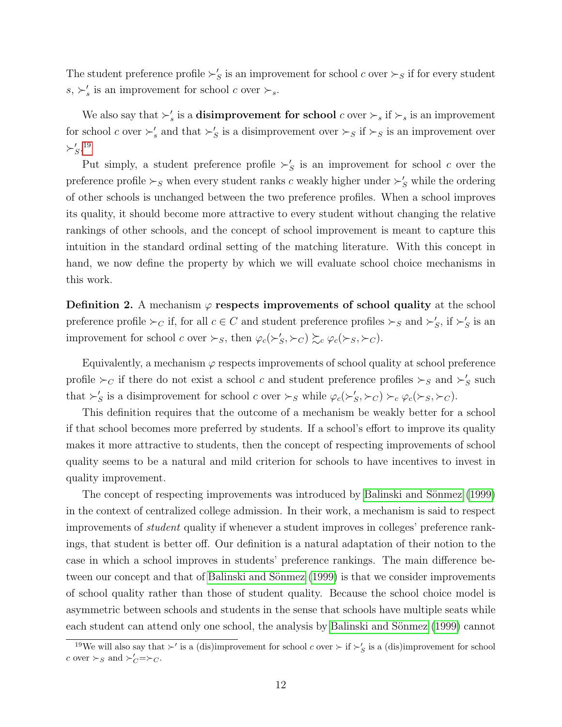The student preference profile  $\succ'_{S}$  is an improvement for school c over  $\succ_{S}$  if for every student  $s, \succ_s'$  is an improvement for school c over  $\succ_s$ .

We also say that  $\succ'_s$  is a **disimprovement for school** c over  $\succ_s$  if  $\succ_s$  is an improvement for school c over  $\succ'_s$  and that  $\succ'_S$  is a disimprovement over  $\succ_S$  if  $\succ_S$  is an improvement over  $\succ_S^{\prime}$ .<sup>[19](#page-11-0)</sup>

Put simply, a student preference profile  $\succ'_{S}$  is an improvement for school c over the preference profile  $\succ_S$  when every student ranks c weakly higher under  $\succ'_S$  while the ordering of other schools is unchanged between the two preference profiles. When a school improves its quality, it should become more attractive to every student without changing the relative rankings of other schools, and the concept of school improvement is meant to capture this intuition in the standard ordinal setting of the matching literature. With this concept in hand, we now define the property by which we will evaluate school choice mechanisms in this work.

**Definition 2.** A mechanism  $\varphi$  respects improvements of school quality at the school preference profile  $\succ_C$  if, for all  $c \in C$  and student preference profiles  $\succ_S$  and  $\succ'_S$ , if  $\succ'_S$  is an improvement for school c over  $\succ_S$ , then  $\varphi_c(\succ_S', \succ_C) \succsim_c \varphi_c(\succ_S, \succ_C)$ .

Equivalently, a mechanism  $\varphi$  respects improvements of school quality at school preference profile  $\succ_C$  if there do not exist a school c and student preference profiles  $\succ_S$  and  $\succ'_S$  such that  $\succ'_S$  is a disimprovement for school c over  $\succ_S$  while  $\varphi_c(\succ'_S, \succ_C) \succ_c \varphi_c(\succ_S, \succ_C)$ .

This definition requires that the outcome of a mechanism be weakly better for a school if that school becomes more preferred by students. If a school's effort to improve its quality makes it more attractive to students, then the concept of respecting improvements of school quality seems to be a natural and mild criterion for schools to have incentives to invest in quality improvement.

The concept of respecting improvements was introduced by Balinski and Sönmez (1999) in the context of centralized college admission. In their work, a mechanism is said to respect improvements of student quality if whenever a student improves in colleges' preference rankings, that student is better off. Our definition is a natural adaptation of their notion to the case in which a school improves in students' preference rankings. The main difference between our concept and that of Balinski and Sönmez (1999) is that we consider improvements of school quality rather than those of student quality. Because the school choice model is asymmetric between schools and students in the sense that schools have multiple seats while each student can attend only one school, the analysis by Balinski and Sönmez (1999) cannot

<span id="page-11-0"></span><sup>&</sup>lt;sup>19</sup>We will also say that  $\succ'$  is a (dis)improvement for school c over  $\succ$  if  $\succ'_{S}$  is a (dis)improvement for school c over  $\succ_S$  and  $\succ_C' = \succ_C$ .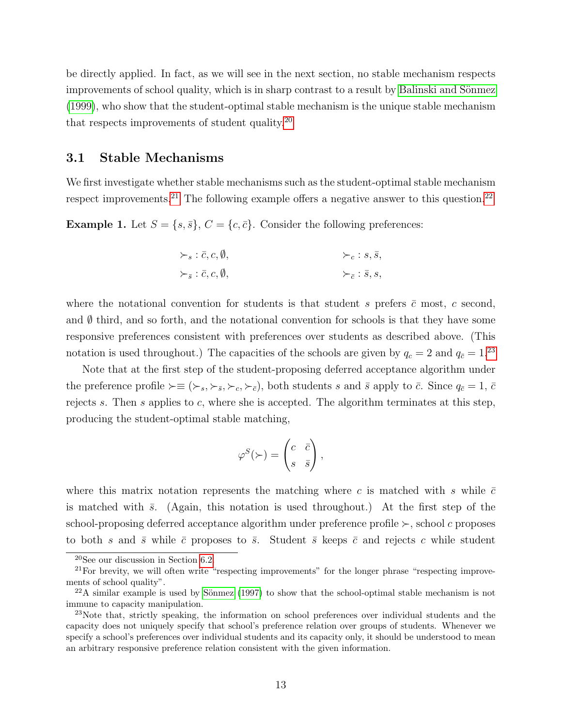be directly applied. In fact, as we will see in the next section, no stable mechanism respects improvements of school quality, which is in sharp contrast to a result by Balinski and Sönmez [\(1999\)](#page-36-0), who show that the student-optimal stable mechanism is the unique stable mechanism that respects improvements of student quality.[20](#page-12-0)

#### <span id="page-12-5"></span>3.1 Stable Mechanisms

We first investigate whether stable mechanisms such as the student-optimal stable mechanism respect improvements.<sup>[21](#page-12-1)</sup> The following example offers a negative answer to this question.<sup>[22](#page-12-2)</sup>

<span id="page-12-4"></span>**Example 1.** Let  $S = \{s, \bar{s}\}, C = \{c, \bar{c}\}.$  Consider the following preferences:

$$
\succ_{s} : \bar{c}, c, \emptyset,
$$
  

$$
\succ_{\bar{s}} : \bar{c}, c, \emptyset,
$$
  

$$
\succ_{\bar{c}} : \bar{s}, s,
$$

where the notational convention for students is that student s prefers  $\bar{c}$  most, c second, and  $\emptyset$  third, and so forth, and the notational convention for schools is that they have some responsive preferences consistent with preferences over students as described above. (This notation is used throughout.) The capacities of the schools are given by  $q_c = 2$  and  $q_{\bar{c}} = 1.23$  $q_{\bar{c}} = 1.23$ 

Note that at the first step of the student-proposing deferred acceptance algorithm under the preference profile  $\succ \equiv (\succ_s, \succ_{\bar{s}}, \succ_c, \succ_{\bar{c}})$ , both students s and  $\bar{s}$  apply to  $\bar{c}$ . Since  $q_{\bar{c}} = 1, \bar{c}$ rejects s. Then s applies to c, where she is accepted. The algorithm terminates at this step, producing the student-optimal stable matching,

$$
\varphi^{S}(\succ) = \begin{pmatrix} c & \overline{c} \\ s & \overline{s} \end{pmatrix},
$$

where this matrix notation represents the matching where c is matched with s while  $\bar{c}$ is matched with  $\bar{s}$ . (Again, this notation is used throughout.) At the first step of the school-proposing deferred acceptance algorithm under preference profile  $\succ$ , school c proposes to both s and  $\bar{s}$  while  $\bar{c}$  proposes to  $\bar{s}$ . Student  $\bar{s}$  keeps  $\bar{c}$  and rejects c while student

<span id="page-12-1"></span><span id="page-12-0"></span> $20$ See our discussion in Section [6.2.](#page-32-0)

<sup>&</sup>lt;sup>21</sup>For brevity, we will often write "respecting improvements" for the longer phrase "respecting improvements of school quality".

<span id="page-12-2"></span> $^{22}$ A similar example is used by Sönmez [\(1997\)](#page-39-7) to show that the school-optimal stable mechanism is not immune to capacity manipulation.

<span id="page-12-3"></span><sup>23</sup>Note that, strictly speaking, the information on school preferences over individual students and the capacity does not uniquely specify that school's preference relation over groups of students. Whenever we specify a school's preferences over individual students and its capacity only, it should be understood to mean an arbitrary responsive preference relation consistent with the given information.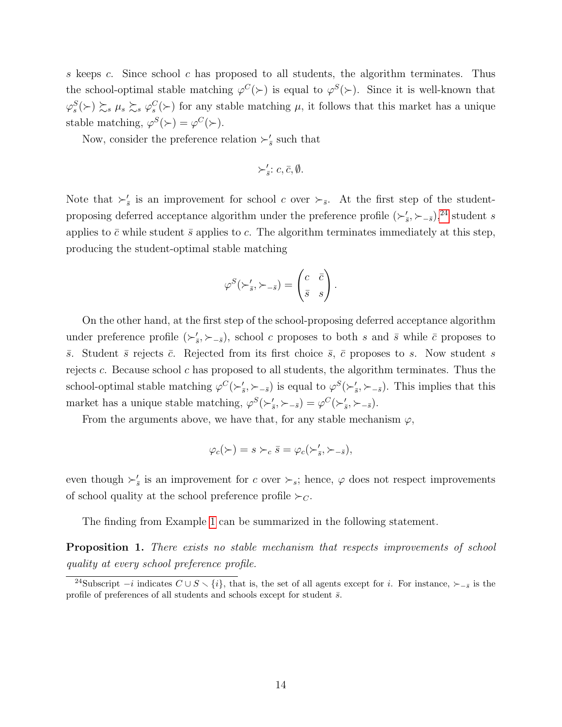s keeps c. Since school c has proposed to all students, the algorithm terminates. Thus the school-optimal stable matching  $\varphi^{C}(\succ)$  is equal to  $\varphi^{S}(\succ)$ . Since it is well-known that  $\varphi_s^S(\succ) \succsim_s \mu_s \succsim_s \varphi_s^C(\succ)$  for any stable matching  $\mu$ , it follows that this market has a unique stable matching,  $\varphi^S(\succ) = \varphi^C(\succ)$ .

Now, consider the preference relation  $\succ_{\overline{s}}'$  such that

$$
\succ_{\bar{s}}':c,\bar{c},\emptyset.
$$

Note that  $\succ_{\bar{s}}'$  is an improvement for school c over  $\succ_{\bar{s}}$ . At the first step of the studentproposing deferred acceptance algorithm under the preference profile  $(\succ_{\bar{s}}', \succ_{-\bar{s}})$ ,<sup>[24](#page-13-0)</sup> student s applies to  $\bar{c}$  while student  $\bar{s}$  applies to c. The algorithm terminates immediately at this step, producing the student-optimal stable matching

$$
\varphi^{S}(\succ_{\bar{s}}', \succ_{-\bar{s}}) = \begin{pmatrix} c & \bar{c} \\ \bar{s} & s \end{pmatrix}.
$$

On the other hand, at the first step of the school-proposing deferred acceptance algorithm under preference profile  $(\succ_{\bar{s}}', \succ_{-\bar{s}})$ , school c proposes to both s and  $\bar{s}$  while  $\bar{c}$  proposes to  $\bar{s}$ . Student  $\bar{s}$  rejects  $\bar{c}$ . Rejected from its first choice  $\bar{s}$ ,  $\bar{c}$  proposes to s. Now student s rejects c. Because school c has proposed to all students, the algorithm terminates. Thus the school-optimal stable matching  $\varphi^C(\succ'_s,\succ_{-\bar{s}})$  is equal to  $\varphi^S(\succ'_s,\succ_{-\bar{s}})$ . This implies that this market has a unique stable matching,  $\varphi^S(\succ_{\bar{s}}^{\bar{s}}, \succ_{-\bar{s}}^{\bar{s}}) = \varphi^C(\succ_{\bar{s}}^{\bar{s}}, \succ_{-\bar{s}}^{\bar{s}})$ .

From the arguments above, we have that, for any stable mechanism  $\varphi$ ,

$$
\varphi_c(\succ)=s\succ_c \bar{s}=\varphi_c(\succ'_{\bar{s}},\succ_{-\bar{s}}),
$$

even though  $\succ_{\bar{s}}'$  is an improvement for c over  $\succ_{s}$ ; hence,  $\varphi$  does not respect improvements of school quality at the school preference profile  $\succ_C$ .

The finding from Example [1](#page-12-4) can be summarized in the following statement.

<span id="page-13-1"></span>**Proposition 1.** There exists no stable mechanism that respects improvements of school quality at every school preference profile.

<span id="page-13-0"></span><sup>&</sup>lt;sup>24</sup>Subscript −i indicates  $C \cup S \setminus \{i\}$ , that is, the set of all agents except for i. For instance,  $\succ_{-\bar{s}}$  is the profile of preferences of all students and schools except for student  $\bar{s}$ .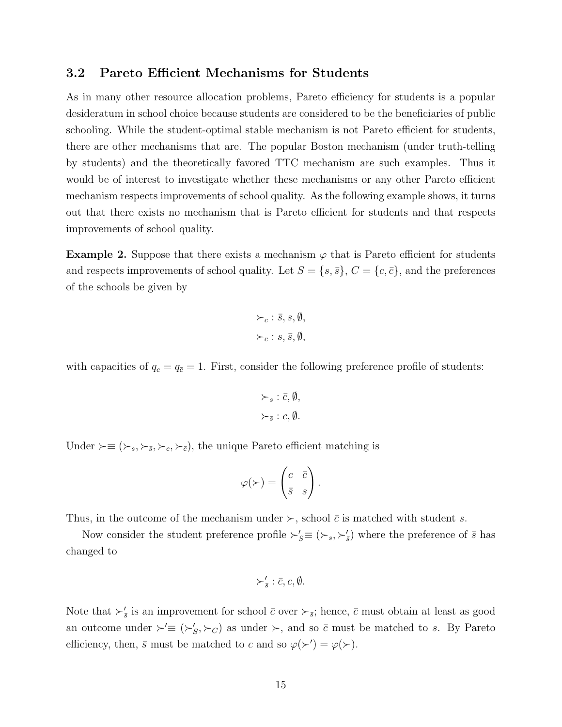#### <span id="page-14-1"></span>3.2 Pareto Efficient Mechanisms for Students

As in many other resource allocation problems, Pareto efficiency for students is a popular desideratum in school choice because students are considered to be the beneficiaries of public schooling. While the student-optimal stable mechanism is not Pareto efficient for students, there are other mechanisms that are. The popular Boston mechanism (under truth-telling by students) and the theoretically favored TTC mechanism are such examples. Thus it would be of interest to investigate whether these mechanisms or any other Pareto efficient mechanism respects improvements of school quality. As the following example shows, it turns out that there exists no mechanism that is Pareto efficient for students and that respects improvements of school quality.

<span id="page-14-0"></span>**Example 2.** Suppose that there exists a mechanism  $\varphi$  that is Pareto efficient for students and respects improvements of school quality. Let  $S = \{s, \bar{s}\}, C = \{c, \bar{c}\},$  and the preferences of the schools be given by

$$
\succ_c : \bar{s}, s, \emptyset, \succ_{\bar{c}} : s, \bar{s}, \emptyset,
$$

with capacities of  $q_c = q_{\bar{c}} = 1$ . First, consider the following preference profile of students:

$$
\succ_s : \bar{c}, \emptyset,
$$
  

$$
\succ_{\bar{s}} : c, \emptyset.
$$

Under  $\succ ≡ (\succ_s, \succ_{\bar{s}}, \succ_c, \succ_{\bar{c}})$ , the unique Pareto efficient matching is

$$
\varphi(\succ) = \begin{pmatrix} c & \bar{c} \\ \bar{s} & s \end{pmatrix}.
$$

Thus, in the outcome of the mechanism under  $\succ$ , school  $\bar{c}$  is matched with student s.

Now consider the student preference profile  $\succ'_{s} \equiv (\succ_{s}, \succ'_{s})$  where the preference of  $\bar{s}$  has changed to

$$
\succ_{\bar{s}}':\bar{c},c,\emptyset.
$$

Note that  $\succ'_{\bar{s}}$  is an improvement for school  $\bar{c}$  over  $\succ_{\bar{s}}$ ; hence,  $\bar{c}$  must obtain at least as good an outcome under  $\succ' \equiv (\succ'_{S}, \succ_{C})$  as under  $\succ$ , and so  $\bar{c}$  must be matched to s. By Pareto efficiency, then,  $\bar{s}$  must be matched to c and so  $\varphi(\succ') = \varphi(\succ)$ .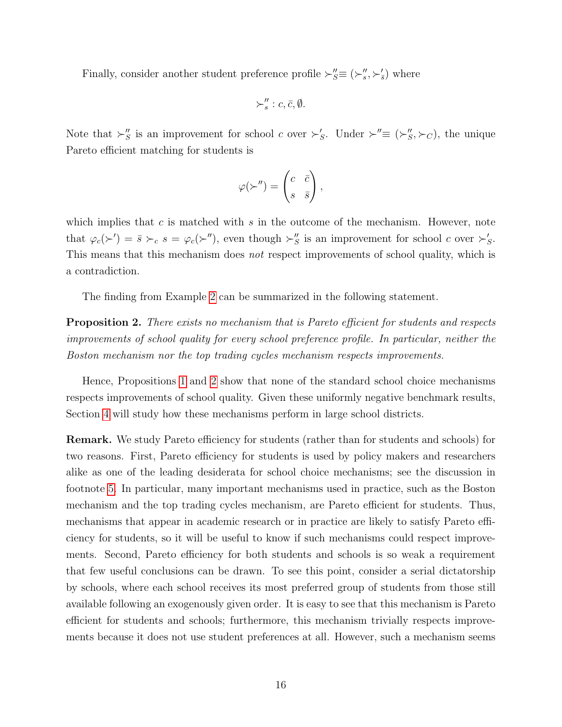Finally, consider another student preference profile  $\succ_{S}'' \equiv (\succ_{s}'' , \succ_{s}')$  where

$$
\succ''_s : c, \bar{c}, \emptyset.
$$

Note that  $\succ_S''$  is an improvement for school c over  $\succ_S'$ . Under  $\succ'' \equiv (\succ_S'' , \succ_C)$ , the unique Pareto efficient matching for students is

$$
\varphi(\succ^{\prime\prime})=\begin{pmatrix}c&\bar{c}\\ s&\bar{s}\end{pmatrix},\end{pmatrix}
$$

which implies that c is matched with s in the outcome of the mechanism. However, note that  $\varphi_c(\succ') = \bar{s} \succ_c s = \varphi_c(\succ'')$ , even though  $\succ''_S$  is an improvement for school c over  $\succ'_{S}$ . This means that this mechanism does not respect improvements of school quality, which is a contradiction.

The finding from Example [2](#page-14-0) can be summarized in the following statement.

<span id="page-15-0"></span>**Proposition 2.** There exists no mechanism that is Pareto efficient for students and respects improvements of school quality for every school preference profile. In particular, neither the Boston mechanism nor the top trading cycles mechanism respects improvements.

Hence, Propositions [1](#page-13-1) and [2](#page-15-0) show that none of the standard school choice mechanisms respects improvements of school quality. Given these uniformly negative benchmark results, Section [4](#page-17-0) will study how these mechanisms perform in large school districts.

Remark. We study Pareto efficiency for students (rather than for students and schools) for two reasons. First, Pareto efficiency for students is used by policy makers and researchers alike as one of the leading desiderata for school choice mechanisms; see the discussion in footnote [5.](#page-2-2) In particular, many important mechanisms used in practice, such as the Boston mechanism and the top trading cycles mechanism, are Pareto efficient for students. Thus, mechanisms that appear in academic research or in practice are likely to satisfy Pareto efficiency for students, so it will be useful to know if such mechanisms could respect improvements. Second, Pareto efficiency for both students and schools is so weak a requirement that few useful conclusions can be drawn. To see this point, consider a serial dictatorship by schools, where each school receives its most preferred group of students from those still available following an exogenously given order. It is easy to see that this mechanism is Pareto efficient for students and schools; furthermore, this mechanism trivially respects improvements because it does not use student preferences at all. However, such a mechanism seems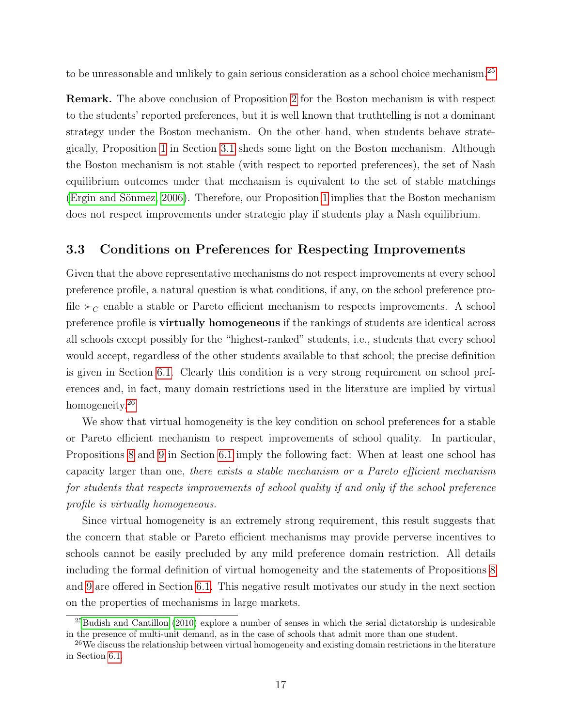to be unreasonable and unlikely to gain serious consideration as a school choice mechanism.<sup>[25](#page-16-0)</sup>

Remark. The above conclusion of Proposition [2](#page-15-0) for the Boston mechanism is with respect to the students' reported preferences, but it is well known that truthtelling is not a dominant strategy under the Boston mechanism. On the other hand, when students behave strategically, Proposition [1](#page-13-1) in Section [3.1](#page-12-5) sheds some light on the Boston mechanism. Although the Boston mechanism is not stable (with respect to reported preferences), the set of Nash equilibrium outcomes under that mechanism is equivalent to the set of stable matchings (Ergin and Sönmez, 2006). Therefore, our Proposition [1](#page-13-1) implies that the Boston mechanism does not respect improvements under strategic play if students play a Nash equilibrium.

#### <span id="page-16-2"></span>3.3 Conditions on Preferences for Respecting Improvements

Given that the above representative mechanisms do not respect improvements at every school preference profile, a natural question is what conditions, if any, on the school preference profile  $\succ_C$  enable a stable or Pareto efficient mechanism to respects improvements. A school preference profile is virtually homogeneous if the rankings of students are identical across all schools except possibly for the "highest-ranked" students, i.e., students that every school would accept, regardless of the other students available to that school; the precise definition is given in Section [6.1.](#page-29-1) Clearly this condition is a very strong requirement on school preferences and, in fact, many domain restrictions used in the literature are implied by virtual homogeneity.<sup>[26](#page-16-1)</sup>

We show that virtual homogeneity is the key condition on school preferences for a stable or Pareto efficient mechanism to respect improvements of school quality. In particular, Propositions [8](#page-30-0) and [9](#page-31-0) in Section [6.1](#page-29-1) imply the following fact: When at least one school has capacity larger than one, there exists a stable mechanism or a Pareto efficient mechanism for students that respects improvements of school quality if and only if the school preference profile is virtually homogeneous.

Since virtual homogeneity is an extremely strong requirement, this result suggests that the concern that stable or Pareto efficient mechanisms may provide perverse incentives to schools cannot be easily precluded by any mild preference domain restriction. All details including the formal definition of virtual homogeneity and the statements of Propositions [8](#page-30-0) and [9](#page-31-0) are offered in Section [6.1.](#page-29-1) This negative result motivates our study in the next section on the properties of mechanisms in large markets.

<span id="page-16-0"></span><sup>25</sup>[Budish and Cantillon](#page-36-9) [\(2010\)](#page-36-9) explore a number of senses in which the serial dictatorship is undesirable in the presence of multi-unit demand, as in the case of schools that admit more than one student.

<span id="page-16-1"></span><sup>&</sup>lt;sup>26</sup>We discuss the relationship between virtual homogeneity and existing domain restrictions in the literature in Section [6.1.](#page-29-1)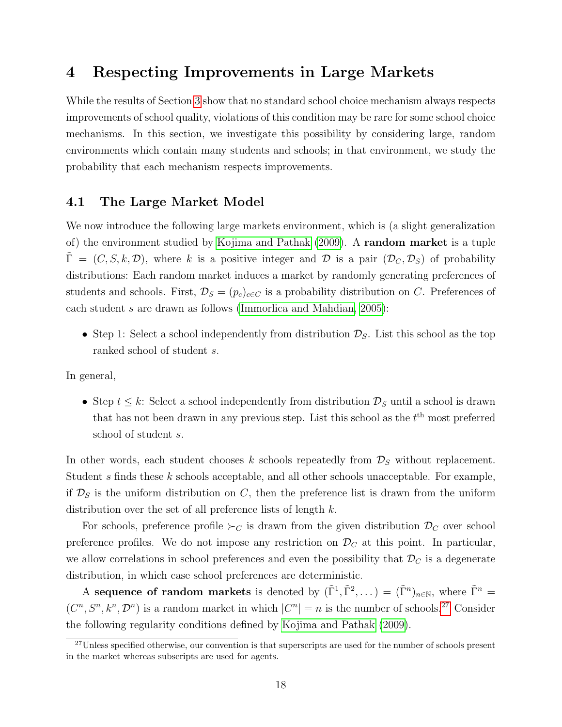## <span id="page-17-0"></span>4 Respecting Improvements in Large Markets

While the results of Section [3](#page-10-0) show that no standard school choice mechanism always respects improvements of school quality, violations of this condition may be rare for some school choice mechanisms. In this section, we investigate this possibility by considering large, random environments which contain many students and schools; in that environment, we study the probability that each mechanism respects improvements.

#### <span id="page-17-2"></span>4.1 The Large Market Model

We now introduce the following large markets environment, which is (a slight generalization of) the environment studied by [Kojima and Pathak \(2009\)](#page-38-2). A random market is a tuple  $\Gamma = (C, S, k, \mathcal{D})$ , where k is a positive integer and  $\mathcal D$  is a pair  $(\mathcal D_C, \mathcal D_S)$  of probability distributions: Each random market induces a market by randomly generating preferences of students and schools. First,  $\mathcal{D}_S = (p_c)_{c \in C}$  is a probability distribution on C. Preferences of each student s are drawn as follows [\(Immorlica and Mahdian, 2005\)](#page-37-3):

• Step 1: Select a school independently from distribution  $\mathcal{D}_S$ . List this school as the top ranked school of student s.

In general,

• Step  $t \leq k$ : Select a school independently from distribution  $\mathcal{D}_S$  until a school is drawn that has not been drawn in any previous step. List this school as the  $t<sup>th</sup>$  most preferred school of student s.

In other words, each student chooses k schools repeatedly from  $\mathcal{D}_S$  without replacement. Student s finds these k schools acceptable, and all other schools unacceptable. For example, if  $\mathcal{D}_S$  is the uniform distribution on C, then the preference list is drawn from the uniform distribution over the set of all preference lists of length k.

For schools, preference profile  $\succ_C$  is drawn from the given distribution  $\mathcal{D}_C$  over school preference profiles. We do not impose any restriction on  $\mathcal{D}_C$  at this point. In particular, we allow correlations in school preferences and even the possibility that  $\mathcal{D}_C$  is a degenerate distribution, in which case school preferences are deterministic.

A sequence of random markets is denoted by  $(\tilde{\Gamma}^1, \tilde{\Gamma}^2, \dots) = (\tilde{\Gamma}^n)_{n \in \mathbb{N}}$ , where  $\tilde{\Gamma}^n =$  $(C<sup>n</sup>, S<sup>n</sup>, k<sup>n</sup>, \mathcal{D}<sup>n</sup>)$  is a random market in which  $|C<sup>n</sup>| = n$  is the number of schools.<sup>[27](#page-17-1)</sup> Consider the following regularity conditions defined by [Kojima and Pathak \(2009\)](#page-38-2).

<span id="page-17-1"></span><sup>&</sup>lt;sup>27</sup>Unless specified otherwise, our convention is that superscripts are used for the number of schools present in the market whereas subscripts are used for agents.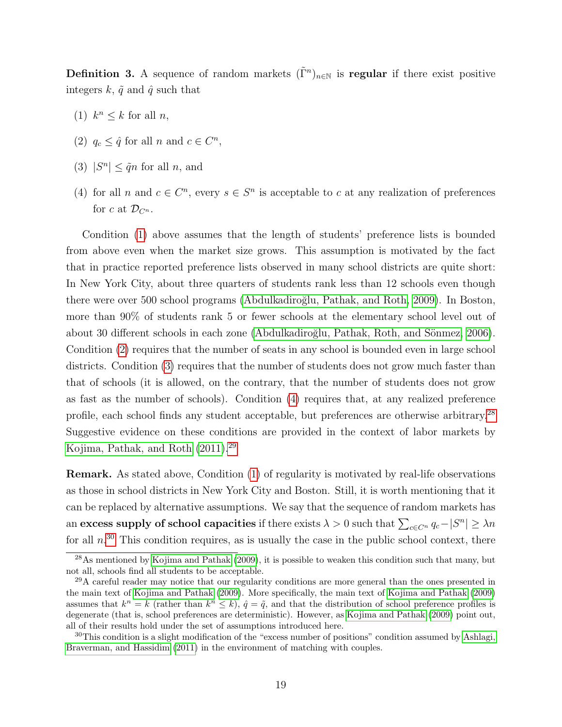**Definition 3.** A sequence of random markets  $(\tilde{\Gamma}^n)_{n\in\mathbb{N}}$  is regular if there exist positive integers  $k, \tilde{q}$  and  $\hat{q}$  such that

- <span id="page-18-0"></span>(1)  $k^n \leq k$  for all *n*,
- <span id="page-18-1"></span>(2)  $q_c \leq \hat{q}$  for all n and  $c \in C^n$ ,
- <span id="page-18-2"></span>(3)  $|S^n| \le \tilde{q}n$  for all n, and
- <span id="page-18-3"></span>(4) for all n and  $c \in \mathbb{C}^n$ , every  $s \in \mathbb{S}^n$  is acceptable to c at any realization of preferences for c at  $\mathcal{D}_{C^n}$ .

Condition [\(1\)](#page-18-0) above assumes that the length of students' preference lists is bounded from above even when the market size grows. This assumption is motivated by the fact that in practice reported preference lists observed in many school districts are quite short: In New York City, about three quarters of students rank less than 12 schools even though there were over 500 school programs (Abdulkadiroğlu, Pathak, and Roth, 2009). In Boston, more than 90% of students rank 5 or fewer schools at the elementary school level out of about 30 different schools in each zone (Abdulkadiroğlu, Pathak, Roth, and Sönmez, 2006). Condition [\(2\)](#page-18-1) requires that the number of seats in any school is bounded even in large school districts. Condition [\(3\)](#page-18-2) requires that the number of students does not grow much faster than that of schools (it is allowed, on the contrary, that the number of students does not grow as fast as the number of schools). Condition [\(4\)](#page-18-3) requires that, at any realized preference profile, each school finds any student acceptable, but preferences are otherwise arbitrary.[28](#page-18-4) Suggestive evidence on these conditions are provided in the context of labor markets by [Kojima, Pathak, and Roth \(2011\)](#page-38-5).[29](#page-18-5)

Remark. As stated above, Condition [\(1\)](#page-18-0) of regularity is motivated by real-life observations as those in school districts in New York City and Boston. Still, it is worth mentioning that it can be replaced by alternative assumptions. We say that the sequence of random markets has an excess supply of school capacities if there exists  $\lambda > 0$  such that  $\sum_{c \in C^n} q_c - |S^n| \geq \lambda n$ for all  $n^{30}$  $n^{30}$  $n^{30}$ . This condition requires, as is usually the case in the public school context, there

<span id="page-18-4"></span> $^{28}$ As mentioned by [Kojima and Pathak](#page-38-2) [\(2009\)](#page-38-2), it is possible to weaken this condition such that many, but not all, schools find all students to be acceptable.

<span id="page-18-5"></span><sup>29</sup>A careful reader may notice that our regularity conditions are more general than the ones presented in the main text of [Kojima and Pathak](#page-38-2) [\(2009\)](#page-38-2). More specifically, the main text of [Kojima and Pathak](#page-38-2) [\(2009\)](#page-38-2) assumes that  $k^n = k$  (rather than  $k^n \leq k$ ),  $\hat{q} = \tilde{q}$ , and that the distribution of school preference profiles is degenerate (that is, school preferences are deterministic). However, as [Kojima and Pathak](#page-38-2) [\(2009\)](#page-38-2) point out, all of their results hold under the set of assumptions introduced here.

<span id="page-18-6"></span> $30$ This condition is a slight modification of the "excess number of positions" condition assumed by [Ashlagi,](#page-36-3) [Braverman, and Hassidim](#page-36-3) [\(2011\)](#page-36-3) in the environment of matching with couples.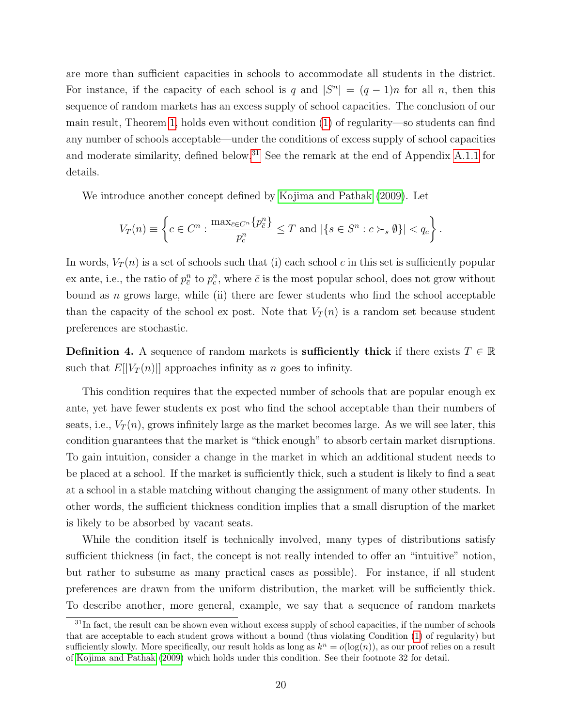are more than sufficient capacities in schools to accommodate all students in the district. For instance, if the capacity of each school is q and  $|S^n| = (q-1)n$  for all n, then this sequence of random markets has an excess supply of school capacities. The conclusion of our main result, Theorem [1,](#page-20-0) holds even without condition [\(1\)](#page-18-0) of regularity—so students can find any number of schools acceptable—under the conditions of excess supply of school capacities and moderate similarity, defined below.<sup>[31](#page-19-0)</sup> See the remark at the end of Appendix [A.1.1](#page-40-0) for details.

We introduce another concept defined by [Kojima and Pathak \(2009\)](#page-38-2). Let

$$
V_T(n) \equiv \left\{ c \in C^n : \frac{\max_{\bar{c} \in C^n} \{ p_{\bar{c}}^n \}}{p_c^n} \le T \text{ and } |\{ s \in S^n : c \succ_s \emptyset \}| < q_c \right\}.
$$

In words,  $V_T(n)$  is a set of schools such that (i) each school c in this set is sufficiently popular ex ante, i.e., the ratio of  $p_c^n$  to  $p_c^n$ , where  $\bar{c}$  is the most popular school, does not grow without bound as  $n$  grows large, while (ii) there are fewer students who find the school acceptable than the capacity of the school ex post. Note that  $V_T(n)$  is a random set because student preferences are stochastic.

**Definition 4.** A sequence of random markets is **sufficiently thick** if there exists  $T \in \mathbb{R}$ such that  $E[|V_T(n)|]$  approaches infinity as n goes to infinity.

This condition requires that the expected number of schools that are popular enough ex ante, yet have fewer students ex post who find the school acceptable than their numbers of seats, i.e.,  $V_T(n)$ , grows infinitely large as the market becomes large. As we will see later, this condition guarantees that the market is "thick enough" to absorb certain market disruptions. To gain intuition, consider a change in the market in which an additional student needs to be placed at a school. If the market is sufficiently thick, such a student is likely to find a seat at a school in a stable matching without changing the assignment of many other students. In other words, the sufficient thickness condition implies that a small disruption of the market is likely to be absorbed by vacant seats.

While the condition itself is technically involved, many types of distributions satisfy sufficient thickness (in fact, the concept is not really intended to offer an "intuitive" notion, but rather to subsume as many practical cases as possible). For instance, if all student preferences are drawn from the uniform distribution, the market will be sufficiently thick. To describe another, more general, example, we say that a sequence of random markets

<span id="page-19-0"></span> $31$ In fact, the result can be shown even without excess supply of school capacities, if the number of schools that are acceptable to each student grows without a bound (thus violating Condition [\(1\)](#page-18-0) of regularity) but sufficiently slowly. More specifically, our result holds as long as  $k^n = o(\log(n))$ , as our proof relies on a result of [Kojima and Pathak](#page-38-2) [\(2009\)](#page-38-2) which holds under this condition. See their footnote 32 for detail.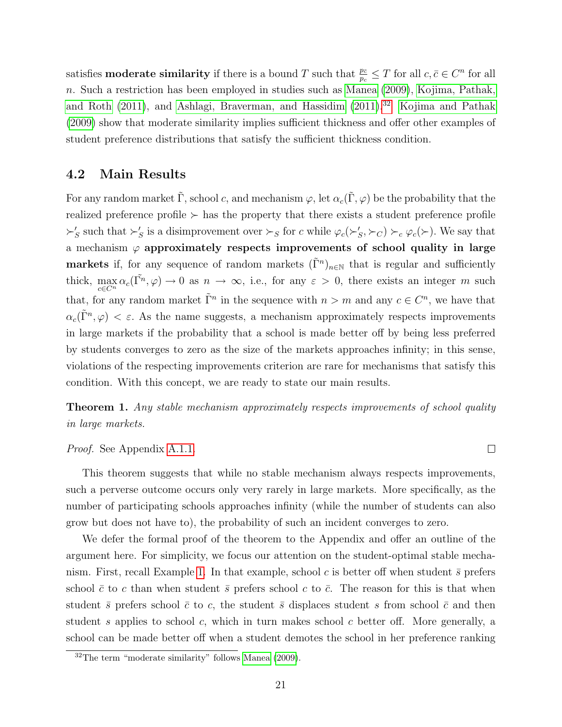satisfies **moderate similarity** if there is a bound T such that  $\frac{p_{\bar{c}}}{p_c} \leq T$  for all  $c, \bar{c} \in C^n$  for all n. Such a restriction has been employed in studies such as [Manea \(2009\)](#page-38-7), [Kojima, Pathak,](#page-38-5) [and Roth \(2011\)](#page-38-5), and [Ashlagi, Braverman, and Hassidim \(2011\)](#page-36-3).<sup>[32](#page-20-1)</sup> [Kojima and Pathak](#page-38-2) [\(2009\)](#page-38-2) show that moderate similarity implies sufficient thickness and offer other examples of student preference distributions that satisfy the sufficient thickness condition.

#### 4.2 Main Results

For any random market  $\tilde{\Gamma}$ , school c, and mechanism  $\varphi$ , let  $\alpha_c(\tilde{\Gamma}, \varphi)$  be the probability that the realized preference profile  $\succ$  has the property that there exists a student preference profile  $\succ'_S$  such that  $\succ'_S$  is a disimprovement over  $\succ_S$  for c while  $\varphi_c(\succ'_S, \succ_C) \succ_c \varphi_c(\succ)$ . We say that a mechanism  $\varphi$  approximately respects improvements of school quality in large markets if, for any sequence of random markets  $(\tilde{\Gamma}^n)_{n\in\mathbb{N}}$  that is regular and sufficiently thick,  $\max_{c \in C^n} \alpha_c(\tilde{\Gamma^n}, \varphi) \to 0$  as  $n \to \infty$ , i.e., for any  $\varepsilon > 0$ , there exists an integer m such that, for any random market  $\tilde{\Gamma}^n$  in the sequence with  $n > m$  and any  $c \in C^n$ , we have that  $\alpha_c(\tilde{\Gamma}^n, \varphi) < \varepsilon$ . As the name suggests, a mechanism approximately respects improvements in large markets if the probability that a school is made better off by being less preferred by students converges to zero as the size of the markets approaches infinity; in this sense, violations of the respecting improvements criterion are rare for mechanisms that satisfy this condition. With this concept, we are ready to state our main results.

<span id="page-20-0"></span>**Theorem 1.** Any stable mechanism approximately respects improvements of school quality in large markets.

#### Proof. See Appendix [A.1.1.](#page-40-0)

This theorem suggests that while no stable mechanism always respects improvements, such a perverse outcome occurs only very rarely in large markets. More specifically, as the number of participating schools approaches infinity (while the number of students can also grow but does not have to), the probability of such an incident converges to zero.

We defer the formal proof of the theorem to the Appendix and offer an outline of the argument here. For simplicity, we focus our attention on the student-optimal stable mecha-nism. First, recall Example [1.](#page-12-4) In that example, school c is better off when student  $\bar{s}$  prefers school  $\bar{c}$  to c than when student  $\bar{s}$  prefers school c to  $\bar{c}$ . The reason for this is that when student  $\bar{s}$  prefers school  $\bar{c}$  to c, the student  $\bar{s}$  displaces student s from school  $\bar{c}$  and then student  $s$  applies to school  $c$ , which in turn makes school  $c$  better off. More generally, a school can be made better off when a student demotes the school in her preference ranking

 $\Box$ 

<span id="page-20-1"></span> $32$ The term "moderate similarity" follows [Manea](#page-38-7) [\(2009\)](#page-38-7).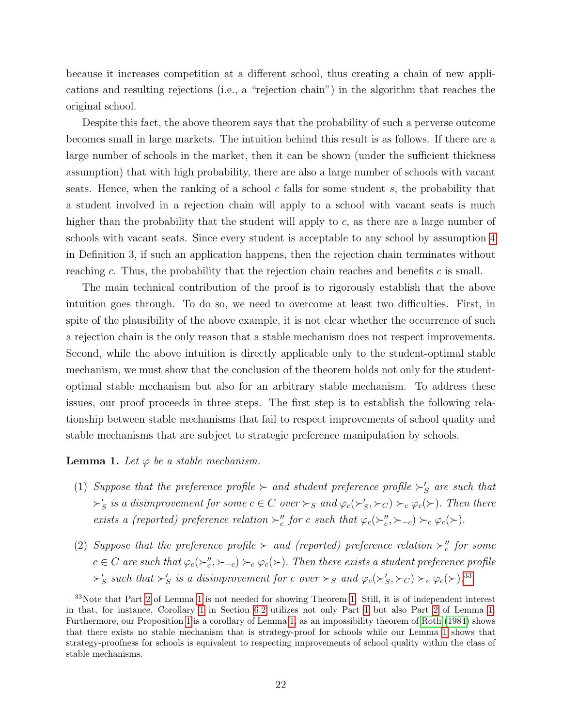because it increases competition at a different school, thus creating a chain of new applications and resulting rejections (i.e., a "rejection chain") in the algorithm that reaches the original school.

Despite this fact, the above theorem says that the probability of such a perverse outcome becomes small in large markets. The intuition behind this result is as follows. If there are a large number of schools in the market, then it can be shown (under the sufficient thickness assumption) that with high probability, there are also a large number of schools with vacant seats. Hence, when the ranking of a school c falls for some student s, the probability that a student involved in a rejection chain will apply to a school with vacant seats is much higher than the probability that the student will apply to  $c$ , as there are a large number of schools with vacant seats. Since every student is acceptable to any school by assumption [4](#page-18-3) in Definition 3, if such an application happens, then the rejection chain terminates without reaching c. Thus, the probability that the rejection chain reaches and benefits c is small.

The main technical contribution of the proof is to rigorously establish that the above intuition goes through. To do so, we need to overcome at least two difficulties. First, in spite of the plausibility of the above example, it is not clear whether the occurrence of such a rejection chain is the only reason that a stable mechanism does not respect improvements. Second, while the above intuition is directly applicable only to the student-optimal stable mechanism, we must show that the conclusion of the theorem holds not only for the studentoptimal stable mechanism but also for an arbitrary stable mechanism. To address these issues, our proof proceeds in three steps. The first step is to establish the following relationship between stable mechanisms that fail to respect improvements of school quality and stable mechanisms that are subject to strategic preference manipulation by schools.

#### <span id="page-21-2"></span>**Lemma 1.** Let  $\varphi$  be a stable mechanism.

- <span id="page-21-3"></span>(1) Suppose that the preference profile  $\succ$  and student preference profile  $\succ'_{S}$  are such that  $\succ'_S$  is a disimprovement for some  $c \in C$  over  $\succ_S$  and  $\varphi_c(\succ'_S, \succ_C) \succ_c \varphi_c(\succ)$ . Then there exists a (reported) preference relation  $\succ''_c$  for c such that  $\varphi_c(\succ''_c,\succ_{-c}) \succ_c \varphi_c(\succ)$ .
- <span id="page-21-1"></span>(2) Suppose that the preference profile  $\succ$  and (reported) preference relation  $\succ''_c$  for some  $c \in C$  are such that  $\varphi_c(\succ_c'' , \succ_{-c}) \succ_c \varphi_c(\succ)$ . Then there exists a student preference profile  $\succ'_S$  such that  $\succ'_S$  is a disimprovement for c over  $\succ_S$  and  $\varphi_c(\succ'_S,\succ_C) \succ_c \varphi_c(\succ)$ .<sup>[33](#page-21-0)</sup>

<span id="page-21-0"></span> $33$ Note that Part [2](#page-21-1) of Lemma [1](#page-21-2) is not needed for showing Theorem [1.](#page-20-0) Still, it is of independent interest in that, for instance, Corollary [1](#page-32-1) in Section [6.2](#page-32-0) utilizes not only Part [1](#page-21-3) but also Part [2](#page-21-1) of Lemma [1.](#page-21-2) Furthermore, our Proposition [1](#page-13-1) is a corollary of Lemma [1,](#page-21-2) as an impossibility theorem of [Roth](#page-38-8) [\(1984\)](#page-38-8) shows that there exists no stable mechanism that is strategy-proof for schools while our Lemma [1](#page-21-2) shows that strategy-proofness for schools is equivalent to respecting improvements of school quality within the class of stable mechanisms.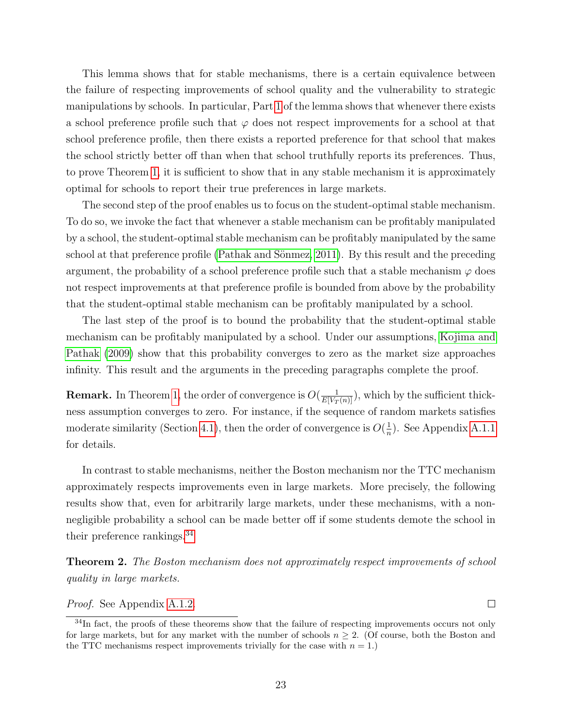This lemma shows that for stable mechanisms, there is a certain equivalence between the failure of respecting improvements of school quality and the vulnerability to strategic manipulations by schools. In particular, Part [1](#page-21-3) of the lemma shows that whenever there exists a school preference profile such that  $\varphi$  does not respect improvements for a school at that school preference profile, then there exists a reported preference for that school that makes the school strictly better off than when that school truthfully reports its preferences. Thus, to prove Theorem [1,](#page-20-0) it is sufficient to show that in any stable mechanism it is approximately optimal for schools to report their true preferences in large markets.

The second step of the proof enables us to focus on the student-optimal stable mechanism. To do so, we invoke the fact that whenever a stable mechanism can be profitably manipulated by a school, the student-optimal stable mechanism can be profitably manipulated by the same school at that preference profile (Pathak and Sönmez, 2011). By this result and the preceding argument, the probability of a school preference profile such that a stable mechanism  $\varphi$  does not respect improvements at that preference profile is bounded from above by the probability that the student-optimal stable mechanism can be profitably manipulated by a school.

The last step of the proof is to bound the probability that the student-optimal stable mechanism can be profitably manipulated by a school. Under our assumptions, [Kojima and](#page-38-2) [Pathak \(2009\)](#page-38-2) show that this probability converges to zero as the market size approaches infinity. This result and the arguments in the preceding paragraphs complete the proof.

**Remark.** In Theorem [1,](#page-20-0) the order of convergence is  $O(\frac{1}{E[V_T(n)]})$ , which by the sufficient thickness assumption converges to zero. For instance, if the sequence of random markets satisfies moderate similarity (Section [4.1\)](#page-17-2), then the order of convergence is  $O(\frac{1}{n})$  $\frac{1}{n}$ ). See Appendix [A.1.1](#page-40-0) for details.

In contrast to stable mechanisms, neither the Boston mechanism nor the TTC mechanism approximately respects improvements even in large markets. More precisely, the following results show that, even for arbitrarily large markets, under these mechanisms, with a nonnegligible probability a school can be made better off if some students demote the school in their preference rankings.[34](#page-22-0)

<span id="page-22-1"></span>Theorem 2. The Boston mechanism does not approximately respect improvements of school quality in large markets.

 $\Box$ 

Proof. See Appendix [A.1.2.](#page-43-0)

<span id="page-22-0"></span><sup>&</sup>lt;sup>34</sup>In fact, the proofs of these theorems show that the failure of respecting improvements occurs not only for large markets, but for any market with the number of schools  $n \geq 2$ . (Of course, both the Boston and the TTC mechanisms respect improvements trivially for the case with  $n = 1$ .)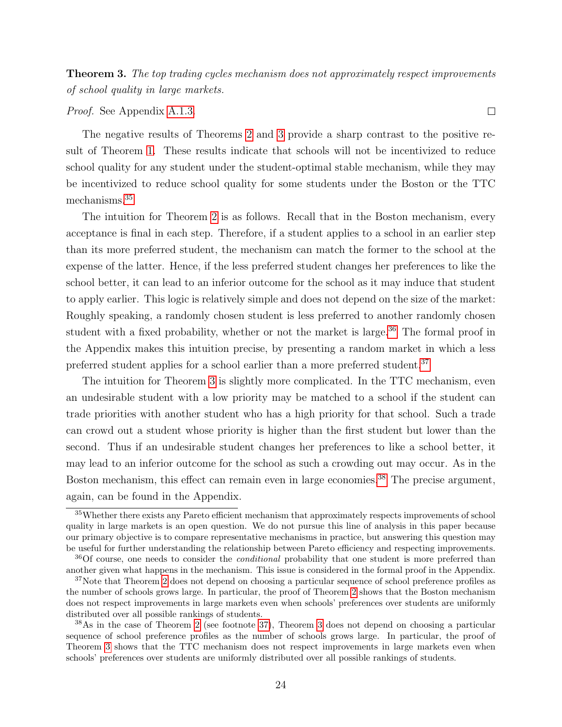<span id="page-23-0"></span>Theorem 3. The top trading cycles mechanism does not approximately respect improvements of school quality in large markets.

Proof. See Appendix [A.1.3.](#page-45-0)

The negative results of Theorems [2](#page-22-1) and [3](#page-23-0) provide a sharp contrast to the positive result of Theorem [1.](#page-20-0) These results indicate that schools will not be incentivized to reduce school quality for any student under the student-optimal stable mechanism, while they may be incentivized to reduce school quality for some students under the Boston or the TTC mechanisms.[35](#page-23-1)

The intuition for Theorem [2](#page-22-1) is as follows. Recall that in the Boston mechanism, every acceptance is final in each step. Therefore, if a student applies to a school in an earlier step than its more preferred student, the mechanism can match the former to the school at the expense of the latter. Hence, if the less preferred student changes her preferences to like the school better, it can lead to an inferior outcome for the school as it may induce that student to apply earlier. This logic is relatively simple and does not depend on the size of the market: Roughly speaking, a randomly chosen student is less preferred to another randomly chosen student with a fixed probability, whether or not the market is large.<sup>[36](#page-23-2)</sup> The formal proof in the Appendix makes this intuition precise, by presenting a random market in which a less preferred student applies for a school earlier than a more preferred student.<sup>[37](#page-23-3)</sup>

The intuition for Theorem [3](#page-23-0) is slightly more complicated. In the TTC mechanism, even an undesirable student with a low priority may be matched to a school if the student can trade priorities with another student who has a high priority for that school. Such a trade can crowd out a student whose priority is higher than the first student but lower than the second. Thus if an undesirable student changes her preferences to like a school better, it may lead to an inferior outcome for the school as such a crowding out may occur. As in the Boston mechanism, this effect can remain even in large economies.<sup>[38](#page-23-4)</sup> The precise argument, again, can be found in the Appendix.

24

<span id="page-23-1"></span><sup>35</sup>Whether there exists any Pareto efficient mechanism that approximately respects improvements of school quality in large markets is an open question. We do not pursue this line of analysis in this paper because our primary objective is to compare representative mechanisms in practice, but answering this question may be useful for further understanding the relationship between Pareto efficiency and respecting improvements.

<span id="page-23-2"></span><sup>&</sup>lt;sup>36</sup>Of course, one needs to consider the *conditional* probability that one student is more preferred than another given what happens in the mechanism. This issue is considered in the formal proof in the Appendix.

<span id="page-23-3"></span><sup>&</sup>lt;sup>37</sup>Note that Theorem [2](#page-22-1) does not depend on choosing a particular sequence of school preference profiles as the number of schools grows large. In particular, the proof of Theorem [2](#page-22-1) shows that the Boston mechanism does not respect improvements in large markets even when schools' preferences over students are uniformly distributed over all possible rankings of students.

<span id="page-23-4"></span><sup>38</sup>As in the case of Theorem [2](#page-22-1) (see footnote [37\)](#page-23-3), Theorem [3](#page-23-0) does not depend on choosing a particular sequence of school preference profiles as the number of schools grows large. In particular, the proof of Theorem [3](#page-23-0) shows that the TTC mechanism does not respect improvements in large markets even when schools' preferences over students are uniformly distributed over all possible rankings of students.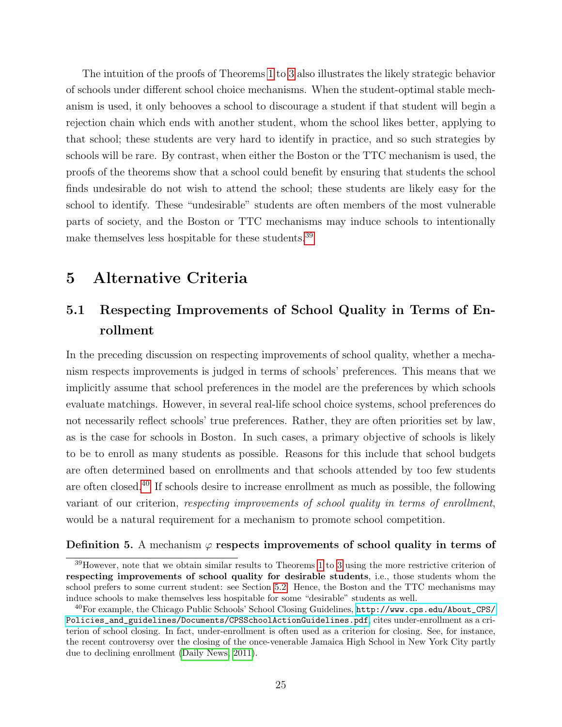The intuition of the proofs of Theorems [1](#page-20-0) to [3](#page-23-0) also illustrates the likely strategic behavior of schools under different school choice mechanisms. When the student-optimal stable mechanism is used, it only behooves a school to discourage a student if that student will begin a rejection chain which ends with another student, whom the school likes better, applying to that school; these students are very hard to identify in practice, and so such strategies by schools will be rare. By contrast, when either the Boston or the TTC mechanism is used, the proofs of the theorems show that a school could benefit by ensuring that students the school finds undesirable do not wish to attend the school; these students are likely easy for the school to identify. These "undesirable" students are often members of the most vulnerable parts of society, and the Boston or TTC mechanisms may induce schools to intentionally make themselves less hospitable for these students.[39](#page-24-2)

## <span id="page-24-1"></span>5 Alternative Criteria

# <span id="page-24-0"></span>5.1 Respecting Improvements of School Quality in Terms of Enrollment

In the preceding discussion on respecting improvements of school quality, whether a mechanism respects improvements is judged in terms of schools' preferences. This means that we implicitly assume that school preferences in the model are the preferences by which schools evaluate matchings. However, in several real-life school choice systems, school preferences do not necessarily reflect schools' true preferences. Rather, they are often priorities set by law, as is the case for schools in Boston. In such cases, a primary objective of schools is likely to be to enroll as many students as possible. Reasons for this include that school budgets are often determined based on enrollments and that schools attended by too few students are often closed.[40](#page-24-3) If schools desire to increase enrollment as much as possible, the following variant of our criterion, respecting improvements of school quality in terms of enrollment, would be a natural requirement for a mechanism to promote school competition.

#### Definition 5. A mechanism  $\varphi$  respects improvements of school quality in terms of

<span id="page-24-2"></span><sup>&</sup>lt;sup>39</sup>However, note that we obtain similar results to Theorems [1](#page-20-0) to [3](#page-23-0) using the more restrictive criterion of respecting improvements of school quality for desirable students, i.e., those students whom the school prefers to some current student: see Section [5.2.](#page-26-0) Hence, the Boston and the TTC mechanisms may induce schools to make themselves less hospitable for some "desirable" students as well.

<span id="page-24-3"></span> $^{40}$ For example, the Chicago Public Schools' School Closing Guidelines,  ${\tt http://www.cps.edu/About_CPS/}$  ${\tt http://www.cps.edu/About_CPS/}$  ${\tt http://www.cps.edu/About_CPS/}$ [Policies\\_and\\_guidelines/Documents/CPSSchoolActionGuidelines.pdf](http://www.cps.edu/About_CPS/Policies_and_guidelines/Documents/CPSSchoolActionGuidelines.pdf), cites under-enrollment as a criterion of school closing. In fact, under-enrollment is often used as a criterion for closing. See, for instance, the recent controversy over the closing of the once-venerable Jamaica High School in New York City partly due to declining enrollment [\(Daily News, 2011\)](#page-36-10).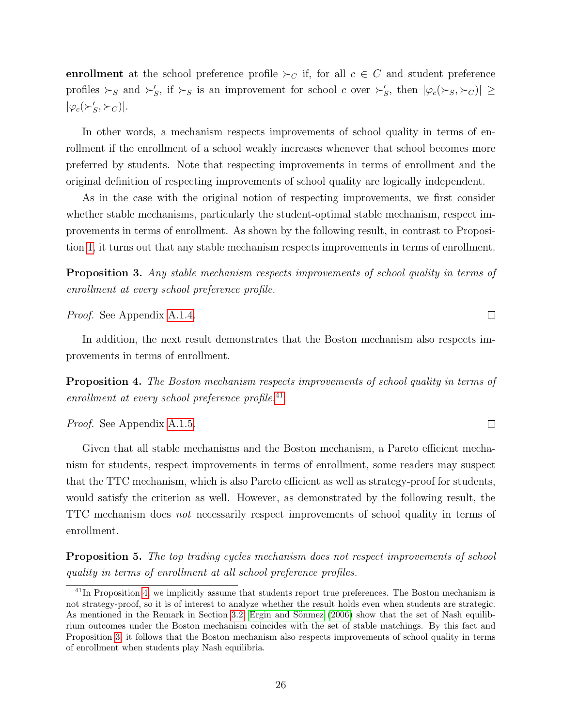enrollment at the school preference profile  $\succ_C$  if, for all  $c \in C$  and student preference profiles  $\succ_S$  and  $\succ'_S$ , if  $\succ_S$  is an improvement for school c over  $\succ'_S$ , then  $|\varphi_c(\succ_S, \succ_C)| \ge$  $|\varphi_c(\succ_S', \succ_C)|.$ 

In other words, a mechanism respects improvements of school quality in terms of enrollment if the enrollment of a school weakly increases whenever that school becomes more preferred by students. Note that respecting improvements in terms of enrollment and the original definition of respecting improvements of school quality are logically independent.

As in the case with the original notion of respecting improvements, we first consider whether stable mechanisms, particularly the student-optimal stable mechanism, respect improvements in terms of enrollment. As shown by the following result, in contrast to Proposition [1,](#page-13-1) it turns out that any stable mechanism respects improvements in terms of enrollment.

<span id="page-25-2"></span>Proposition 3. Any stable mechanism respects improvements of school quality in terms of enrollment at every school preference profile.

 $\Box$ 

 $\Box$ 

Proof. See Appendix [A.1.4.](#page-47-0)

In addition, the next result demonstrates that the Boston mechanism also respects improvements in terms of enrollment.

<span id="page-25-1"></span>Proposition 4. The Boston mechanism respects improvements of school quality in terms of enrollment at every school preference profile. $^{41}$  $^{41}$  $^{41}$ 

Proof. See Appendix [A.1.5.](#page-48-0)

Given that all stable mechanisms and the Boston mechanism, a Pareto efficient mechanism for students, respect improvements in terms of enrollment, some readers may suspect that the TTC mechanism, which is also Pareto efficient as well as strategy-proof for students, would satisfy the criterion as well. However, as demonstrated by the following result, the TTC mechanism does not necessarily respect improvements of school quality in terms of enrollment.

<span id="page-25-3"></span>Proposition 5. The top trading cycles mechanism does not respect improvements of school quality in terms of enrollment at all school preference profiles.

<span id="page-25-0"></span><sup>&</sup>lt;sup>41</sup>In Proposition [4,](#page-25-1) we implicitly assume that students report true preferences. The Boston mechanism is not strategy-proof, so it is of interest to analyze whether the result holds even when students are strategic. As mentioned in the Remark in Section [3.2,](#page-14-1) Ergin and Sönmez  $(2006)$  show that the set of Nash equilibrium outcomes under the Boston mechanism coincides with the set of stable matchings. By this fact and Proposition [3,](#page-25-2) it follows that the Boston mechanism also respects improvements of school quality in terms of enrollment when students play Nash equilibria.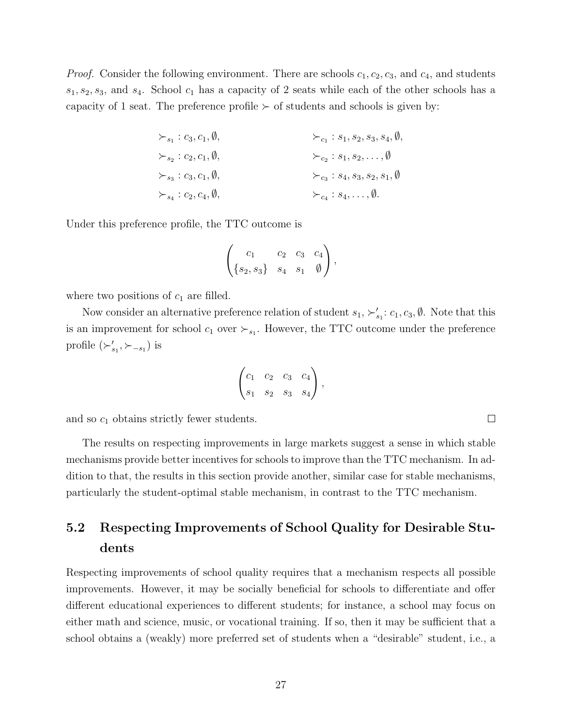*Proof.* Consider the following environment. There are schools  $c_1, c_2, c_3$ , and  $c_4$ , and students  $s_1, s_2, s_3$ , and  $s_4$ . School  $c_1$  has a capacity of 2 seats while each of the other schools has a capacity of 1 seat. The preference profile  $\succ$  of students and schools is given by:

$$
\begin{aligned}\n &\succ_{s_1}:c_3,c_1,\emptyset, &\succ_{c_1}:s_1,s_2,s_3,s_4,\emptyset, \\
&\succ_{s_2}:c_2,c_1,\emptyset, &\succ_{c_2}:s_1,s_2,\ldots,\emptyset \\
&\succ_{s_3}:c_3,c_1,\emptyset, &\succ_{c_3}:s_4,s_3,s_2,s_1,\emptyset \\
&\succ_{s_4}:c_2,c_4,\emptyset, &\succ_{c_4}:s_4,\ldots,\emptyset.\n\end{aligned}
$$

Under this preference profile, the TTC outcome is

$$
\begin{pmatrix} c_1 & c_2 & c_3 & c_4 \ \{s_2, s_3\} & s_4 & s_1 & \emptyset \end{pmatrix},
$$

where two positions of  $c_1$  are filled.

Now consider an alternative preference relation of student  $s_1, \succ_{s_1}': c_1, c_3, \emptyset$ . Note that this is an improvement for school  $c_1$  over  $\succ_{s_1}$ . However, the TTC outcome under the preference profile  $(\succ_{s_1}', \succ_{-s_1})$  is

$$
\begin{pmatrix} c_1 & c_2 & c_3 & c_4 \ s_1 & s_2 & s_3 & s_4 \end{pmatrix},
$$

and so  $c_1$  obtains strictly fewer students.

The results on respecting improvements in large markets suggest a sense in which stable mechanisms provide better incentives for schools to improve than the TTC mechanism. In addition to that, the results in this section provide another, similar case for stable mechanisms, particularly the student-optimal stable mechanism, in contrast to the TTC mechanism.

# <span id="page-26-0"></span>5.2 Respecting Improvements of School Quality for Desirable Students

Respecting improvements of school quality requires that a mechanism respects all possible improvements. However, it may be socially beneficial for schools to differentiate and offer different educational experiences to different students; for instance, a school may focus on either math and science, music, or vocational training. If so, then it may be sufficient that a school obtains a (weakly) more preferred set of students when a "desirable" student, i.e., a

 $\Box$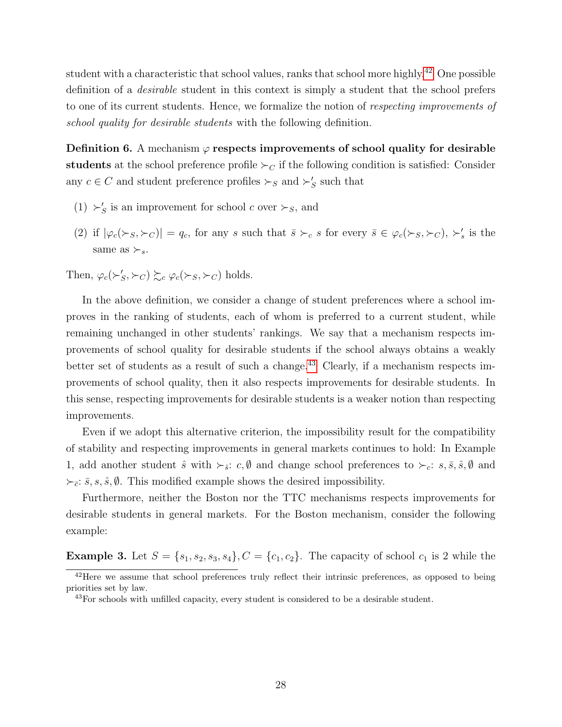student with a characteristic that school values, ranks that school more highly.<sup>[42](#page-27-0)</sup> One possible definition of a desirable student in this context is simply a student that the school prefers to one of its current students. Hence, we formalize the notion of respecting improvements of school quality for desirable students with the following definition.

<span id="page-27-2"></span>Definition 6. A mechanism  $\varphi$  respects improvements of school quality for desirable students at the school preference profile  $\succ_C$  if the following condition is satisfied: Consider any  $c \in C$  and student preference profiles  $\succ_S$  and  $\succ'_S$  such that

- (1)  $\succ'_S$  is an improvement for school c over  $\succ_S$ , and
- (2) if  $|\varphi_c(\succ_s,\succ_c)| = q_c$ , for any s such that  $\bar{s} \succ_c s$  for every  $\bar{s} \in \varphi_c(\succ_s,\succ_c)$ ,  $\succ'_s$  is the same as  $\succ$ <sub>s</sub>.

Then,  $\varphi_c(\succ'_S, \succ_C) \succsim_c \varphi_c(\succ_S, \succ_C)$  holds.

In the above definition, we consider a change of student preferences where a school improves in the ranking of students, each of whom is preferred to a current student, while remaining unchanged in other students' rankings. We say that a mechanism respects improvements of school quality for desirable students if the school always obtains a weakly better set of students as a result of such a change.<sup>[43](#page-27-1)</sup> Clearly, if a mechanism respects improvements of school quality, then it also respects improvements for desirable students. In this sense, respecting improvements for desirable students is a weaker notion than respecting improvements.

Even if we adopt this alternative criterion, the impossibility result for the compatibility of stability and respecting improvements in general markets continues to hold: In Example 1, add another student  $\hat{s}$  with  $\succ_{\hat{s}}: c, \emptyset$  and change school preferences to  $\succ_{c}: s, \overline{s}, \hat{s}, \emptyset$  and  $\succ_{\bar{c}}: \bar{s}, s, \hat{s}, \emptyset$ . This modified example shows the desired impossibility.

Furthermore, neither the Boston nor the TTC mechanisms respects improvements for desirable students in general markets. For the Boston mechanism, consider the following example:

**Example 3.** Let  $S = \{s_1, s_2, s_3, s_4\}$ ,  $C = \{c_1, c_2\}$ . The capacity of school  $c_1$  is 2 while the

<span id="page-27-0"></span><sup>&</sup>lt;sup>42</sup>Here we assume that school preferences truly reflect their intrinsic preferences, as opposed to being priorities set by law.

<span id="page-27-1"></span><sup>&</sup>lt;sup>43</sup>For schools with unfilled capacity, every student is considered to be a desirable student.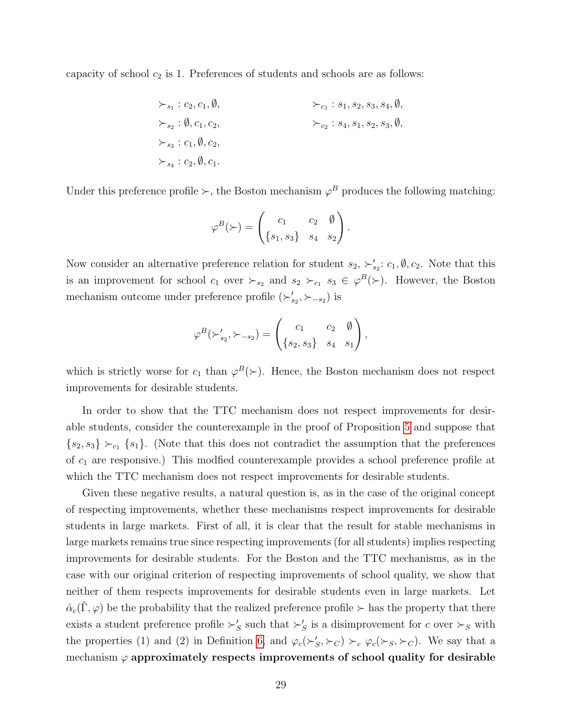capacity of school  $c_2$  is 1. Preferences of students and schools are as follows:

$$
\begin{aligned}\n &\succ_{s_1}:c_2,c_1,\emptyset, &\succ_{c_1}:s_1,s_2,s_3,s_4,\emptyset, \\
&\succ_{s_2}:\emptyset,c_1,c_2, &\succ_{c_2}:s_4,s_1,s_2,s_3,\emptyset, \\
&\succ_{s_3}:c_1,\emptyset,c_2, &\succ_{s_4}:c_2,\emptyset,c_1.\n\end{aligned}
$$

Under this preference profile  $\succ$ , the Boston mechanism  $\varphi^B$  produces the following matching:

$$
\varphi^B(\succ) = \begin{pmatrix} c_1 & c_2 & \emptyset \\ \{s_1, s_3\} & s_4 & s_2 \end{pmatrix}.
$$

Now consider an alternative preference relation for student  $s_2$ ,  $\succ'_{s_2}: c_1, \emptyset, c_2$ . Note that this is an improvement for school  $c_1$  over  $\succ_{s_2}$  and  $s_2 \succ_{c_1} s_3 \in \varphi^B(\succ)$ . However, the Boston mechanism outcome under preference profile  $(\succ_{s_2}', \succ_{-s_2})$  is

$$
\varphi^B(\succ_{s_2}', \succ_{-s_2}) = \begin{pmatrix} c_1 & c_2 & \emptyset \\ \{s_2, s_3\} & s_4 & s_1 \end{pmatrix},
$$

which is strictly worse for  $c_1$  than  $\varphi^B(\succ)$ . Hence, the Boston mechanism does not respect improvements for desirable students.

In order to show that the TTC mechanism does not respect improvements for desirable students, consider the counterexample in the proof of Proposition [5](#page-25-3) and suppose that  ${s_2, s_3} \succ_{c_1} {s_1}.$  (Note that this does not contradict the assumption that the preferences of  $c_1$  are responsive.) This modified counterexample provides a school preference profile at which the TTC mechanism does not respect improvements for desirable students.

Given these negative results, a natural question is, as in the case of the original concept of respecting improvements, whether these mechanisms respect improvements for desirable students in large markets. First of all, it is clear that the result for stable mechanisms in large markets remains true since respecting improvements (for all students) implies respecting improvements for desirable students. For the Boston and the TTC mechanisms, as in the case with our original criterion of respecting improvements of school quality, we show that neither of them respects improvements for desirable students even in large markets. Let  $\hat{\alpha}_c(\tilde{\Gamma}, \varphi)$  be the probability that the realized preference profile  $\succ$  has the property that there exists a student preference profile  $\succ'_S$  such that  $\succ'_S$  is a disimprovement for c over  $\succ_S$  with the properties (1) and (2) in Definition [6,](#page-27-2) and  $\varphi_c(\succ'_S, \succ_C) \succ_c \varphi_c(\succ_S, \succ_C)$ . We say that a mechanism  $\varphi$  approximately respects improvements of school quality for desirable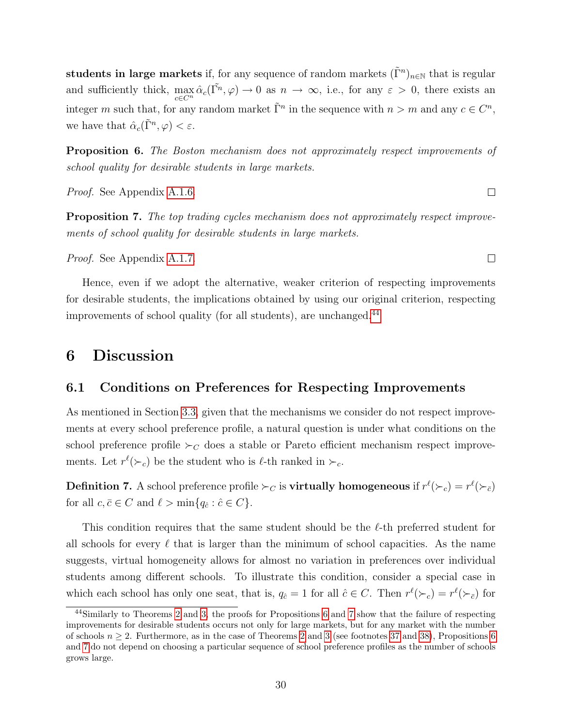students in large markets if, for any sequence of random markets  $(\tilde{\Gamma}^n)_{n\in\mathbb{N}}$  that is regular and sufficiently thick,  $\max_{c \in C^n} \hat{\alpha}_c(\tilde{\Gamma^n}, \varphi) \to 0$  as  $n \to \infty$ , i.e., for any  $\varepsilon > 0$ , there exists an integer m such that, for any random market  $\tilde{\Gamma}^n$  in the sequence with  $n > m$  and any  $c \in C^n$ , we have that  $\hat{\alpha}_c(\tilde{\Gamma}^n, \varphi) < \varepsilon$ .

<span id="page-29-3"></span>Proposition 6. The Boston mechanism does not approximately respect improvements of school quality for desirable students in large markets.

Proof. See Appendix [A.1.6.](#page-49-0)

<span id="page-29-4"></span>Proposition 7. The top trading cycles mechanism does not approximately respect improvements of school quality for desirable students in large markets.

Proof. See Appendix [A.1.7.](#page-51-0)

Hence, even if we adopt the alternative, weaker criterion of respecting improvements for desirable students, the implications obtained by using our original criterion, respecting improvements of school quality (for all students), are unchanged.[44](#page-29-2)

### <span id="page-29-0"></span>6 Discussion

#### <span id="page-29-1"></span>6.1 Conditions on Preferences for Respecting Improvements

As mentioned in Section [3.3,](#page-16-2) given that the mechanisms we consider do not respect improvements at every school preference profile, a natural question is under what conditions on the school preference profile  $\succ_C$  does a stable or Pareto efficient mechanism respect improvements. Let  $r^{\ell}(\succ_c)$  be the student who is  $\ell$ -th ranked in  $\succ_c$ .

**Definition 7.** A school preference profile  $\succ_C$  is **virtually homogeneous** if  $r^{\ell}(\succ_c) = r^{\ell}(\succ_{\bar{c}})$ for all  $c, \bar{c} \in C$  and  $\ell > \min\{q_{\hat{c}} : \hat{c} \in C\}.$ 

This condition requires that the same student should be the  $\ell$ -th preferred student for all schools for every  $\ell$  that is larger than the minimum of school capacities. As the name suggests, virtual homogeneity allows for almost no variation in preferences over individual students among different schools. To illustrate this condition, consider a special case in which each school has only one seat, that is,  $q_{\hat{c}} = 1$  for all  $\hat{c} \in C$ . Then  $r^{\ell}(\succ_c) = r^{\ell}(\succ_{\bar{c}})$  for

 $\Box$ 

 $\Box$ 

<span id="page-29-2"></span><sup>44</sup>Similarly to Theorems [2](#page-22-1) and [3,](#page-23-0) the proofs for Propositions [6](#page-29-3) and [7](#page-29-4) show that the failure of respecting improvements for desirable students occurs not only for large markets, but for any market with the number of schools  $n \geq 2$  $n \geq 2$ . Furthermore, as in the case of Theorems 2 and [3](#page-23-0) (see footnotes [37](#page-23-3) and [38\)](#page-23-4), Propositions [6](#page-29-3) and [7](#page-29-4) do not depend on choosing a particular sequence of school preference profiles as the number of schools grows large.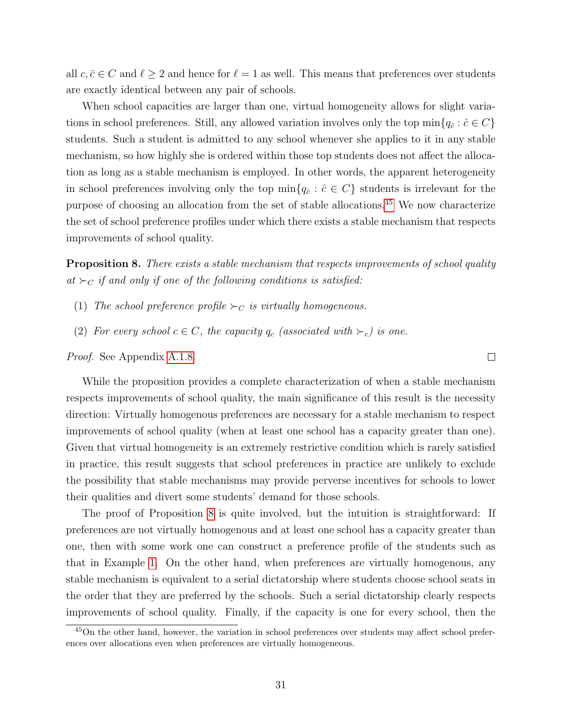all  $c, \bar{c} \in C$  and  $\ell \geq 2$  and hence for  $\ell = 1$  as well. This means that preferences over students are exactly identical between any pair of schools.

When school capacities are larger than one, virtual homogeneity allows for slight variations in school preferences. Still, any allowed variation involves only the top min ${q_{\hat{c}} : \hat{c} \in C}$ students. Such a student is admitted to any school whenever she applies to it in any stable mechanism, so how highly she is ordered within those top students does not affect the allocation as long as a stable mechanism is employed. In other words, the apparent heterogeneity in school preferences involving only the top  $\min\{q_{\hat{c}} : \hat{c} \in C\}$  students is irrelevant for the purpose of choosing an allocation from the set of stable allocations.[45](#page-30-1) We now characterize the set of school preference profiles under which there exists a stable mechanism that respects improvements of school quality.

<span id="page-30-0"></span>**Proposition 8.** There exists a stable mechanism that respects improvements of school quality at  $\succ_C$  if and only if one of the following conditions is satisfied:

 $\Box$ 

- (1) The school preference profile  $\succ_C$  is virtually homogeneous.
- (2) For every school  $c \in C$ , the capacity  $q_c$  (associated with  $\succ_c$ ) is one.

Proof. See Appendix [A.1.8.](#page-54-0)

While the proposition provides a complete characterization of when a stable mechanism respects improvements of school quality, the main significance of this result is the necessity direction: Virtually homogenous preferences are necessary for a stable mechanism to respect improvements of school quality (when at least one school has a capacity greater than one). Given that virtual homogeneity is an extremely restrictive condition which is rarely satisfied in practice, this result suggests that school preferences in practice are unlikely to exclude the possibility that stable mechanisms may provide perverse incentives for schools to lower their qualities and divert some students' demand for those schools.

The proof of Proposition [8](#page-30-0) is quite involved, but the intuition is straightforward: If preferences are not virtually homogenous and at least one school has a capacity greater than one, then with some work one can construct a preference profile of the students such as that in Example [1.](#page-12-4) On the other hand, when preferences are virtually homogenous, any stable mechanism is equivalent to a serial dictatorship where students choose school seats in the order that they are preferred by the schools. Such a serial dictatorship clearly respects improvements of school quality. Finally, if the capacity is one for every school, then the

<span id="page-30-1"></span><sup>45</sup>On the other hand, however, the variation in school preferences over students may affect school preferences over allocations even when preferences are virtually homogeneous.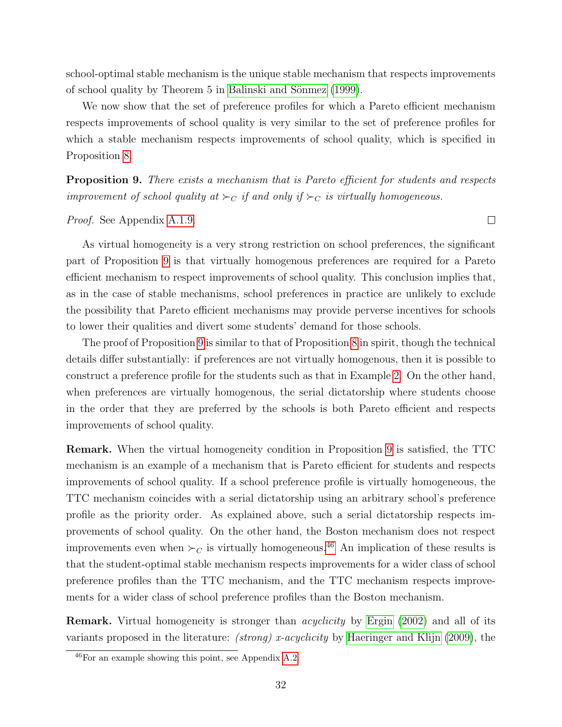school-optimal stable mechanism is the unique stable mechanism that respects improvements of school quality by Theorem 5 in Balinski and Sönmez (1999).

We now show that the set of preference profiles for which a Pareto efficient mechanism respects improvements of school quality is very similar to the set of preference profiles for which a stable mechanism respects improvements of school quality, which is specified in Proposition [8.](#page-30-0)

<span id="page-31-0"></span>**Proposition 9.** There exists a mechanism that is Pareto efficient for students and respects improvement of school quality at  $\succ_C$  if and only if  $\succ_C$  is virtually homogeneous.

Proof. See Appendix [A.1.9.](#page-59-0)

As virtual homogeneity is a very strong restriction on school preferences, the significant part of Proposition [9](#page-31-0) is that virtually homogenous preferences are required for a Pareto efficient mechanism to respect improvements of school quality. This conclusion implies that, as in the case of stable mechanisms, school preferences in practice are unlikely to exclude the possibility that Pareto efficient mechanisms may provide perverse incentives for schools to lower their qualities and divert some students' demand for those schools.

The proof of Proposition [9](#page-31-0) is similar to that of Proposition [8](#page-30-0) in spirit, though the technical details differ substantially: if preferences are not virtually homogenous, then it is possible to construct a preference profile for the students such as that in Example [2.](#page-14-0) On the other hand, when preferences are virtually homogenous, the serial dictatorship where students choose in the order that they are preferred by the schools is both Pareto efficient and respects improvements of school quality.

Remark. When the virtual homogeneity condition in Proposition [9](#page-31-0) is satisfied, the TTC mechanism is an example of a mechanism that is Pareto efficient for students and respects improvements of school quality. If a school preference profile is virtually homogeneous, the TTC mechanism coincides with a serial dictatorship using an arbitrary school's preference profile as the priority order. As explained above, such a serial dictatorship respects improvements of school quality. On the other hand, the Boston mechanism does not respect improvements even when  $\succ_C$  is virtually homogeneous.<sup>[46](#page-31-1)</sup> An implication of these results is that the student-optimal stable mechanism respects improvements for a wider class of school preference profiles than the TTC mechanism, and the TTC mechanism respects improvements for a wider class of school preference profiles than the Boston mechanism.

Remark. Virtual homogeneity is stronger than acyclicity by [Ergin \(2002\)](#page-37-4) and all of its variants proposed in the literature: *(strong) x-acyclicity* by [Haeringer and Klijn \(2009\)](#page-37-6), the

 $\Box$ 

<span id="page-31-1"></span><sup>46</sup>For an example showing this point, see Appendix [A.2.](#page-61-0)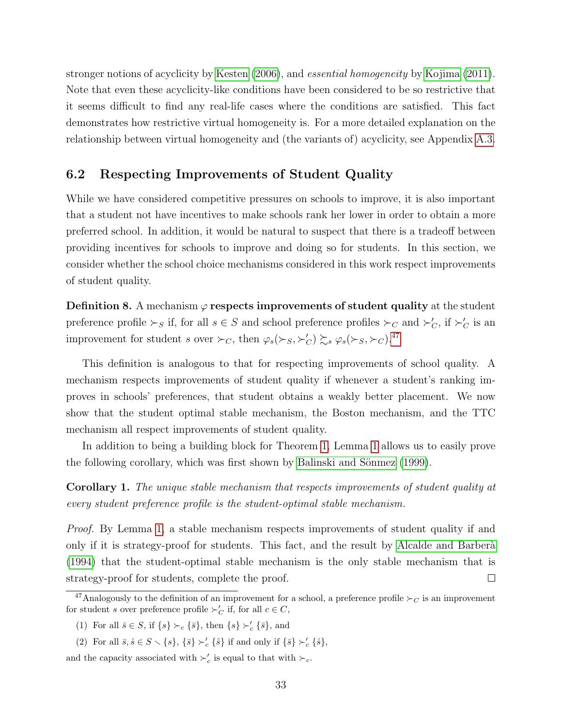stronger notions of acyclicity by [Kesten \(2006\)](#page-37-5), and essential homogeneity by [Kojima \(2011\)](#page-37-11). Note that even these acyclicity-like conditions have been considered to be so restrictive that it seems difficult to find any real-life cases where the conditions are satisfied. This fact demonstrates how restrictive virtual homogeneity is. For a more detailed explanation on the relationship between virtual homogeneity and (the variants of) acyclicity, see Appendix [A.3.](#page-61-1)

#### <span id="page-32-0"></span>6.2 Respecting Improvements of Student Quality

While we have considered competitive pressures on schools to improve, it is also important that a student not have incentives to make schools rank her lower in order to obtain a more preferred school. In addition, it would be natural to suspect that there is a tradeoff between providing incentives for schools to improve and doing so for students. In this section, we consider whether the school choice mechanisms considered in this work respect improvements of student quality.

**Definition 8.** A mechanism  $\varphi$  respects improvements of student quality at the student preference profile  $\succ_S$  if, for all  $s \in S$  and school preference profiles  $\succ_C$  and  $\succ'_{C}$ , if  $\succ'_{C}$  is an improvement for student s over  $\succ_C$ , then  $\varphi_s(\succ_S, \succ_C') \succsim_s \varphi_s(\succ_S, \succ_C)$ .<sup>[47](#page-32-2)</sup>

This definition is analogous to that for respecting improvements of school quality. A mechanism respects improvements of student quality if whenever a student's ranking improves in schools' preferences, that student obtains a weakly better placement. We now show that the student optimal stable mechanism, the Boston mechanism, and the TTC mechanism all respect improvements of student quality.

In addition to being a building block for Theorem [1,](#page-20-0) Lemma [1](#page-21-2) allows us to easily prove the following corollary, which was first shown by Balinski and Sönmez (1999).

<span id="page-32-1"></span>Corollary 1. The unique stable mechanism that respects improvements of student quality at every student preference profile is the student-optimal stable mechanism.

Proof. By Lemma [1,](#page-21-2) a stable mechanism respects improvements of student quality if and only if it is strategy-proof for students. This fact, and the result by Alcalde and Barberà [\(1994\)](#page-36-11) that the student-optimal stable mechanism is the only stable mechanism that is strategy-proof for students, complete the proof.  $\Box$ 

and the capacity associated with  $\succ'_c$  is equal to that with  $\succ_c$ .

<span id="page-32-2"></span><sup>&</sup>lt;sup>47</sup>Analogously to the definition of an improvement for a school, a preference profile  $\succ_C$  is an improvement for student s over preference profile  $\succ_C'$  if, for all  $c \in C$ ,

<sup>(1)</sup> For all  $\bar{s} \in S$ , if  $\{s\} \succ_c {\{\bar{s}\}}$ , then  $\{s\} \succ_c {\{\bar{s}\}}$ , and

<sup>(2)</sup> For all  $\bar{s}, \hat{s} \in S \setminus \{s\}, \{\bar{s}\} \succ'_{c} \{\hat{s}\}$  if and only if  $\{\bar{s}\} \succ'_{c} \{\hat{s}\},$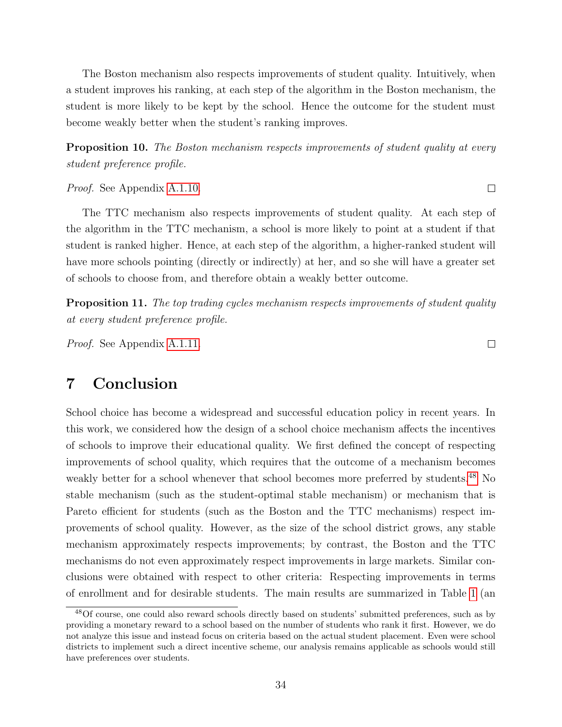The Boston mechanism also respects improvements of student quality. Intuitively, when a student improves his ranking, at each step of the algorithm in the Boston mechanism, the student is more likely to be kept by the school. Hence the outcome for the student must become weakly better when the student's ranking improves.

<span id="page-33-2"></span>**Proposition 10.** The Boston mechanism respects improvements of student quality at every student preference profile.

Proof. See Appendix [A.1.10.](#page-60-0)

The TTC mechanism also respects improvements of student quality. At each step of the algorithm in the TTC mechanism, a school is more likely to point at a student if that student is ranked higher. Hence, at each step of the algorithm, a higher-ranked student will have more schools pointing (directly or indirectly) at her, and so she will have a greater set of schools to choose from, and therefore obtain a weakly better outcome.

<span id="page-33-3"></span>**Proposition 11.** The top trading cycles mechanism respects improvements of student quality at every student preference profile.

Proof. See Appendix [A.1.11.](#page-60-1)

### <span id="page-33-0"></span>7 Conclusion

School choice has become a widespread and successful education policy in recent years. In this work, we considered how the design of a school choice mechanism affects the incentives of schools to improve their educational quality. We first defined the concept of respecting improvements of school quality, which requires that the outcome of a mechanism becomes weakly better for a school whenever that school becomes more preferred by students.<sup>[48](#page-33-1)</sup> No stable mechanism (such as the student-optimal stable mechanism) or mechanism that is Pareto efficient for students (such as the Boston and the TTC mechanisms) respect improvements of school quality. However, as the size of the school district grows, any stable mechanism approximately respects improvements; by contrast, the Boston and the TTC mechanisms do not even approximately respect improvements in large markets. Similar conclusions were obtained with respect to other criteria: Respecting improvements in terms of enrollment and for desirable students. The main results are summarized in Table [1](#page-34-0) (an

 $\Box$ 

 $\Box$ 

<span id="page-33-1"></span><sup>48</sup>Of course, one could also reward schools directly based on students' submitted preferences, such as by providing a monetary reward to a school based on the number of students who rank it first. However, we do not analyze this issue and instead focus on criteria based on the actual student placement. Even were school districts to implement such a direct incentive scheme, our analysis remains applicable as schools would still have preferences over students.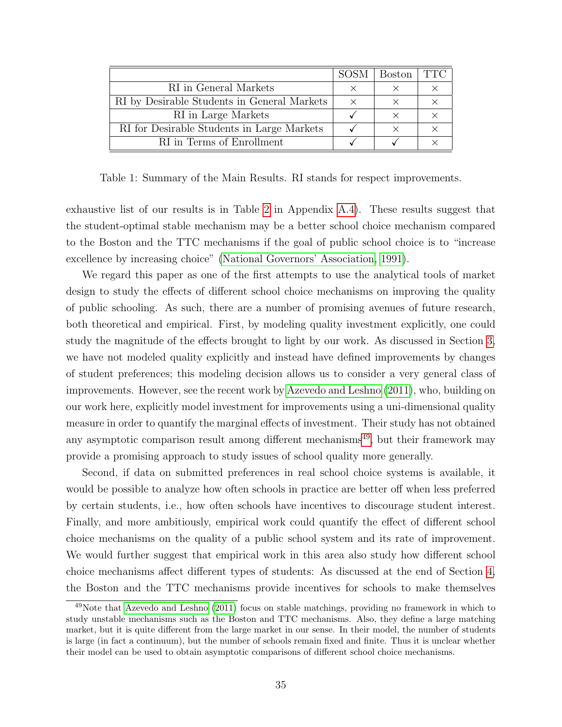|                                             | <b>SOSM</b> | <b>Boston</b> | TTC |
|---------------------------------------------|-------------|---------------|-----|
| RI in General Markets                       | Y           |               |     |
| RI by Desirable Students in General Markets | $\times$    | $\times$      |     |
| RI in Large Markets                         |             | X             |     |
| RI for Desirable Students in Large Markets  |             | $\times$      |     |
| RI in Terms of Enrollment                   |             |               |     |

<span id="page-34-0"></span>Table 1: Summary of the Main Results. RI stands for respect improvements.

exhaustive list of our results is in Table [2](#page-65-0) in Appendix [A.4\)](#page-64-0). These results suggest that the student-optimal stable mechanism may be a better school choice mechanism compared to the Boston and the TTC mechanisms if the goal of public school choice is to "increase excellence by increasing choice" [\(National Governors' Association, 1991\)](#page-38-12).

We regard this paper as one of the first attempts to use the analytical tools of market design to study the effects of different school choice mechanisms on improving the quality of public schooling. As such, there are a number of promising avenues of future research, both theoretical and empirical. First, by modeling quality investment explicitly, one could study the magnitude of the effects brought to light by our work. As discussed in Section [3,](#page-10-0) we have not modeled quality explicitly and instead have defined improvements by changes of student preferences; this modeling decision allows us to consider a very general class of improvements. However, see the recent work by [Azevedo and Leshno \(2011\)](#page-36-5), who, building on our work here, explicitly model investment for improvements using a uni-dimensional quality measure in order to quantify the marginal effects of investment. Their study has not obtained any asymptotic comparison result among different mechanisms<sup>[49](#page-34-1)</sup>, but their framework may provide a promising approach to study issues of school quality more generally.

Second, if data on submitted preferences in real school choice systems is available, it would be possible to analyze how often schools in practice are better off when less preferred by certain students, i.e., how often schools have incentives to discourage student interest. Finally, and more ambitiously, empirical work could quantify the effect of different school choice mechanisms on the quality of a public school system and its rate of improvement. We would further suggest that empirical work in this area also study how different school choice mechanisms affect different types of students: As discussed at the end of Section [4,](#page-17-0) the Boston and the TTC mechanisms provide incentives for schools to make themselves

<span id="page-34-1"></span><sup>&</sup>lt;sup>49</sup>Note that [Azevedo and Leshno](#page-36-5) [\(2011\)](#page-36-5) focus on stable matchings, providing no framework in which to study unstable mechanisms such as the Boston and TTC mechanisms. Also, they define a large matching market, but it is quite different from the large market in our sense. In their model, the number of students is large (in fact a continuum), but the number of schools remain fixed and finite. Thus it is unclear whether their model can be used to obtain asymptotic comparisons of different school choice mechanisms.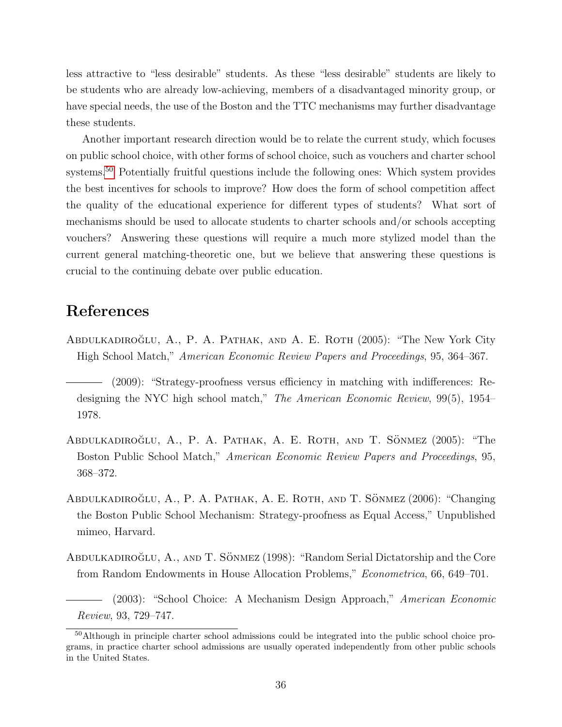less attractive to "less desirable" students. As these "less desirable" students are likely to be students who are already low-achieving, members of a disadvantaged minority group, or have special needs, the use of the Boston and the TTC mechanisms may further disadvantage these students.

Another important research direction would be to relate the current study, which focuses on public school choice, with other forms of school choice, such as vouchers and charter school systems.<sup>[50](#page-35-5)</sup> Potentially fruitful questions include the following ones: Which system provides the best incentives for schools to improve? How does the form of school competition affect the quality of the educational experience for different types of students? What sort of mechanisms should be used to allocate students to charter schools and/or schools accepting vouchers? Answering these questions will require a much more stylized model than the current general matching-theoretic one, but we believe that answering these questions is crucial to the continuing debate over public education.

# References

<span id="page-35-1"></span>ABDULKADIROĞLU, A., P. A. PATHAK, AND A. E. ROTH (2005): "The New York City High School Match," American Economic Review Papers and Proceedings, 95, 364–367.

- <span id="page-35-3"></span>ABDULKADIROĞLU, A., P. A. PATHAK, A. E. ROTH, AND T. SÖNMEZ (2005): "The Boston Public School Match," American Economic Review Papers and Proceedings, 95, 368–372.
- <span id="page-35-4"></span>ABDULKADIROĞLU, A., P. A. PATHAK, A. E. ROTH, AND T. SÖNMEZ (2006): "Changing the Boston Public School Mechanism: Strategy-proofness as Equal Access," Unpublished mimeo, Harvard.
- <span id="page-35-6"></span>ABDULKADIROĞLU, A., AND T. SÖNMEZ (1998): "Random Serial Dictatorship and the Core from Random Endowments in House Allocation Problems," Econometrica, 66, 649–701.

<span id="page-35-0"></span>(2003): "School Choice: A Mechanism Design Approach," American Economic Review, 93, 729–747.

<span id="page-35-2"></span><sup>(2009): &</sup>quot;Strategy-proofness versus efficiency in matching with indifferences: Redesigning the NYC high school match," The American Economic Review, 99(5), 1954– 1978.

<span id="page-35-5"></span><sup>50</sup>Although in principle charter school admissions could be integrated into the public school choice programs, in practice charter school admissions are usually operated independently from other public schools in the United States.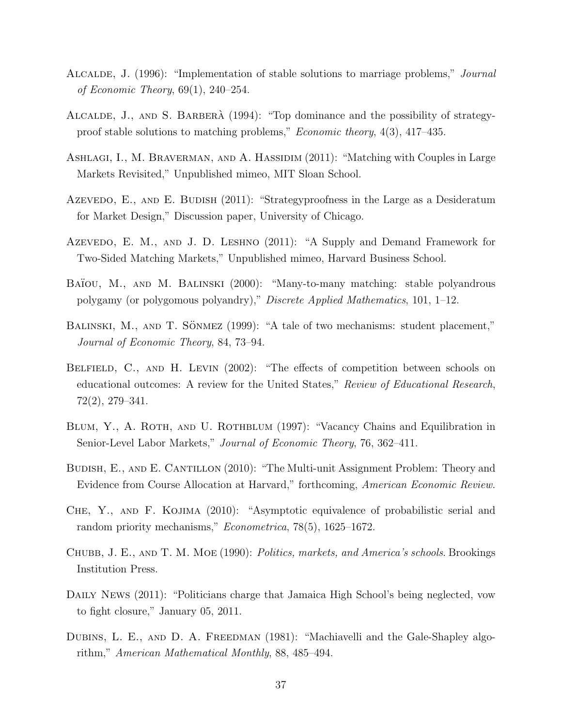- <span id="page-36-8"></span>Alcalde, J. (1996): "Implementation of stable solutions to marriage problems," Journal of Economic Theory, 69(1), 240–254.
- <span id="page-36-11"></span>ALCALDE, J., AND S. BARBERÀ (1994): "Top dominance and the possibility of strategyproof stable solutions to matching problems," Economic theory, 4(3), 417–435.
- <span id="page-36-3"></span>Ashlagi, I., M. Braverman, and A. Hassidim (2011): "Matching with Couples in Large Markets Revisited," Unpublished mimeo, MIT Sloan School.
- <span id="page-36-4"></span>AZEVEDO, E., AND E. BUDISH (2011): "Strategyproofness in the Large as a Desideratum for Market Design," Discussion paper, University of Chicago.
- <span id="page-36-5"></span>AZEVEDO, E. M., AND J. D. LESHNO (2011): "A Supply and Demand Framework for Two-Sided Matching Markets," Unpublished mimeo, Harvard Business School.
- <span id="page-36-1"></span>BAÏOU, M., AND M. BALINSKI (2000): "Many-to-many matching: stable polyandrous polygamy (or polygomous polyandry)," Discrete Applied Mathematics, 101, 1–12.
- <span id="page-36-0"></span>BALINSKI, M., AND T. SÖNMEZ (1999): "A tale of two mechanisms: student placement," Journal of Economic Theory, 84, 73–94.
- <span id="page-36-2"></span>Belfield, C., and H. Levin (2002): "The effects of competition between schools on educational outcomes: A review for the United States," Review of Educational Research, 72(2), 279–341.
- <span id="page-36-12"></span>BLUM, Y., A. ROTH, AND U. ROTHBLUM (1997): "Vacancy Chains and Equilibration in Senior-Level Labor Markets," Journal of Economic Theory, 76, 362–411.
- <span id="page-36-9"></span>BUDISH, E., AND E. CANTILLON (2010): "The Multi-unit Assignment Problem: Theory and Evidence from Course Allocation at Harvard," forthcoming, American Economic Review.
- <span id="page-36-6"></span>Che, Y., and F. Kojima (2010): "Asymptotic equivalence of probabilistic serial and random priority mechanisms," *Econometrica*, 78(5), 1625–1672.
- CHUBB, J. E., AND T. M. MOE (1990): *Politics, markets, and America's schools*. Brookings Institution Press.
- <span id="page-36-10"></span>DAILY NEWS (2011): "Politicians charge that Jamaica High School's being neglected, vow to fight closure," January 05, 2011.
- <span id="page-36-7"></span>DUBINS, L. E., AND D. A. FREEDMAN (1981): "Machiavelli and the Gale-Shapley algorithm," American Mathematical Monthly, 88, 485–494.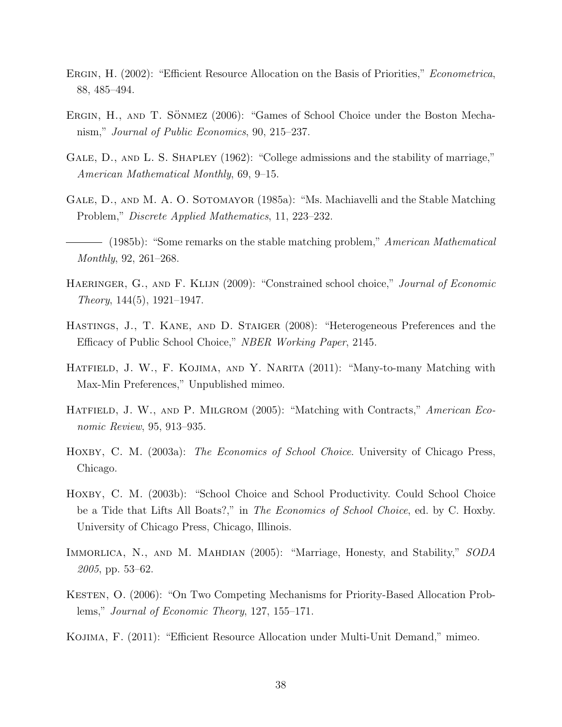- <span id="page-37-4"></span>ERGIN, H. (2002): "Efficient Resource Allocation on the Basis of Priorities," *Econometrica*, 88, 485–494.
- <span id="page-37-1"></span>ERGIN, H., AND T. SÖNMEZ (2006): "Games of School Choice under the Boston Mechanism," Journal of Public Economics, 90, 215–237.
- <span id="page-37-10"></span>GALE, D., AND L. S. SHAPLEY (1962): "College admissions and the stability of marriage," American Mathematical Monthly, 69, 9–15.
- <span id="page-37-12"></span>GALE, D., AND M. A. O. SOTOMAYOR (1985a): "Ms. Machiavelli and the Stable Matching Problem," Discrete Applied Mathematics, 11, 223–232.
- <span id="page-37-13"></span>(1985b): "Some remarks on the stable matching problem," American Mathematical Monthly, 92, 261–268.
- <span id="page-37-6"></span>HAERINGER, G., AND F. KLIJN (2009): "Constrained school choice," Journal of Economic  $Theory, 144(5), 1921-1947.$
- <span id="page-37-8"></span>Hastings, J., T. Kane, and D. Staiger (2008): "Heterogeneous Preferences and the Efficacy of Public School Choice," NBER Working Paper, 2145.
- <span id="page-37-2"></span>HATFIELD, J. W., F. KOJIMA, AND Y. NARITA (2011): "Many-to-many Matching with Max-Min Preferences," Unpublished mimeo.
- <span id="page-37-9"></span>HATFIELD, J. W., AND P. MILGROM (2005): "Matching with Contracts," American Economic Review, 95, 913–935.
- <span id="page-37-7"></span>HOXBY, C. M. (2003a): *The Economics of School Choice*. University of Chicago Press, Chicago.
- <span id="page-37-0"></span>HOXBY, C. M. (2003b): "School Choice and School Productivity. Could School Choice be a Tide that Lifts All Boats?," in The Economics of School Choice, ed. by C. Hoxby. University of Chicago Press, Chicago, Illinois.
- <span id="page-37-3"></span>IMMORLICA, N., AND M. MAHDIAN (2005): "Marriage, Honesty, and Stability," SODA 2005, pp. 53–62.
- <span id="page-37-5"></span>KESTEN, O. (2006): "On Two Competing Mechanisms for Priority-Based Allocation Problems," Journal of Economic Theory, 127, 155–171.
- <span id="page-37-11"></span>Kojima, F. (2011): "Efficient Resource Allocation under Multi-Unit Demand," mimeo.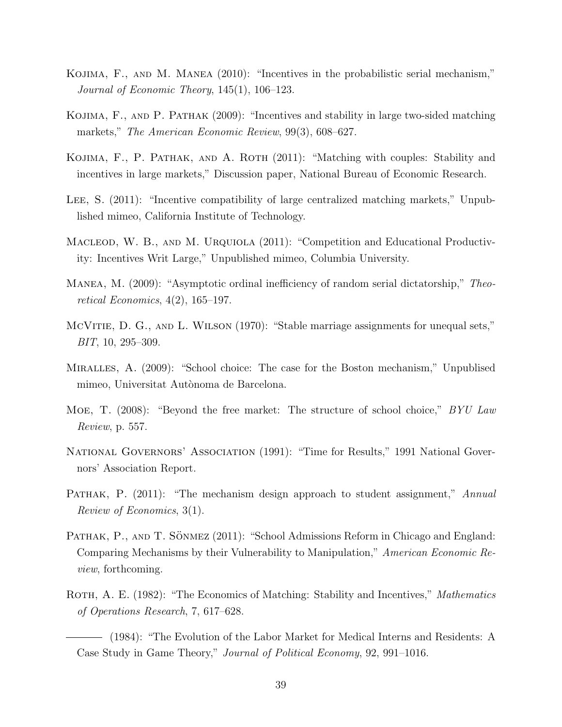- <span id="page-38-4"></span>Kojima, F., and M. Manea (2010): "Incentives in the probabilistic serial mechanism," Journal of Economic Theory, 145(1), 106–123.
- <span id="page-38-2"></span>Kojima, F., and P. Pathak (2009): "Incentives and stability in large two-sided matching markets," *The American Economic Review*, 99(3), 608–627.
- <span id="page-38-5"></span>KOJIMA, F., P. PATHAK, AND A. ROTH (2011): "Matching with couples: Stability and incentives in large markets," Discussion paper, National Bureau of Economic Research.
- <span id="page-38-6"></span>LEE, S. (2011): "Incentive compatibility of large centralized matching markets," Unpublished mimeo, California Institute of Technology.
- <span id="page-38-3"></span>MACLEOD, W. B., AND M. URQUIOLA (2011): "Competition and Educational Productivity: Incentives Writ Large," Unpublished mimeo, Columbia University.
- <span id="page-38-7"></span>Manea, M. (2009): "Asymptotic ordinal inefficiency of random serial dictatorship," Theoretical Economics, 4(2), 165–197.
- <span id="page-38-13"></span>MCVITIE, D. G., AND L. WILSON (1970): "Stable marriage assignments for unequal sets," BIT, 10, 295–309.
- <span id="page-38-10"></span>Miralles, A. (2009): "School choice: The case for the Boston mechanism," Unpublised mimeo, Universitat Autònoma de Barcelona.
- <span id="page-38-0"></span>Moe, T. (2008): "Beyond the free market: The structure of school choice," BYU Law Review, p. 557.
- <span id="page-38-12"></span>National Governors' Association (1991): "Time for Results," 1991 National Governors' Association Report.
- <span id="page-38-1"></span>PATHAK, P.  $(2011)$ : "The mechanism design approach to student assignment," Annual Review of Economics, 3(1).
- <span id="page-38-11"></span>PATHAK, P., AND T. SÖNMEZ (2011): "School Admissions Reform in Chicago and England: Comparing Mechanisms by their Vulnerability to Manipulation," American Economic Review, forthcoming.
- <span id="page-38-9"></span><span id="page-38-8"></span>ROTH, A. E. (1982): "The Economics of Matching: Stability and Incentives," Mathematics of Operations Research, 7, 617–628.
	- (1984): "The Evolution of the Labor Market for Medical Interns and Residents: A Case Study in Game Theory," Journal of Political Economy, 92, 991–1016.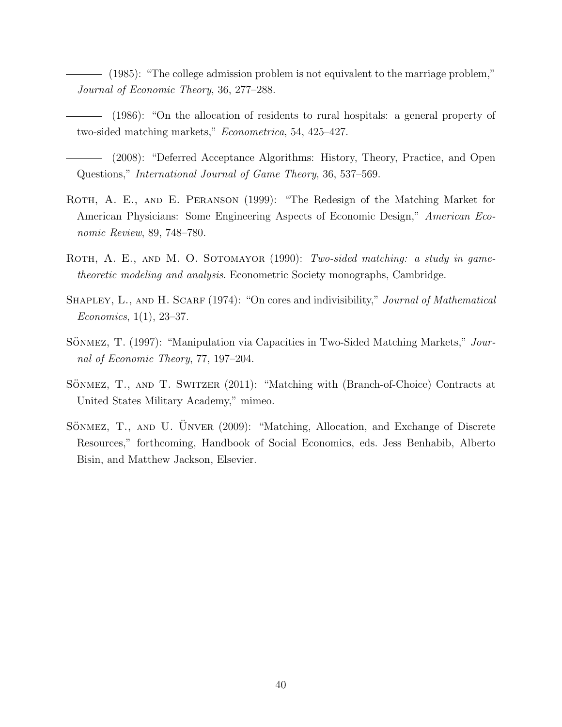<span id="page-39-4"></span>(1985): "The college admission problem is not equivalent to the marriage problem," Journal of Economic Theory, 36, 277–288.

- <span id="page-39-8"></span>(1986): "On the allocation of residents to rural hospitals: a general property of two-sided matching markets," Econometrica, 54, 425–427.
- <span id="page-39-0"></span>(2008): "Deferred Acceptance Algorithms: History, Theory, Practice, and Open Questions," International Journal of Game Theory, 36, 537–569.
- <span id="page-39-2"></span>ROTH, A. E., AND E. PERANSON (1999): "The Redesign of the Matching Market for American Physicians: Some Engineering Aspects of Economic Design," American Economic Review, 89, 748–780.
- <span id="page-39-5"></span>ROTH, A. E., AND M. O. SOTOMAYOR (1990): Two-sided matching: a study in gametheoretic modeling and analysis. Econometric Society monographs, Cambridge.
- <span id="page-39-6"></span>SHAPLEY, L., AND H. SCARF (1974): "On cores and indivisibility," *Journal of Mathematical* Economics, 1(1), 23–37.
- <span id="page-39-7"></span>SÖNMEZ, T. (1997): "Manipulation via Capacities in Two-Sided Matching Markets," Journal of Economic Theory, 77, 197–204.
- <span id="page-39-3"></span>SÖNMEZ, T., AND T. SWITZER (2011): "Matching with (Branch-of-Choice) Contracts at United States Military Academy," mimeo.
- <span id="page-39-1"></span>SÖNMEZ, T., AND U. ÜNVER (2009): "Matching, Allocation, and Exchange of Discrete Resources," forthcoming, Handbook of Social Economics, eds. Jess Benhabib, Alberto Bisin, and Matthew Jackson, Elsevier.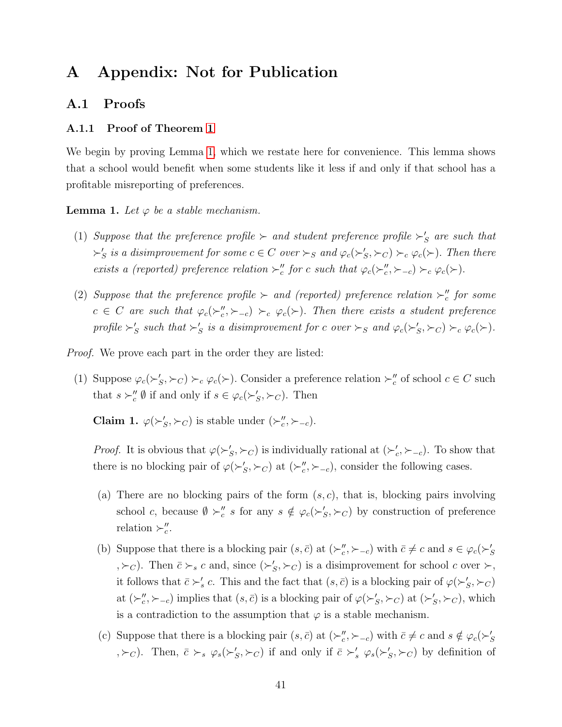# A Appendix: Not for Publication

#### A.1 Proofs

#### <span id="page-40-0"></span>A.1.1 Proof of Theorem [1](#page-20-0)

We begin by proving Lemma [1,](#page-21-2) which we restate here for convenience. This lemma shows that a school would benefit when some students like it less if and only if that school has a profitable misreporting of preferences.

**Lemma 1.** Let  $\varphi$  be a stable mechanism.

- (1) Suppose that the preference profile  $\succ$  and student preference profile  $\succ'_{S}$  are such that  $\succ'_S$  is a disimprovement for some  $c \in C$  over  $\succ_S$  and  $\varphi_c(\succ'_S, \succ_C) \succ_c \varphi_c(\succ)$ . Then there exists a (reported) preference relation  $\succ''_c$  for c such that  $\varphi_c(\succ''_c,\succ_{-c}) \succ_c \varphi_c(\succ)$ .
- (2) Suppose that the preference profile  $\succ$  and (reported) preference relation  $\succ''_c$  for some  $c \in C$  are such that  $\varphi_c(\succ_c''', \succ_{-c}) \succ_c \varphi_c(\succ)$ . Then there exists a student preference profile  $\succ'_S$  such that  $\succ'_S$  is a disimprovement for c over  $\succ_S$  and  $\varphi_c(\succ'_S, \succ_C) \succ_c \varphi_c(\succ)$ .

Proof. We prove each part in the order they are listed:

(1) Suppose  $\varphi_c(\succ'_S, \succ_C) \succ_c \varphi_c(\succ)$ . Consider a preference relation  $\succ''_c$  of school  $c \in C$  such that  $s \succ_c'' \emptyset$  if and only if  $s \in \varphi_c(\succ_S', \succ_C)$ . Then

<span id="page-40-1"></span>**Claim 1.**  $\varphi(\succ'_S, \succ_C)$  is stable under  $(\succ''_c, \succ_{-c})$ .

*Proof.* It is obvious that  $\varphi(\succ_S', \succ_C)$  is individually rational at  $(\succ_c', \succ_{-c})$ . To show that there is no blocking pair of  $\varphi(\succ_S', \succ_C)$  at  $(\succ_c'', \succ_{-c})$ , consider the following cases.

- (a) There are no blocking pairs of the form  $(s, c)$ , that is, blocking pairs involving school c, because  $\emptyset \succ_c'' s$  for any  $s \notin \varphi_c(\succ_c', \succ_c)$  by construction of preference relation  $\succ''_c$ .
- (b) Suppose that there is a blocking pair  $(s, \bar{c})$  at  $(\succ_c''', \succ_{-c})$  with  $\bar{c} \neq c$  and  $s \in \varphi_c(\succ_S'')$  $(\succ_c)$ . Then  $\bar{c} \succ_s c$  and, since  $(\succ'_S, \succ_C)$  is a disimprovement for school c over  $\succ$ , it follows that  $\bar{c} \succ_s' c$ . This and the fact that  $(s, \bar{c})$  is a blocking pair of  $\varphi(\succ_s', \succ_c)$ at  $(\succ_c''', \succ_{-c})$  implies that  $(s, \bar{c})$  is a blocking pair of  $\varphi(\succ_S', \succ_C)$  at  $(\succ_S', \succ_C)$ , which is a contradiction to the assumption that  $\varphi$  is a stable mechanism.
- (c) Suppose that there is a blocking pair  $(s, \bar{c})$  at  $(\succ_c''', \succ_{-c})$  with  $\bar{c} \neq c$  and  $s \notin \varphi_c(\succ_c'')$  $(\forall c)$ . Then,  $\bar{c} \succ_s \varphi_s(\succ'_S, \succ_C)$  if and only if  $\bar{c} \succ'_s \varphi_s(\succ'_S, \succ_C)$  by definition of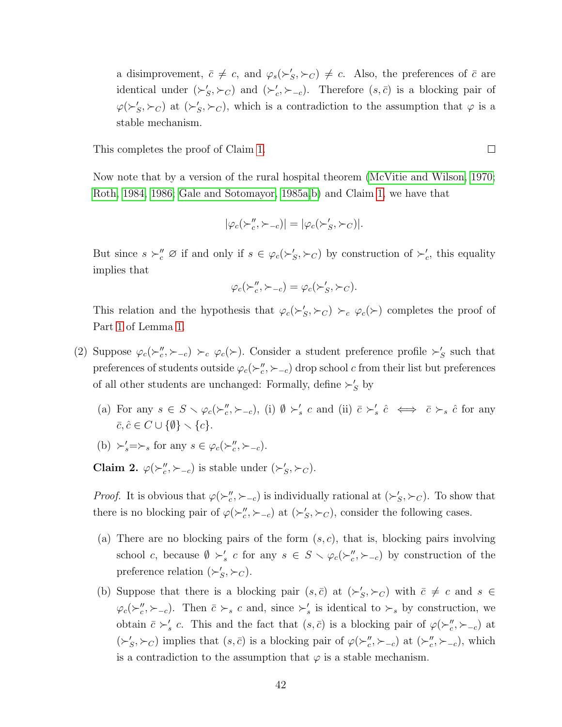a disimprovement,  $\bar{c} \neq c$ , and  $\varphi_s(\succ'_S, \succ_C) \neq c$ . Also, the preferences of  $\bar{c}$  are identical under  $(\succ_S', \succ_C)$  and  $(\succ_c', \succ_{-c})$ . Therefore  $(s, \bar{c})$  is a blocking pair of  $\varphi(\succ_S', \succ_C)$  at  $(\succ_S', \succ_C)$ , which is a contradiction to the assumption that  $\varphi$  is a stable mechanism.

This completes the proof of Claim [1.](#page-40-1)

Now note that by a version of the rural hospital theorem [\(McVitie and Wilson, 1970;](#page-38-13) [Roth, 1984,](#page-38-8) [1986;](#page-39-8) [Gale and Sotomayor, 1985a,](#page-37-12)[b\)](#page-37-13) and Claim [1,](#page-40-1) we have that

$$
|\varphi_c(\succ_c'',\succ_{-c})|=|\varphi_c(\succ_S',\succ_C)|.
$$

But since  $s \succ_c'' \varnothing$  if and only if  $s \in \varphi_c(\succ_S', \succ_C)$  by construction of  $\succ_c'$ , this equality implies that

$$
\varphi_c(\succ_c'',\succ_{-c}) = \varphi_c(\succ_S',\succ_C).
$$

This relation and the hypothesis that  $\varphi_c(\succ'_S, \succ_C) \succ_c \varphi_c(\succ)$  completes the proof of Part [1](#page-21-3) of Lemma [1.](#page-21-2)

- (2) Suppose  $\varphi_c(\succ_c''', \succ_{-c}) \succ_c \varphi_c(\succ)$ . Consider a student preference profile  $\succ_S'$  such that preferences of students outside  $\varphi_c(\succ_c''', \succ_{-c})$  drop school c from their list but preferences of all other students are unchanged: Formally, define  $\succ'_S$  by
	- (a) For any  $s \in S \setminus \varphi_c(\succ_c''', \succ_{-c})$ , (i)  $\emptyset \succ_s' c$  and (ii)  $\overline{c} \succ_s' \hat{c} \iff \overline{c} \succ_s \hat{c}$  for any  $\overline{c}, \hat{c} \in C \cup \{\emptyset\} \setminus \{c\}.$

(b) 
$$
\succ'_s = \succ_s
$$
 for any  $s \in \varphi_c(\succ''_c, \succ_{-c})$ .

<span id="page-41-0"></span>**Claim 2.**  $\varphi(\succ_c''', \succ_{-c})$  is stable under  $(\succ_S', \succ_C)$ .

*Proof.* It is obvious that  $\varphi(\succ_c''', \succ_{-c})$  is individually rational at  $(\succ_S', \succ_C)$ . To show that there is no blocking pair of  $\varphi(\succ_c''', \succ_{-c})$  at  $(\succ_S', \succ_C)$ , consider the following cases.

- (a) There are no blocking pairs of the form  $(s, c)$ , that is, blocking pairs involving school c, because  $\emptyset \succ'_s c$  for any  $s \in S \setminus \varphi_c(\succ''_c, \succ_{-c})$  by construction of the preference relation  $(\succ_S', \succ_C)$ .
- (b) Suppose that there is a blocking pair  $(s, \bar{c})$  at  $({\succ}_S', {\succ}_C)$  with  $\bar{c} \neq c$  and  $s \in$  $\varphi_c(\succ_c'', \succ_{-c})$ . Then  $\bar{c} \succ_s c$  and, since  $\succ_s'$  is identical to  $\succ_s$  by construction, we obtain  $\bar{c} \succ_s' c$ . This and the fact that  $(s, \bar{c})$  is a blocking pair of  $\varphi(\succ_s''', \succ_{-c})$  at  $({\succ}_S', {\succ}_C)$  implies that  $(s, \bar{c})$  is a blocking pair of  $\varphi({\succ}_c'', {\succ}_{-c})$  at  $({\succ}_c'', {\succ}_{-c})$ , which is a contradiction to the assumption that  $\varphi$  is a stable mechanism.

 $\Box$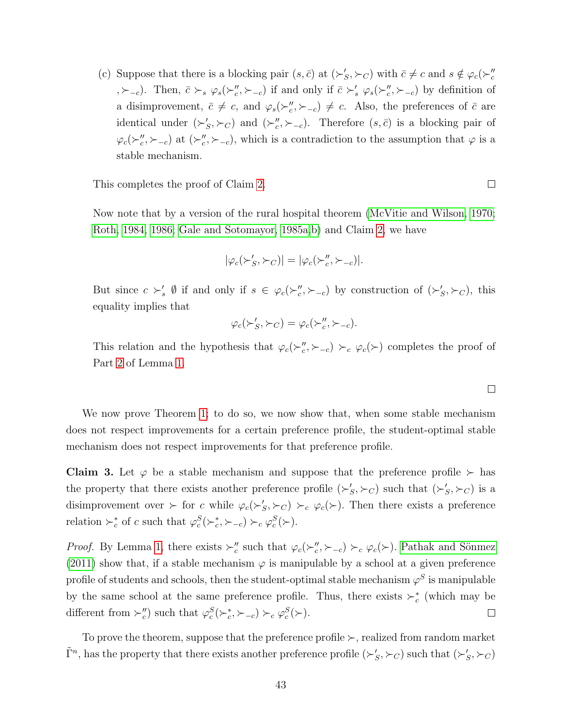(c) Suppose that there is a blocking pair  $(s, \bar{c})$  at  $(\succ_S', \succ_C)$  with  $\bar{c} \neq c$  and  $s \notin \varphi_c(\succ_c''$ ,  $\succ_{-c}$ ). Then,  $\bar{c} \succ_s \varphi_s(\succ_c''', \succ_{-c})$  if and only if  $\bar{c} \succ_s' \varphi_s(\succ_c''', \succ_{-c})$  by definition of a disimprovement,  $\bar{c} \neq c$ , and  $\varphi_s(\succ_c''', \succ_{-c}) \neq c$ . Also, the preferences of  $\bar{c}$  are identical under  $(\succ_S', \succ_C)$  and  $(\succ_c'', \succ_{-c})$ . Therefore  $(s, \bar{c})$  is a blocking pair of  $\varphi_c(\succ_c''',\succ_{-c})$  at  $(\succ_c''',\succ_{-c})$ , which is a contradiction to the assumption that  $\varphi$  is a stable mechanism.

This completes the proof of Claim [2.](#page-41-0)

Now note that by a version of the rural hospital theorem [\(McVitie and Wilson, 1970;](#page-38-13) [Roth, 1984,](#page-38-8) [1986;](#page-39-8) [Gale and Sotomayor, 1985a,](#page-37-12)[b\)](#page-37-13) and Claim [2,](#page-41-0) we have

$$
|\varphi_c(\succ'_S,\succ_C)| = |\varphi_c(\succ''_c,\succ_{-c})|.
$$

But since  $c \succ_s' \emptyset$  if and only if  $s \in \varphi_c(\succ_c''', \succ_{-c})$  by construction of  $(\succ_s', \succ_c')$ , this equality implies that

$$
\varphi_c(\succ'_S, \succ_C) = \varphi_c(\succ''_c, \succ_{-c}).
$$

This relation and the hypothesis that  $\varphi_c(\succ_c''', \succ_{-c}) \succ_c \varphi_c(\succ)$  completes the proof of Part [2](#page-21-1) of Lemma [1.](#page-21-2)

We now prove Theorem [1;](#page-20-0) to do so, we now show that, when some stable mechanism does not respect improvements for a certain preference profile, the student-optimal stable mechanism does not respect improvements for that preference profile.

<span id="page-42-0"></span>**Claim 3.** Let  $\varphi$  be a stable mechanism and suppose that the preference profile  $\succ$  has the property that there exists another preference profile  $(\succ_S', \succ_C)$  such that  $(\succ_S', \succ_C)$  is a disimprovement over  $\succ$  for c while  $\varphi_c(\succ'_S, \succ_C) \succ_c \varphi_c(\succ)$ . Then there exists a preference relation  $\succ_c^*$  of c such that  $\varphi_c^S(\succ_c^*, \succ_{-c}) \succ_c \varphi_c^S(\succ)$ .

*Proof.* By Lemma [1,](#page-21-2) there exists  $\succ''_c$  such that  $\varphi_c(\succ''_c,\succ_{-c}) \succ_c \varphi_c(\succ)$ . Pathak and Sönmez [\(2011\)](#page-38-11) show that, if a stable mechanism  $\varphi$  is manipulable by a school at a given preference profile of students and schools, then the student-optimal stable mechanism  $\varphi^S$  is manipulable by the same school at the same preference profile. Thus, there exists  $\succ_c^*$  (which may be different from  $\succ''_c$  such that  $\varphi^S_c(\succ^*_c, \succ_{-c}) \succ_c \varphi^S_c(\succ)$ .  $\Box$ 

To prove the theorem, suppose that the preference profile  $\succ$ , realized from random market  $\tilde{\Gamma}^n$ , has the property that there exists another preference profile  $(\succ_S', \succ_C)$  such that  $(\succ_S', \succ_C)$ 

 $\Box$ 

 $\Box$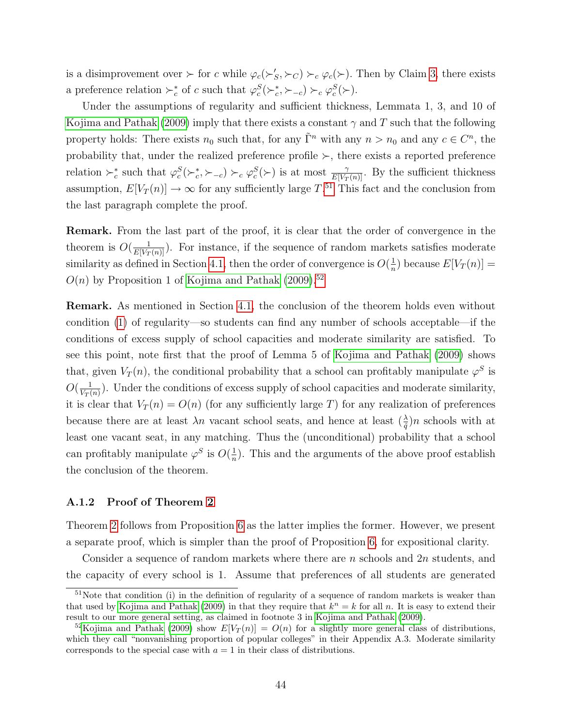is a disimprovement over  $\succ$  for c while  $\varphi_c(\succ'_S, \succ_C) \succ_c \varphi_c(\succ)$ . Then by Claim [3,](#page-42-0) there exists a preference relation  $\succ_c^*$  of c such that  $\varphi_c^S(\succ_c^*, \succ_{-c}) \succ_c \varphi_c^S(\succ)$ .

Under the assumptions of regularity and sufficient thickness, Lemmata 1, 3, and 10 of [Kojima and Pathak \(2009\)](#page-38-2) imply that there exists a constant  $\gamma$  and T such that the following property holds: There exists  $n_0$  such that, for any  $\tilde{\Gamma}^n$  with any  $n > n_0$  and any  $c \in C^n$ , the probability that, under the realized preference profile  $\succ$ , there exists a reported preference relation  $\succ_c^*$  such that  $\varphi_c^S(\succ_c^*, \succ_{-c}) \succ_c \varphi_c^S(\succ)$  is at most  $\frac{\gamma}{E[V_T(n)]}$ . By the sufficient thickness assumption,  $E[V_T(n)] \to \infty$  for any sufficiently large  $T$ .<sup>[51](#page-43-1)</sup> This fact and the conclusion from the last paragraph complete the proof.

Remark. From the last part of the proof, it is clear that the order of convergence in the theorem is  $O(\frac{1}{E[V_T(n)]})$ . For instance, if the sequence of random markets satisfies moderate similarity as defined in Section [4.1,](#page-17-2) then the order of convergence is  $O(\frac{1}{n})$  $\frac{1}{n}$ ) because  $E[V_T(n)] =$  $O(n)$  by Proposition 1 of [Kojima and Pathak \(2009\)](#page-38-2).<sup>[52](#page-43-2)</sup>

Remark. As mentioned in Section [4.1,](#page-17-2) the conclusion of the theorem holds even without condition [\(1\)](#page-18-0) of regularity—so students can find any number of schools acceptable—if the conditions of excess supply of school capacities and moderate similarity are satisfied. To see this point, note first that the proof of Lemma 5 of [Kojima and Pathak \(2009\)](#page-38-2) shows that, given  $V_T(n)$ , the conditional probability that a school can profitably manipulate  $\varphi^S$  is  $O(\frac{1}{\frac{1}{\sqrt{n}}})$  $\frac{1}{V_T(n)}$ ). Under the conditions of excess supply of school capacities and moderate similarity, it is clear that  $V_T(n) = O(n)$  (for any sufficiently large T) for any realization of preferences because there are at least  $\lambda n$  vacant school seats, and hence at least  $(\frac{\lambda}{\hat{q}})n$  schools with at least one vacant seat, in any matching. Thus the (unconditional) probability that a school can profitably manipulate  $\varphi^S$  is  $O(\frac{1}{n})$  $\frac{1}{n}$ ). This and the arguments of the above proof establish the conclusion of the theorem.

#### <span id="page-43-0"></span>A.1.2 Proof of Theorem [2](#page-22-1)

Theorem [2](#page-22-1) follows from Proposition [6](#page-29-3) as the latter implies the former. However, we present a separate proof, which is simpler than the proof of Proposition [6,](#page-29-3) for expositional clarity.

Consider a sequence of random markets where there are n schools and  $2n$  students, and the capacity of every school is 1. Assume that preferences of all students are generated

<span id="page-43-1"></span><sup>&</sup>lt;sup>51</sup>Note that condition (i) in the definition of regularity of a sequence of random markets is weaker than that used by [Kojima and Pathak](#page-38-2) [\(2009\)](#page-38-2) in that they require that  $k^n = k$  for all n. It is easy to extend their result to our more general setting, as claimed in footnote 3 in [Kojima and Pathak](#page-38-2) [\(2009\)](#page-38-2).

<span id="page-43-2"></span><sup>&</sup>lt;sup>52</sup>[Kojima and Pathak](#page-38-2) [\(2009\)](#page-38-2) show  $E[V_T(n)] = O(n)$  for a slightly more general class of distributions, which they call "nonvanishing proportion of popular colleges" in their Appendix A.3. Moderate similarity corresponds to the special case with  $a = 1$  in their class of distributions.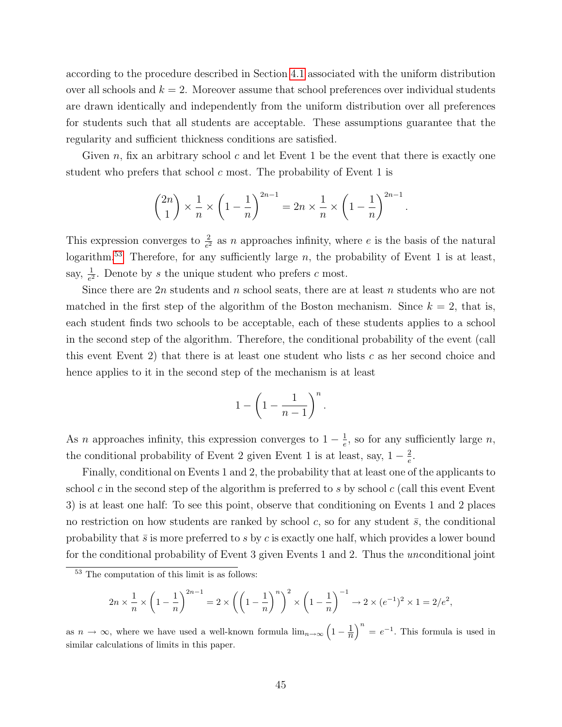according to the procedure described in Section [4.1](#page-17-2) associated with the uniform distribution over all schools and  $k = 2$ . Moreover assume that school preferences over individual students are drawn identically and independently from the uniform distribution over all preferences for students such that all students are acceptable. These assumptions guarantee that the regularity and sufficient thickness conditions are satisfied.

Given n, fix an arbitrary school c and let Event 1 be the event that there is exactly one student who prefers that school  $c$  most. The probability of Event 1 is

$$
\binom{2n}{1} \times \frac{1}{n} \times \left(1 - \frac{1}{n}\right)^{2n-1} = 2n \times \frac{1}{n} \times \left(1 - \frac{1}{n}\right)^{2n-1}.
$$

This expression converges to  $\frac{2}{e^2}$  as n approaches infinity, where e is the basis of the natural logarithm.<sup>[53](#page-44-0)</sup> Therefore, for any sufficiently large  $n$ , the probability of Event 1 is at least, say,  $\frac{1}{e^2}$ . Denote by s the unique student who prefers c most.

Since there are  $2n$  students and n school seats, there are at least n students who are not matched in the first step of the algorithm of the Boston mechanism. Since  $k = 2$ , that is, each student finds two schools to be acceptable, each of these students applies to a school in the second step of the algorithm. Therefore, the conditional probability of the event (call this event Event 2) that there is at least one student who lists  $c$  as her second choice and hence applies to it in the second step of the mechanism is at least

$$
1 - \left(1 - \frac{1}{n-1}\right)^n.
$$

As n approaches infinity, this expression converges to  $1-\frac{1}{e}$  $\frac{1}{e}$ , so for any sufficiently large *n*, the conditional probability of Event 2 given Event 1 is at least, say,  $1-\frac{2}{e}$  $\frac{2}{e}$ .

Finally, conditional on Events 1 and 2, the probability that at least one of the applicants to school c in the second step of the algorithm is preferred to s by school c (call this event Event 3) is at least one half: To see this point, observe that conditioning on Events 1 and 2 places no restriction on how students are ranked by school c, so for any student  $\bar{s}$ , the conditional probability that  $\bar{s}$  is more preferred to s by c is exactly one half, which provides a lower bound for the conditional probability of Event 3 given Events 1 and 2. Thus the unconditional joint

$$
2n \times \frac{1}{n} \times \left(1 - \frac{1}{n}\right)^{2n-1} = 2 \times \left(\left(1 - \frac{1}{n}\right)^n\right)^2 \times \left(1 - \frac{1}{n}\right)^{-1} \to 2 \times (e^{-1})^2 \times 1 = 2/e^2,
$$

as  $n \to \infty$ , where we have used a well-known formula  $\lim_{n\to\infty} \left(1-\frac{1}{n}\right)^n = e^{-1}$ . This formula is used in similar calculations of limits in this paper.

<span id="page-44-0"></span><sup>53</sup> The computation of this limit is as follows: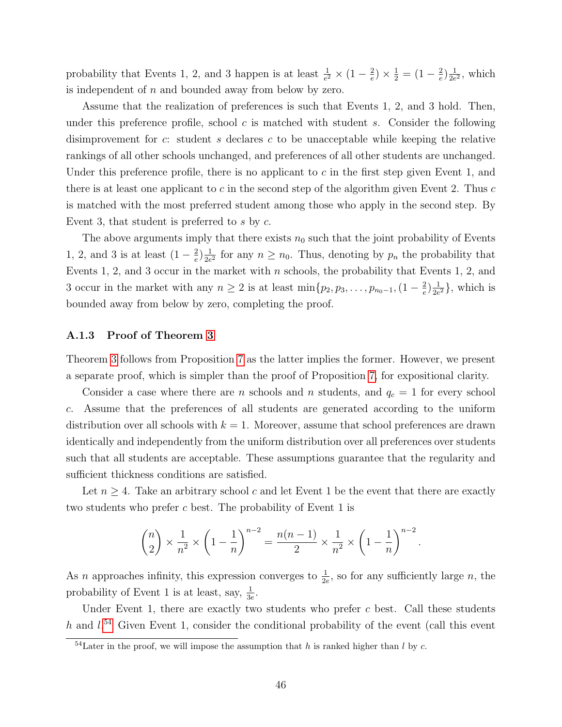probability that Events 1, 2, and 3 happen is at least  $\frac{1}{e^2} \times (1 - \frac{2}{e})$  $(\frac{2}{e}) \times \frac{1}{2} = (1 - \frac{2}{e})$  $\frac{2}{e}$ ) $\frac{1}{2e}$  $\frac{1}{2e^2}$ , which is independent of  $n$  and bounded away from below by zero.

Assume that the realization of preferences is such that Events 1, 2, and 3 hold. Then, under this preference profile, school  $c$  is matched with student  $s$ . Consider the following disimprovement for c: student s declares c to be unacceptable while keeping the relative rankings of all other schools unchanged, and preferences of all other students are unchanged. Under this preference profile, there is no applicant to  $c$  in the first step given Event 1, and there is at least one applicant to  $c$  in the second step of the algorithm given Event 2. Thus  $c$ is matched with the most preferred student among those who apply in the second step. By Event 3, that student is preferred to  $s$  by  $c$ .

The above arguments imply that there exists  $n_0$  such that the joint probability of Events 1, 2, and 3 is at least  $(1-\frac{2}{e})$  $\frac{2}{e}$ ) $\frac{1}{2e}$  $\frac{1}{2e^2}$  for any  $n \geq n_0$ . Thus, denoting by  $p_n$  the probability that Events 1, 2, and 3 occur in the market with n schools, the probability that Events 1, 2, and 3 occur in the market with any  $n \geq 2$  is at least  $\min\{p_2, p_3, \ldots, p_{n_0-1}, (1-\frac{2}{e})\}$  $\frac{2}{e}$ ) $\frac{1}{2e}$  $\frac{1}{2e^2}$ , which is bounded away from below by zero, completing the proof.

#### <span id="page-45-0"></span>A.1.3 Proof of Theorem [3](#page-23-0)

Theorem [3](#page-23-0) follows from Proposition [7](#page-29-4) as the latter implies the former. However, we present a separate proof, which is simpler than the proof of Proposition [7,](#page-29-4) for expositional clarity.

Consider a case where there are n schools and n students, and  $q_c = 1$  for every school c. Assume that the preferences of all students are generated according to the uniform distribution over all schools with  $k = 1$ . Moreover, assume that school preferences are drawn identically and independently from the uniform distribution over all preferences over students such that all students are acceptable. These assumptions guarantee that the regularity and sufficient thickness conditions are satisfied.

Let  $n \geq 4$ . Take an arbitrary school c and let Event 1 be the event that there are exactly two students who prefer c best. The probability of Event 1 is

$$
\binom{n}{2} \times \frac{1}{n^2} \times \left(1 - \frac{1}{n}\right)^{n-2} = \frac{n(n-1)}{2} \times \frac{1}{n^2} \times \left(1 - \frac{1}{n}\right)^{n-2}
$$

.

As *n* approaches infinity, this expression converges to  $\frac{1}{2e}$ , so for any sufficiently large *n*, the probability of Event 1 is at least, say,  $\frac{1}{3e}$ .

Under Event 1, there are exactly two students who prefer  $c$  best. Call these students h and  $l^{54}$  $l^{54}$  $l^{54}$  Given Event 1, consider the conditional probability of the event (call this event

<span id="page-45-1"></span> $^{54}$ Later in the proof, we will impose the assumption that h is ranked higher than l by c.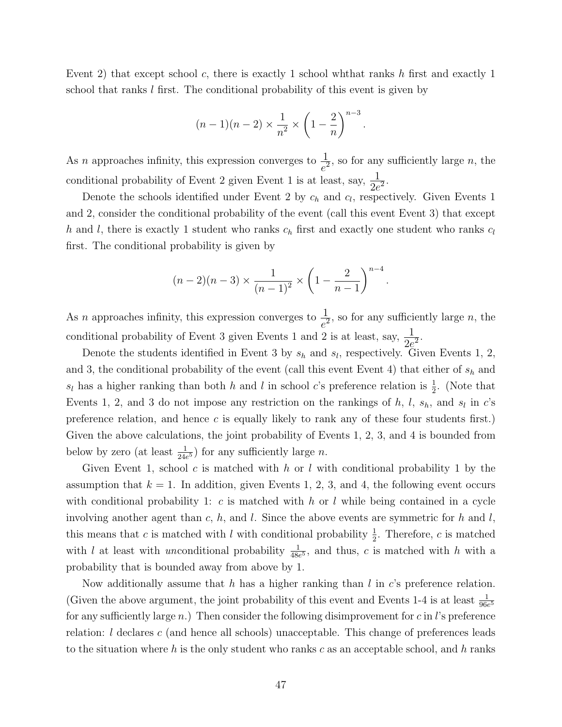Event 2) that except school c, there is exactly 1 school whthat ranks h first and exactly 1 school that ranks  $l$  first. The conditional probability of this event is given by

$$
(n-1)(n-2) \times \frac{1}{n^2} \times \left(1 - \frac{2}{n}\right)^{n-3}.
$$

As *n* approaches infinity, this expression converges to  $\frac{1}{e^2}$ , so for any sufficiently large *n*, the conditional probability of Event 2 given Event 1 is at least, say,  $\frac{1}{2e^2}$ .

Denote the schools identified under Event 2 by  $c_h$  and  $c_l$ , respectively. Given Events 1 and 2, consider the conditional probability of the event (call this event Event 3) that except h and l, there is exactly 1 student who ranks  $c_h$  first and exactly one student who ranks  $c_l$ first. The conditional probability is given by

$$
(n-2)(n-3) \times \frac{1}{(n-1)^2} \times \left(1 - \frac{2}{n-1}\right)^{n-4}.
$$

As *n* approaches infinity, this expression converges to  $\frac{1}{e^2}$ , so for any sufficiently large *n*, the conditional probability of Event 3 given Events 1 and 2 is at least, say,  $\frac{1}{2e^2}$ .

Denote the students identified in Event 3 by  $s_h$  and  $s_l$ , respectively. Given Events 1, 2, and 3, the conditional probability of the event (call this event Event 4) that either of  $s_h$  and  $s_l$  has a higher ranking than both h and l in school c's preference relation is  $\frac{1}{2}$ . (Note that Events 1, 2, and 3 do not impose any restriction on the rankings of  $h$ ,  $l$ ,  $s_h$ , and  $s_l$  in  $c$ 's preference relation, and hence c is equally likely to rank any of these four students first.) Given the above calculations, the joint probability of Events 1, 2, 3, and 4 is bounded from below by zero (at least  $\frac{1}{24e^5}$ ) for any sufficiently large *n*.

Given Event 1, school c is matched with h or l with conditional probability 1 by the assumption that  $k = 1$ . In addition, given Events 1, 2, 3, and 4, the following event occurs with conditional probability 1: c is matched with h or l while being contained in a cycle involving another agent than c, h, and l. Since the above events are symmetric for h and l, this means that c is matched with l with conditional probability  $\frac{1}{2}$ . Therefore, c is matched with l at least with unconditional probability  $\frac{1}{48e^5}$ , and thus, c is matched with h with a probability that is bounded away from above by 1.

Now additionally assume that h has a higher ranking than l in c's preference relation. (Given the above argument, the joint probability of this event and Events 1-4 is at least  $\frac{1}{96e^5}$ for any sufficiently large n.) Then consider the following disimprovement for c in l's preference relation: l declares c (and hence all schools) unacceptable. This change of preferences leads to the situation where h is the only student who ranks c as an acceptable school, and h ranks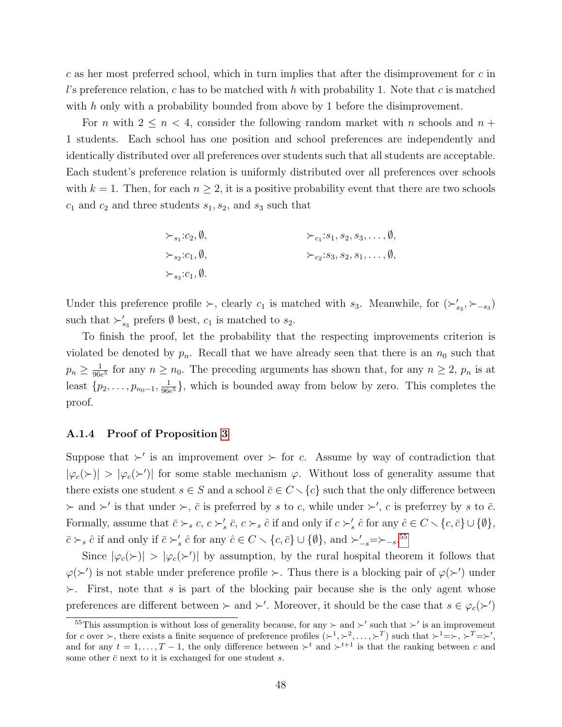c as her most preferred school, which in turn implies that after the disimprovement for  $c$  in l's preference relation, c has to be matched with h with probability 1. Note that c is matched with h only with a probability bounded from above by 1 before the disimprovement.

For n with  $2 \leq n \leq 4$ , consider the following random market with n schools and  $n +$ 1 students. Each school has one position and school preferences are independently and identically distributed over all preferences over students such that all students are acceptable. Each student's preference relation is uniformly distributed over all preferences over schools with  $k = 1$ . Then, for each  $n \geq 2$ , it is a positive probability event that there are two schools  $c_1$  and  $c_2$  and three students  $s_1, s_2$ , and  $s_3$  such that

$$
\succ_{s_1}:c_2,\emptyset,
$$
  
\n
$$
\succ_{c_1}:s_1,s_2,s_3,\ldots,\emptyset,
$$
  
\n
$$
\succ_{c_2}:s_3,s_2,s_1,\ldots,\emptyset,
$$
  
\n
$$
\succ_{s_3}:c_1,\emptyset.
$$

Under this preference profile  $\succ$ , clearly  $c_1$  is matched with  $s_3$ . Meanwhile, for  $(\succ'_{s_3}, \succ_{-s_3})$ such that  $\succ'_{s_3}$  prefers  $\emptyset$  best,  $c_1$  is matched to  $s_2$ .

To finish the proof, let the probability that the respecting improvements criterion is violated be denoted by  $p_n$ . Recall that we have already seen that there is an  $n_0$  such that  $p_n \geq \frac{1}{966}$  $\frac{1}{96e^5}$  for any  $n \ge n_0$ . The preceding arguments has shown that, for any  $n \ge 2$ ,  $p_n$  is at least  $\{p_2, \ldots, p_{n_0-1}, \frac{1}{966}\}$  $\frac{1}{96e^5}$ , which is bounded away from below by zero. This completes the proof.

#### <span id="page-47-0"></span>A.1.4 Proof of Proposition [3](#page-25-2)

Suppose that  $\succ'$  is an improvement over  $\succ$  for c. Assume by way of contradiction that  $|\varphi_c(\rangle)| > |\varphi_c(\rangle)|$  for some stable mechanism  $\varphi$ . Without loss of generality assume that there exists one student  $s \in S$  and a school  $\overline{c} \in C \setminus \{c\}$  such that the only difference between  $\succ$  and  $\succ'$  is that under  $\succ$ ,  $\bar{c}$  is preferred by s to c, while under  $\succ'$ , c is preferrey by s to  $\bar{c}$ . Formally, assume that  $\bar{c} \succ_s c, c \succ'_s \bar{c}, c \succ_s \hat{c}$  if and only if  $c \succ'_s \hat{c}$  for any  $\hat{c} \in C \setminus \{c, \bar{c}\} \cup \{\emptyset\},\$  $\bar{c} \succ_s \hat{c}$  if and only if  $\bar{c} \succ_s' \hat{c}$  for any  $\hat{c} \in C \smallsetminus \{c, \bar{c}\} \cup \{\emptyset\}$ , and  $\succ_{-s} \simeq \succ_{-s} 0.55$  $\succ_{-s} \simeq \succ_{-s} 0.55$ 

Since  $|\varphi_c(\rangle)| > |\varphi_c(\rangle)|$  by assumption, by the rural hospital theorem it follows that  $\varphi(\succ')$  is not stable under preference profile  $\succ$ . Thus there is a blocking pair of  $\varphi(\succ')$  under  $\succ$ . First, note that s is part of the blocking pair because she is the only agent whose preferences are different between  $\succ$  and  $\succ'$ . Moreover, it should be the case that  $s \in \varphi_c(\succ')$ 

<span id="page-47-1"></span><sup>&</sup>lt;sup>55</sup>This assumption is without loss of generality because, for any  $\succ$  and  $\succ'$  such that  $\succ'$  is an improvement for c over  $\succ$ , there exists a finite sequence of preference profiles  $(\succ^1, \succ^2, \ldots, \succ^T)$  such that  $\succ^1=\succ, \succ^T=\succ',$ and for any  $t = 1, ..., T-1$ , the only difference between  $\succ^t$  and  $\succ^{t+1}$  is that the ranking between c and some other  $\bar{c}$  next to it is exchanged for one student s.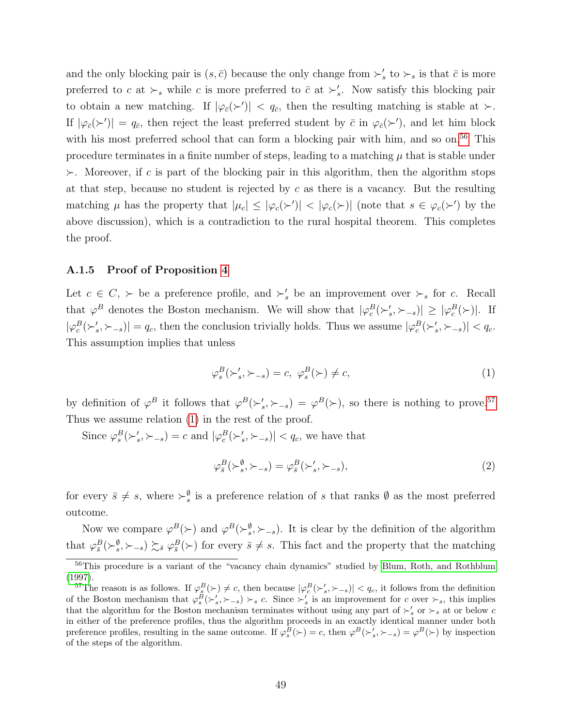and the only blocking pair is  $(s, \bar{c})$  because the only change from  $\succ'_s$  to  $\succ_s$  is that  $\bar{c}$  is more preferred to c at  $\succ_s$  while c is more preferred to  $\bar{c}$  at  $\succ'_s$ . Now satisfy this blocking pair to obtain a new matching. If  $|\varphi_{\bar{c}}(\succ')| < q_{\bar{c}}$ , then the resulting matching is stable at  $\succ$ . If  $|\varphi_{\bar{c}}(\succ')| = q_{\bar{c}}$ , then reject the least preferred student by  $\bar{c}$  in  $\varphi_{\bar{c}}(\succ')$ , and let him block with his most preferred school that can form a blocking pair with him, and so on.<sup>[56](#page-48-1)</sup> This procedure terminates in a finite number of steps, leading to a matching  $\mu$  that is stable under  $\succ$ . Moreover, if c is part of the blocking pair in this algorithm, then the algorithm stops at that step, because no student is rejected by  $c$  as there is a vacancy. But the resulting matching  $\mu$  has the property that  $|\mu_c| \leq |\varphi_c(\succ')| < |\varphi_c(\succ)|$  (note that  $s \in \varphi_c(\succ')$  by the above discussion), which is a contradiction to the rural hospital theorem. This completes the proof.

#### <span id="page-48-0"></span>A.1.5 Proof of Proposition [4](#page-25-1)

Let  $c \in C$ ,  $\succ$  be a preference profile, and  $\succ'_{s}$  be an improvement over  $\succ_{s}$  for c. Recall that  $\varphi^B$  denotes the Boston mechanism. We will show that  $|\varphi_c^B(\succ_s',\succ_{-s})| \geq |\varphi_c^B(\succ)|$ . If  $|\varphi_c^B(\succ_s', \succ_{-s})| = q_c$ , then the conclusion trivially holds. Thus we assume  $|\varphi_c^B(\succ_s', \succ_{-s})| < q_c$ . This assumption implies that unless

<span id="page-48-3"></span>
$$
\varphi_s^B(\succ_s', \succ_{-s}) = c, \ \varphi_s^B(\succ) \neq c,\tag{1}
$$

by definition of  $\varphi^B$  it follows that  $\varphi^B(\succ'_s, \succ_{-s}) = \varphi^B(\succ)$ , so there is nothing to prove.<sup>[57](#page-48-2)</sup> Thus we assume relation [\(1\)](#page-48-3) in the rest of the proof.

Since  $\varphi_s^B(\succ_s', \succ_{-s}) = c$  and  $|\varphi_c^B(\succ_s', \succ_{-s})| < q_c$ , we have that

<span id="page-48-4"></span>
$$
\varphi_s^B(\succ_s^{\emptyset}, \succ_{-s}) = \varphi_{\bar{s}}^B(\succ_s', \succ_{-s}),\tag{2}
$$

for every  $\bar{s} \neq s$ , where  $\succ_s^{\emptyset}$  is a preference relation of s that ranks  $\emptyset$  as the most preferred outcome.

Now we compare  $\varphi^B(\succ)$  and  $\varphi^B(\succ_s^{\emptyset}, \succ_{-s})$ . It is clear by the definition of the algorithm that  $\varphi_{\bar{s}}^B(\succ^{\emptyset}_{s},\succ_{-s}) \succsim_{\bar{s}} \varphi_{\bar{s}}^B(\succ)$  for every  $\bar{s} \neq s$ . This fact and the property that the matching

<span id="page-48-1"></span><sup>&</sup>lt;sup>56</sup>This procedure is a variant of the "vacancy chain dynamics" studied by [Blum, Roth, and Rothblum](#page-36-12) [\(1997\)](#page-36-12).

<span id="page-48-2"></span><sup>&</sup>lt;sup>57</sup>The reason is as follows. If  $\varphi_s^B(\succ) \neq c$ , then because  $|\varphi_c^B(\succ_s', \succ_{-s})| < q_c$ , it follows from the definition of the Boston mechanism that  $\varphi_s^B(\succ_s', \succ_{-s}) \succ_s c$ . Since  $\succ_s'$  is an improvement for c over  $\succ_s$ , this implies that the algorithm for the Boston mechanism terminates without using any part of  $\succ'_{s}$  or  $\succ_{s}$  at or below c in either of the preference profiles, thus the algorithm proceeds in an exactly identical manner under both preference profiles, resulting in the same outcome. If  $\varphi_s^B(\succ) = c$ , then  $\varphi^B(\succ'_s, \succ_{-s}) = \varphi^B(\succ)$  by inspection of the steps of the algorithm.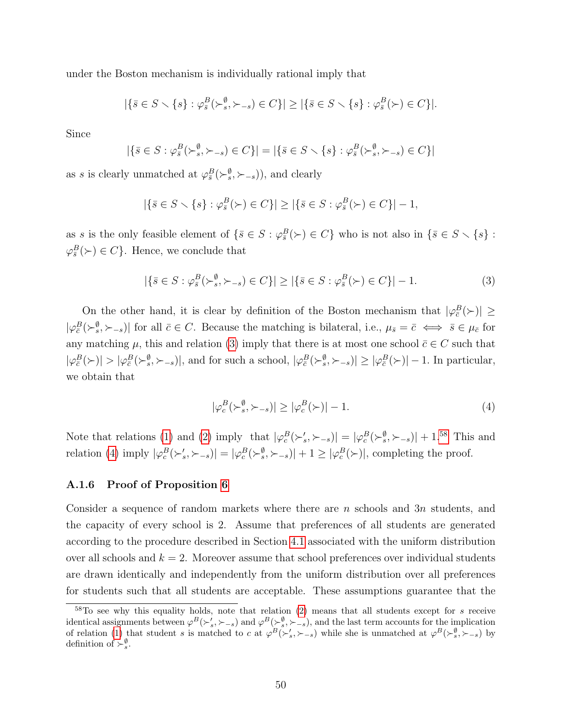under the Boston mechanism is individually rational imply that

$$
|\{\bar{s}\in S\smallsetminus\{s\}: \varphi^B_{\bar{s}}(\succ_s^{\emptyset},\succ_{-s})\in C\}|\geq |\{\bar{s}\in S\smallsetminus\{s\}: \varphi^B_{\bar{s}}(\succ)\in C\}|.
$$

Since

$$
|\{\bar{s}\in S:\varphi_{\bar{s}}^B(\succ_s^{\emptyset},\succ_{-s})\in C\}| = |\{\bar{s}\in S\smallsetminus\{s\}:\varphi_{\bar{s}}^B(\succ_s^{\emptyset},\succ_{-s})\in C\}|
$$

as s is clearly unmatched at  $\varphi_s^B(\succ_s^{\emptyset}, \succ_{-s})$ , and clearly

$$
|\{\bar{s}\in S\smallsetminus\{s\}: \varphi_{\bar{s}}^B(\succ)\in C\}|\geq |\{\bar{s}\in S: \varphi_{\bar{s}}^B(\succ)\in C\}|-1,
$$

as s is the only feasible element of  $\{\bar{s} \in S : \varphi_{\bar{s}}^B(\succ) \in C\}$  who is not also in  $\{\bar{s} \in S \setminus \{s\} :$  $\varphi_{\overline{s}}^B(\succ) \in C$ . Hence, we conclude that

$$
|\{\bar{s}\in S:\varphi_{\bar{s}}^B(\succ_s^{\emptyset},\succ_{-s})\in C\}|\geq |\{\bar{s}\in S:\varphi_{\bar{s}}^B(\succ)\in C\}|-1.
$$
 (3)

On the other hand, it is clear by definition of the Boston mechanism that  $|\varphi_{\bar{c}}^B(\succ)| \ge$  $|\varphi_{\bar{c}}^B(\succ_s^{\emptyset}, \succ_{-s})|$  for all  $\bar{c} \in C$ . Because the matching is bilateral, i.e.,  $\mu_{\bar{s}} = \bar{c} \iff \bar{s} \in \mu_{\bar{c}}$  for any matching  $\mu$ , this and relation [\(3\)](#page-49-1) imply that there is at most one school  $\bar{c} \in C$  such that  $|\varphi_{\bar{c}}^B(\succ)| > |\varphi_{\bar{c}}^B(\succ_s^{\emptyset}, \succ_{-s})|$ , and for such a school,  $|\varphi_{\bar{c}}^B(\succ_s^{\emptyset}, \succ_{-s})| \geq |\varphi_{\bar{c}}^B(\succ)| - 1$ . In particular, we obtain that

<span id="page-49-3"></span><span id="page-49-1"></span>
$$
|\varphi_c^B(\succ_s^{\emptyset}, \succ_{-s})| \ge |\varphi_c^B(\succ)| - 1. \tag{4}
$$

Note that relations [\(1\)](#page-48-3) and [\(2\)](#page-48-4) imply that  $|\varphi_c^B(\succ_s', \succ_{-s})| = |\varphi_c^B(\succ_s^{\emptyset}, \succ_{-s})| + 1^{.58}$  $|\varphi_c^B(\succ_s', \succ_{-s})| = |\varphi_c^B(\succ_s^{\emptyset}, \succ_{-s})| + 1^{.58}$  $|\varphi_c^B(\succ_s', \succ_{-s})| = |\varphi_c^B(\succ_s^{\emptyset}, \succ_{-s})| + 1^{.58}$  This and relation [\(4\)](#page-49-3) imply  $|\varphi_c^B(\succ_s', \succ_{-s})| = |\varphi_c^B(\succ_s^{\emptyset}, \succ_{-s})| + 1 \ge |\varphi_c^B(\succ)|$ , completing the proof.

#### <span id="page-49-0"></span>A.1.6 Proof of Proposition [6](#page-29-3)

Consider a sequence of random markets where there are n schools and  $3n$  students, and the capacity of every school is 2. Assume that preferences of all students are generated according to the procedure described in Section [4.1](#page-17-2) associated with the uniform distribution over all schools and  $k = 2$ . Moreover assume that school preferences over individual students are drawn identically and independently from the uniform distribution over all preferences for students such that all students are acceptable. These assumptions guarantee that the

<span id="page-49-2"></span> $58T_0$  see why this equality holds, note that relation [\(2\)](#page-48-4) means that all students except for s receive identical assignments between  $\varphi^B(\succ_s', \succ_{-s})$  and  $\varphi^B(\succ_s^{\emptyset}, \succ_{-s})$ , and the last term accounts for the implication of relation [\(1\)](#page-48-3) that student s is matched to c at  $\varphi^B(\succ_s', \succ_{-s})$  while she is unmatched at  $\varphi^B(\succ_s^{\emptyset}, \succ_{-s})$  by definition of  $\succ_s^{\emptyset}$ .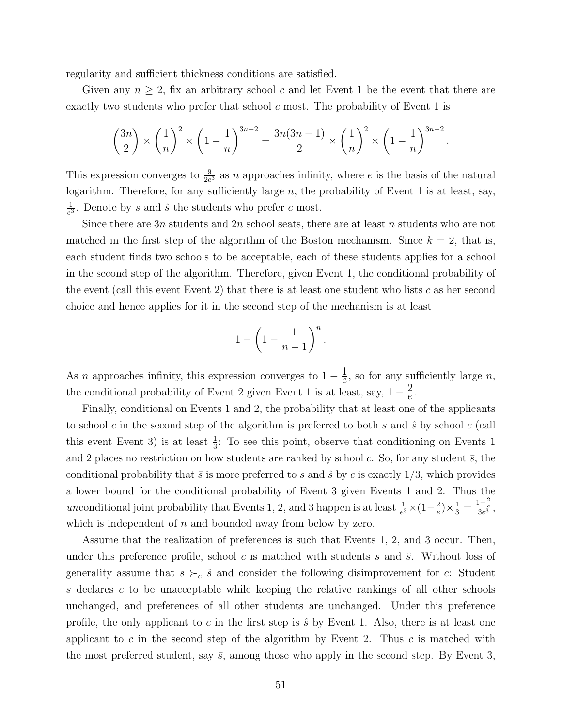regularity and sufficient thickness conditions are satisfied.

Given any  $n \geq 2$ , fix an arbitrary school c and let Event 1 be the event that there are exactly two students who prefer that school  $c$  most. The probability of Event 1 is

$$
\binom{3n}{2} \times \left(\frac{1}{n}\right)^2 \times \left(1 - \frac{1}{n}\right)^{3n-2} = \frac{3n(3n-1)}{2} \times \left(\frac{1}{n}\right)^2 \times \left(1 - \frac{1}{n}\right)^{3n-2}.
$$

This expression converges to  $\frac{9}{2e^3}$  as n approaches infinity, where e is the basis of the natural logarithm. Therefore, for any sufficiently large  $n$ , the probability of Event 1 is at least, say, 1  $\frac{1}{e^3}$ . Denote by s and  $\hat{s}$  the students who prefer c most.

Since there are  $3n$  students and  $2n$  school seats, there are at least n students who are not matched in the first step of the algorithm of the Boston mechanism. Since  $k = 2$ , that is, each student finds two schools to be acceptable, each of these students applies for a school in the second step of the algorithm. Therefore, given Event 1, the conditional probability of the event (call this event Event 2) that there is at least one student who lists  $c$  as her second choice and hence applies for it in the second step of the mechanism is at least

$$
1 - \left(1 - \frac{1}{n-1}\right)^n.
$$

As *n* approaches infinity, this expression converges to  $1 - \frac{1}{e}$  $\frac{1}{e}$ , so for any sufficiently large *n*, the conditional probability of Event 2 given Event 1 is at least, say,  $1-\frac{2}{e}$  $\frac{2}{e}$ .

Finally, conditional on Events 1 and 2, the probability that at least one of the applicants to school c in the second step of the algorithm is preferred to both  $s$  and  $\hat{s}$  by school c (call this event Event 3) is at least  $\frac{1}{3}$ . To see this point, observe that conditioning on Events 1 and 2 places no restriction on how students are ranked by school c. So, for any student  $\bar{s}$ , the conditional probability that  $\bar{s}$  is more preferred to s and  $\hat{s}$  by c is exactly 1/3, which provides a lower bound for the conditional probability of Event 3 given Events 1 and 2. Thus the unconditional joint probability that Events 1, 2, and 3 happen is at least  $\frac{1}{e^3} \times (1 - \frac{2}{e})$  $(\frac{2}{e}) \times \frac{1}{3} = \frac{1 - \frac{2}{e}}{3e^3},$ which is independent of  $n$  and bounded away from below by zero.

Assume that the realization of preferences is such that Events 1, 2, and 3 occur. Then, under this preference profile, school c is matched with students s and  $\hat{s}$ . Without loss of generality assume that  $s \succ_c \hat{s}$  and consider the following disimprovement for c: Student  $s$  declares  $c$  to be unacceptable while keeping the relative rankings of all other schools unchanged, and preferences of all other students are unchanged. Under this preference profile, the only applicant to c in the first step is  $\hat{s}$  by Event 1. Also, there is at least one applicant to c in the second step of the algorithm by Event 2. Thus c is matched with the most preferred student, say  $\bar{s}$ , among those who apply in the second step. By Event 3,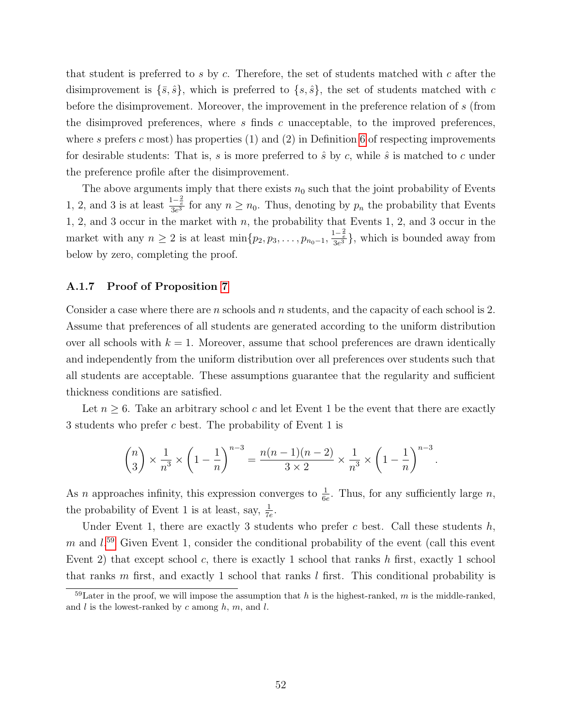that student is preferred to s by c. Therefore, the set of students matched with c after the disimprovement is  $\{\bar{s}, \hat{s}\}$ , which is preferred to  $\{s, \hat{s}\}$ , the set of students matched with c before the disimprovement. Moreover, the improvement in the preference relation of s (from the disimproved preferences, where s finds c unacceptable, to the improved preferences, where s prefers c most) has properties  $(1)$  and  $(2)$  in Definition [6](#page-27-2) of respecting improvements for desirable students: That is, s is more preferred to  $\hat{s}$  by c, while  $\hat{s}$  is matched to c under the preference profile after the disimprovement.

The above arguments imply that there exists  $n_0$  such that the joint probability of Events 1, 2, and 3 is at least  $\frac{1-\frac{2}{e}}{3e^3}$  for any  $n \ge n_0$ . Thus, denoting by  $p_n$  the probability that Events 1, 2, and 3 occur in the market with n, the probability that Events 1, 2, and 3 occur in the market with any  $n \geq 2$  is at least  $\min\{p_2, p_3, \ldots, p_{n_0-1}, \frac{1-\frac{2}{e}}{3e^3}\}$ , which is bounded away from below by zero, completing the proof.

#### <span id="page-51-0"></span>A.1.7 Proof of Proposition [7](#page-29-4)

Consider a case where there are *n* schools and *n* students, and the capacity of each school is 2. Assume that preferences of all students are generated according to the uniform distribution over all schools with  $k = 1$ . Moreover, assume that school preferences are drawn identically and independently from the uniform distribution over all preferences over students such that all students are acceptable. These assumptions guarantee that the regularity and sufficient thickness conditions are satisfied.

Let  $n \geq 6$ . Take an arbitrary school c and let Event 1 be the event that there are exactly 3 students who prefer c best. The probability of Event 1 is

$$
\binom{n}{3} \times \frac{1}{n^3} \times \left(1 - \frac{1}{n}\right)^{n-3} = \frac{n(n-1)(n-2)}{3 \times 2} \times \frac{1}{n^3} \times \left(1 - \frac{1}{n}\right)^{n-3}.
$$

As *n* approaches infinity, this expression converges to  $\frac{1}{6e}$ . Thus, for any sufficiently large *n*, the probability of Event 1 is at least, say,  $\frac{1}{7e}$ .

Under Event 1, there are exactly 3 students who prefer c best. Call these students  $h$ ,  $m$  and  $l^{59}$  $l^{59}$  $l^{59}$  Given Event 1, consider the conditional probability of the event (call this event Event 2) that except school c, there is exactly 1 school that ranks  $h$  first, exactly 1 school that ranks  $m$  first, and exactly 1 school that ranks  $l$  first. This conditional probability is

<span id="page-51-1"></span> $^{59}$ Later in the proof, we will impose the assumption that h is the highest-ranked, m is the middle-ranked, and  $l$  is the lowest-ranked by  $c$  among  $h$ ,  $m$ , and  $l$ .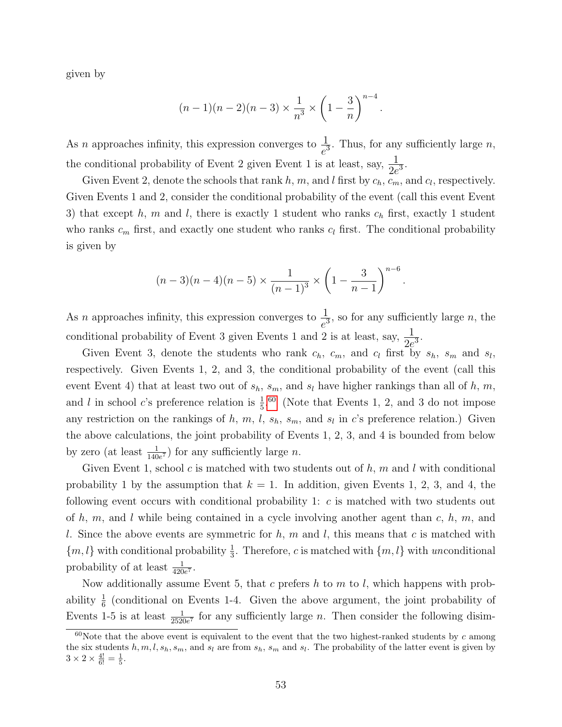given by

$$
(n-1)(n-2)(n-3) \times \frac{1}{n^3} \times \left(1 - \frac{3}{n}\right)^{n-4}.
$$

As *n* approaches infinity, this expression converges to  $\frac{1}{e^3}$ . Thus, for any sufficiently large *n*, the conditional probability of Event 2 given Event 1 is at least, say,  $\frac{1}{2e^3}$ .

Given Event 2, denote the schools that rank h, m, and l first by  $c_h$ ,  $c_m$ , and  $c_l$ , respectively. Given Events 1 and 2, consider the conditional probability of the event (call this event Event 3) that except h, m and l, there is exactly 1 student who ranks  $c_h$  first, exactly 1 student who ranks  $c_m$  first, and exactly one student who ranks  $c_l$  first. The conditional probability is given by

$$
(n-3)(n-4)(n-5) \times \frac{1}{(n-1)^3} \times \left(1 - \frac{3}{n-1}\right)^{n-6}.
$$

As *n* approaches infinity, this expression converges to  $\frac{1}{e^3}$ , so for any sufficiently large *n*, the conditional probability of Event 3 given Events 1 and 2 is at least, say,  $\frac{1}{2e^3}$ .

Given Event 3, denote the students who rank  $c_h$ ,  $c_m$ , and  $c_l$  first by  $s_h$ ,  $s_m$  and  $s_l$ , respectively. Given Events 1, 2, and 3, the conditional probability of the event (call this event Event 4) that at least two out of  $s_h$ ,  $s_m$ , and  $s_l$  have higher rankings than all of h, m, and l in school c's preference relation is  $\frac{1}{5}$ .<sup>[60](#page-52-0)</sup> (Note that Events 1, 2, and 3 do not impose any restriction on the rankings of h, m, l,  $s_h$ ,  $s_m$ , and  $s_l$  in c's preference relation.) Given the above calculations, the joint probability of Events 1, 2, 3, and 4 is bounded from below by zero (at least  $\frac{1}{140e^7}$ ) for any sufficiently large *n*.

Given Event 1, school c is matched with two students out of  $h$ , m and  $l$  with conditional probability 1 by the assumption that  $k = 1$ . In addition, given Events 1, 2, 3, and 4, the following event occurs with conditional probability 1: c is matched with two students out of  $h, m$ , and  $l$  while being contained in a cycle involving another agent than  $c, h, m$ , and l. Since the above events are symmetric for  $h, m$  and  $l$ , this means that c is matched with  ${m, l}$  with conditional probability  $\frac{1}{3}$ . Therefore, c is matched with  ${m, l}$  with unconditional probability of at least  $\frac{1}{420e^7}$ .

Now additionally assume Event 5, that c prefers h to m to l, which happens with probability  $\frac{1}{6}$  (conditional on Events 1-4. Given the above argument, the joint probability of Events 1-5 is at least  $\frac{1}{2520e^7}$  for any sufficiently large *n*. Then consider the following disim-

<span id="page-52-0"></span> $60$ Note that the above event is equivalent to the event that the two highest-ranked students by c among the six students  $h, m, l, s_h, s_m$ , and  $s_l$  are from  $s_h$ ,  $s_m$  and  $s_l$ . The probability of the latter event is given by  $3 \times 2 \times \frac{4!}{6!} = \frac{1}{5}.$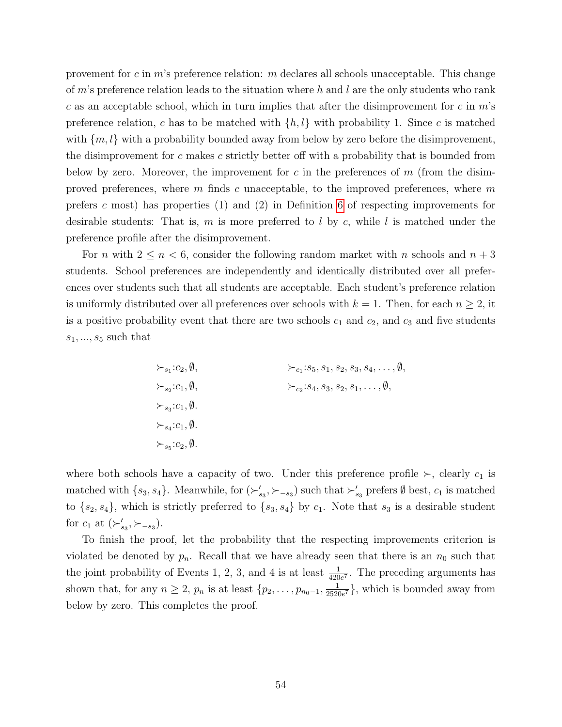provement for c in m's preference relation: m declares all schools unacceptable. This change of  $m$ 's preference relation leads to the situation where h and l are the only students who rank c as an acceptable school, which in turn implies that after the disimprovement for c in  $m$ 's preference relation, c has to be matched with  $\{h, l\}$  with probability 1. Since c is matched with  $\{m, l\}$  with a probability bounded away from below by zero before the disimprovement, the disimprovement for  $c$  makes  $c$  strictly better off with a probability that is bounded from below by zero. Moreover, the improvement for c in the preferences of  $m$  (from the disimproved preferences, where  $m$  finds  $c$  unacceptable, to the improved preferences, where  $m$ prefers c most) has properties  $(1)$  and  $(2)$  in Definition [6](#page-27-2) of respecting improvements for desirable students: That is,  $m$  is more preferred to  $l$  by  $c$ , while  $l$  is matched under the preference profile after the disimprovement.

For *n* with  $2 \le n < 6$ , consider the following random market with *n* schools and  $n + 3$ students. School preferences are independently and identically distributed over all preferences over students such that all students are acceptable. Each student's preference relation is uniformly distributed over all preferences over schools with  $k = 1$ . Then, for each  $n \geq 2$ , it is a positive probability event that there are two schools  $c_1$  and  $c_2$ , and  $c_3$  and five students  $s_1, ..., s_5$  such that

$$
\succ_{s_1}:c_2,\emptyset,
$$
  
\n
$$
\succ_{c_1}:s_5,s_1,s_2,s_3,s_4,\ldots,\emptyset,
$$
  
\n
$$
\succ_{s_2}:c_1,\emptyset,
$$
  
\n
$$
\succ_{c_2}:s_4,s_3,s_2,s_1,\ldots,\emptyset,
$$
  
\n
$$
\succ_{s_3}:c_1,\emptyset.
$$
  
\n
$$
\succ_{s_4}:c_1,\emptyset.
$$
  
\n
$$
\succ_{s_5}:c_2,\emptyset.
$$

where both schools have a capacity of two. Under this preference profile  $\succ$ , clearly  $c_1$  is matched with  $\{s_3, s_4\}$ . Meanwhile, for  $(\succ_{s_3}'', \succ_{-s_3})$  such that  $\succ'_{s_3}$  prefers  $\emptyset$  best,  $c_1$  is matched to  $\{s_2, s_4\}$ , which is strictly preferred to  $\{s_3, s_4\}$  by  $c_1$ . Note that  $s_3$  is a desirable student for  $c_1$  at  $(\succ'_{s_3}, \succ_{-s_3})$ .

To finish the proof, let the probability that the respecting improvements criterion is violated be denoted by  $p_n$ . Recall that we have already seen that there is an  $n_0$  such that the joint probability of Events 1, 2, 3, and 4 is at least  $\frac{1}{420e^7}$ . The preceding arguments has shown that, for any  $n \geq 2$ ,  $p_n$  is at least  $\{p_2, \ldots, p_{n_0-1}, \frac{1}{2520}\}$  $\frac{1}{2520e^7}$ , which is bounded away from below by zero. This completes the proof.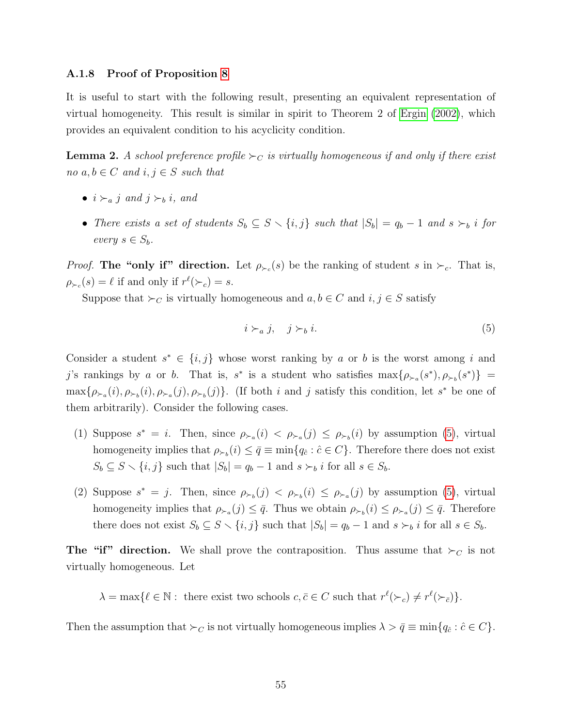#### <span id="page-54-0"></span>A.1.8 Proof of Proposition [8](#page-30-0)

It is useful to start with the following result, presenting an equivalent representation of virtual homogeneity. This result is similar in spirit to Theorem 2 of [Ergin \(2002\)](#page-37-4), which provides an equivalent condition to his acyclicity condition.

<span id="page-54-2"></span>**Lemma 2.** A school preference profile  $\succ_C$  is virtually homogeneous if and only if there exist no  $a, b \in C$  and  $i, j \in S$  such that

- $i \succ_a i$  and  $i \succ_b i$ , and
- There exists a set of students  $S_b \subseteq S \setminus \{i, j\}$  such that  $|S_b| = q_b 1$  and  $s \succ_b i$  for every  $s \in S_b$ .

*Proof.* The "only if" direction. Let  $\rho_{\succ c}(s)$  be the ranking of student s in  $\succ_{c}$ . That is,  $\rho_{\succ_c}(s) = \ell$  if and only if  $r^{\ell}(\succ_c) = s$ .

Suppose that  $\succ_C$  is virtually homogeneous and  $a, b \in C$  and  $i, j \in S$  satisfy

<span id="page-54-1"></span>
$$
i \succ_a j, \quad j \succ_b i. \tag{5}
$$

Consider a student  $s^* \in \{i, j\}$  whose worst ranking by a or b is the worst among i and j's rankings by a or b. That is, s<sup>\*</sup> is a student who satisfies  $\max{\{\rho_{\succ_a}(s^*)$ ,  $\rho_{\succ_b}(s^*)\}}$  =  $\max{\{\rho_{\succ_a}(i), \rho_{\succ_b}(i), \rho_{\succ_a}(j), \rho_{\succ_b}(j)\}}$ . (If both *i* and *j* satisfy this condition, let *s*<sup>\*</sup> be one of them arbitrarily). Consider the following cases.

- (1) Suppose  $s^* = i$ . Then, since  $\rho_{\succ_a}(i) < \rho_{\succ_a}(j) \leq \rho_{\succ_b}(i)$  by assumption [\(5\)](#page-54-1), virtual homogeneity implies that  $\rho_{\succ_b}(i) \leq \bar{q} \equiv \min\{q_{\hat{c}} : \hat{c} \in C\}$ . Therefore there does not exist  $S_b \subseteq S \setminus \{i, j\}$  such that  $|S_b| = q_b - 1$  and  $s \succ_b i$  for all  $s \in S_b$ .
- (2) Suppose  $s^* = j$ . Then, since  $\rho_{\succ_b}(j) < \rho_{\succ_b}(i) \leq \rho_{\succ_a}(j)$  by assumption [\(5\)](#page-54-1), virtual homogeneity implies that  $\rho_{\succ_a}(j) \leq \bar{q}$ . Thus we obtain  $\rho_{\succ_b}(i) \leq \rho_{\succ_a}(j) \leq \bar{q}$ . Therefore there does not exist  $S_b \subseteq S \setminus \{i, j\}$  such that  $|S_b| = q_b - 1$  and  $s \succ_b i$  for all  $s \in S_b$ .

The "if" direction. We shall prove the contraposition. Thus assume that  $\succ_C$  is not virtually homogeneous. Let

 $\lambda = \max\{ \ell \in \mathbb{N} : \text{ there exist two schools } c, \overline{c} \in C \text{ such that } r^{\ell}(\succ_c) \neq r^{\ell}(\succ_{\overline{c}})\}.$ 

Then the assumption that  $\succ_C$  is not virtually homogeneous implies  $\lambda > \bar{q} \equiv \min\{q_{\hat{c}} : \hat{c} \in C\}.$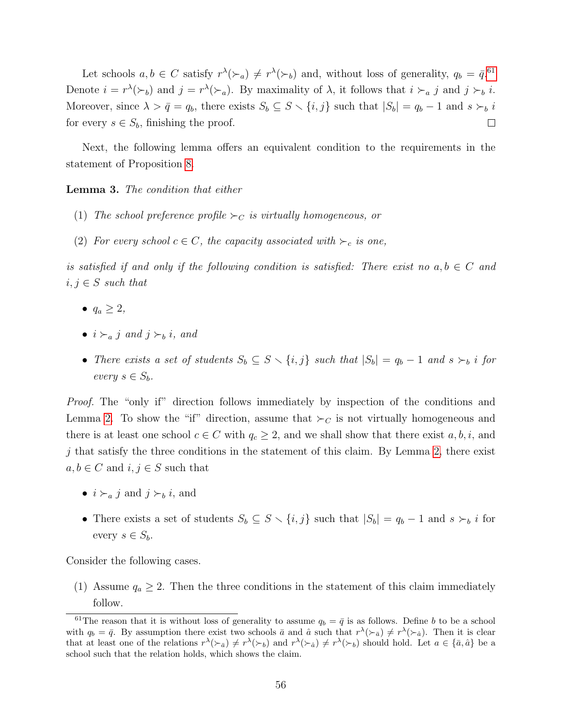Let schools  $a, b \in C$  satisfy  $r^{\lambda}(\succ_a) \neq r^{\lambda}(\succ_b)$  and, without loss of generality,  $q_b = \bar{q}^{.61}$  $q_b = \bar{q}^{.61}$  $q_b = \bar{q}^{.61}$ Denote  $i = r^{\lambda}(\succ_b)$  and  $j = r^{\lambda}(\succ_a)$ . By maximality of  $\lambda$ , it follows that  $i \succ_a j$  and  $j \succ_b i$ . Moreover, since  $\lambda > \bar{q} = q_b$ , there exists  $S_b \subseteq S \setminus \{i, j\}$  such that  $|S_b| = q_b - 1$  and  $s \succ_b i$ for every  $s \in S_b$ , finishing the proof.  $\Box$ 

Next, the following lemma offers an equivalent condition to the requirements in the statement of Proposition [8.](#page-30-0)

<span id="page-55-1"></span>Lemma 3. The condition that either

- (1) The school preference profile  $\succ_C$  is virtually homogeneous, or
- (2) For every school  $c \in C$ , the capacity associated with  $\succ_c$  is one,

is satisfied if and only if the following condition is satisfied: There exist no  $a, b \in C$  and  $i, j \in S$  such that

- $\bullet$   $q_a \geq 2$ ,
- $i \succ_{\alpha} j$  and  $j \succ_{\alpha} i$ , and
- There exists a set of students  $S_b \subseteq S \setminus \{i, j\}$  such that  $|S_b| = q_b 1$  and  $s \succ_b i$  for every  $s \in S_b$ .

*Proof.* The "only if" direction follows immediately by inspection of the conditions and Lemma [2.](#page-54-2) To show the "if" direction, assume that  $\succ_C$  is not virtually homogeneous and there is at least one school  $c \in C$  with  $q_c \geq 2$ , and we shall show that there exist  $a, b, i$ , and  $j$  that satisfy the three conditions in the statement of this claim. By Lemma [2,](#page-54-2) there exist  $a, b \in C$  and  $i, j \in S$  such that

- $i \succ_a j$  and  $j \succ_b i$ , and
- There exists a set of students  $S_b \subseteq S \setminus \{i, j\}$  such that  $|S_b| = q_b 1$  and  $s \succ_b i$  for every  $s \in S_b$ .

Consider the following cases.

(1) Assume  $q_a \geq 2$ . Then the three conditions in the statement of this claim immediately follow.

<span id="page-55-0"></span><sup>&</sup>lt;sup>61</sup>The reason that it is without loss of generality to assume  $q_b = \bar{q}$  is as follows. Define b to be a school with  $q_b = \bar{q}$ . By assumption there exist two schools  $\bar{a}$  and  $\hat{a}$  such that  $r^{\lambda}(\succ_{\bar{a}}) \neq r^{\lambda}(\succ_{\hat{a}})$ . Then it is clear that at least one of the relations  $r^{\lambda}(\succ_{\bar{a}}) \neq r^{\lambda}(\succ_{b})$  and  $r^{\lambda}(\succ_{\hat{a}}) \neq r^{\lambda}(\succ_{b})$  should hold. Let  $a \in {\bar{a}, \hat{a}}$  be a school such that the relation holds, which shows the claim.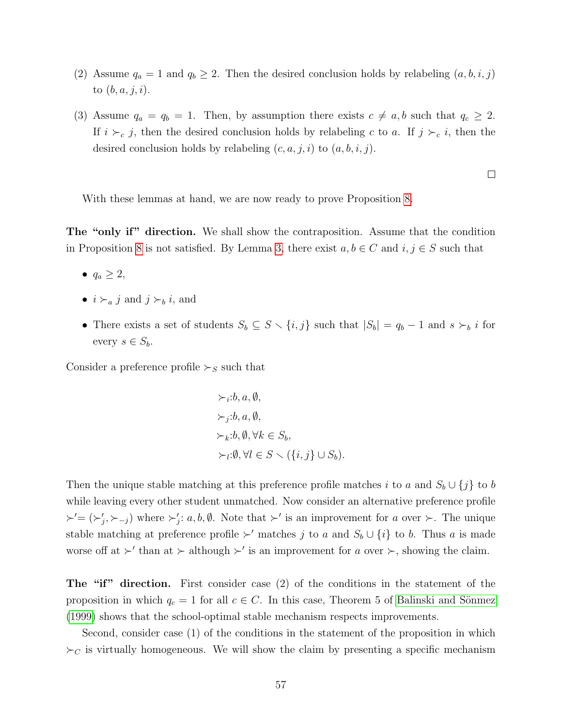- (2) Assume  $q_a = 1$  and  $q_b \geq 2$ . Then the desired conclusion holds by relabeling  $(a, b, i, j)$ to  $(b, a, j, i)$ .
- (3) Assume  $q_a = q_b = 1$ . Then, by assumption there exists  $c \neq a, b$  such that  $q_c \geq 2$ . If  $i \succ_c j$ , then the desired conclusion holds by relabeling c to a. If  $j \succ_c i$ , then the desired conclusion holds by relabeling  $(c, a, j, i)$  to  $(a, b, i, j)$ .

 $\Box$ 

With these lemmas at hand, we are now ready to prove Proposition [8.](#page-30-0)

The "only if" direction. We shall show the contraposition. Assume that the condition in Proposition [8](#page-30-0) is not satisfied. By Lemma [3,](#page-55-1) there exist  $a, b \in C$  and  $i, j \in S$  such that

- $\bullet$   $q_a \geq 2$ ,
- $i \succ_a j$  and  $j \succ_b i$ , and
- There exists a set of students  $S_b \subseteq S \setminus \{i, j\}$  such that  $|S_b| = q_b 1$  and  $s \succ_b i$  for every  $s \in S_b$ .

Consider a preference profile  $\succ_S$  such that

$$
\succ_i : b, a, \emptyset,
$$
  
\n
$$
\succ_j : b, a, \emptyset,
$$
  
\n
$$
\succ_k : b, \emptyset, \forall k \in S_b,
$$
  
\n
$$
\succ_l : \emptyset, \forall l \in S \setminus (\{i, j\} \cup S_b).
$$

Then the unique stable matching at this preference profile matches i to a and  $S_b \cup \{j\}$  to b while leaving every other student unmatched. Now consider an alternative preference profile  $\succ'=(\succ'_j,\succ_{-j})$  where  $\succ'_j: a, b, \emptyset$ . Note that  $\succ'$  is an improvement for a over  $\succ$ . The unique stable matching at preference profile  $\succ'$  matches j to a and  $S_b \cup \{i\}$  to b. Thus a is made worse off at  $\succ'$  than at  $\succ$  although  $\succ'$  is an improvement for a over  $\succ$ , showing the claim.

The "if" direction. First consider case (2) of the conditions in the statement of the proposition in which  $q_c = 1$  for all  $c \in C$ . In this case, Theorem 5 of Balinski and Sönmez [\(1999\)](#page-36-0) shows that the school-optimal stable mechanism respects improvements.

Second, consider case (1) of the conditions in the statement of the proposition in which  $\succ_C$  is virtually homogeneous. We will show the claim by presenting a specific mechanism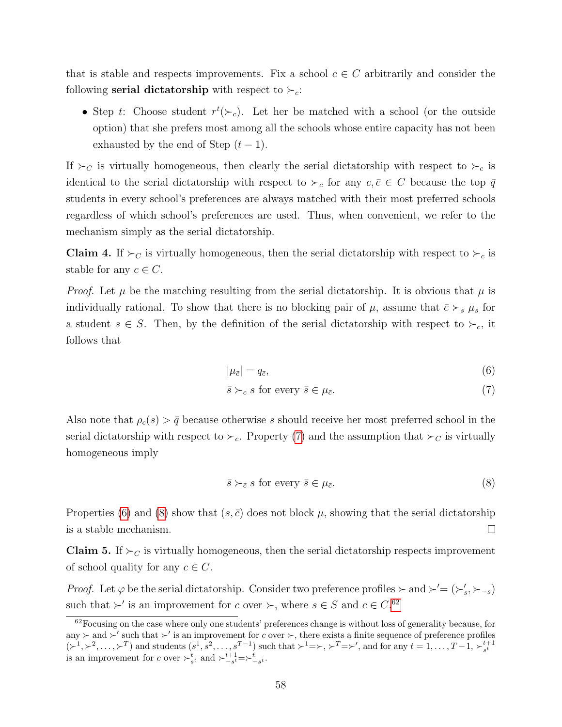that is stable and respects improvements. Fix a school  $c \in C$  arbitrarily and consider the following **serial dictatorship** with respect to  $\succ_c$ :

• Step t: Choose student  $r^t(\succ_c)$ . Let her be matched with a school (or the outside option) that she prefers most among all the schools whose entire capacity has not been exhausted by the end of Step  $(t-1)$ .

If  $\succ_C$  is virtually homogeneous, then clearly the serial dictatorship with respect to  $\succ_c$  is identical to the serial dictatorship with respect to  $\succ_{\bar{c}}$  for any  $c, \bar{c} \in C$  because the top  $\bar{q}$ students in every school's preferences are always matched with their most preferred schools regardless of which school's preferences are used. Thus, when convenient, we refer to the mechanism simply as the serial dictatorship.

<span id="page-57-5"></span>**Claim 4.** If  $\succ_C$  is virtually homogeneous, then the serial dictatorship with respect to  $\succ_c$  is stable for any  $c \in C$ .

*Proof.* Let  $\mu$  be the matching resulting from the serial dictatorship. It is obvious that  $\mu$  is individually rational. To show that there is no blocking pair of  $\mu$ , assume that  $\bar{c} \succ_s \mu_s$  for a student  $s \in S$ . Then, by the definition of the serial dictatorship with respect to  $\succ_{c}$ , it follows that

<span id="page-57-1"></span><span id="page-57-0"></span>
$$
|\mu_{\bar{c}}| = q_{\bar{c}},\tag{6}
$$

$$
\bar{s} \succ_c s \text{ for every } \bar{s} \in \mu_{\bar{c}}.\tag{7}
$$

Also note that  $\rho_c(s) > \bar{q}$  because otherwise s should receive her most preferred school in the serial dictatorship with respect to  $\succ_c$ . Property [\(7\)](#page-57-0) and the assumption that  $\succ_c$  is virtually homogeneous imply

<span id="page-57-2"></span>
$$
\bar{s} \succ_{\bar{c}} s \text{ for every } \bar{s} \in \mu_{\bar{c}}.\tag{8}
$$

Properties [\(6\)](#page-57-1) and [\(8\)](#page-57-2) show that  $(s, \bar{c})$  does not block  $\mu$ , showing that the serial dictatorship is a stable mechanism.  $\Box$ 

<span id="page-57-4"></span>**Claim 5.** If  $\succ_C$  is virtually homogeneous, then the serial dictatorship respects improvement of school quality for any  $c \in C$ .

*Proof.* Let  $\varphi$  be the serial dictatorship. Consider two preference profiles  $\succ$  and  $\succ' = (\succ'_{s}, \succ_{-s})$ such that  $\succ'$  is an improvement for c over  $\succ$ , where  $s \in S$  and  $c \in C$ .<sup>[62](#page-57-3)</sup>

<span id="page-57-3"></span><sup>&</sup>lt;sup>62</sup>Focusing on the case where only one students' preferences change is without loss of generality because, for any  $\succ$  and  $\succ'$  such that  $\succ'$  is an improvement for c over  $\succ$ , there exists a finite sequence of preference profiles  $(\succ^1, \succ^2, \ldots, \succ^T)$  and students  $(s^1, s^2, \ldots, s^{T-1})$  such that  $\succ^1 = \succ, \succ^T = \succ'$ , and for any  $t = 1, \ldots, T-1, \succ^{t+1}_{s^t}$  is an improvement for c over  $\succ^t_{s^t}$  and  $\succ^{t+1}_{-s^t} = \succ^t_{-s^t}$ .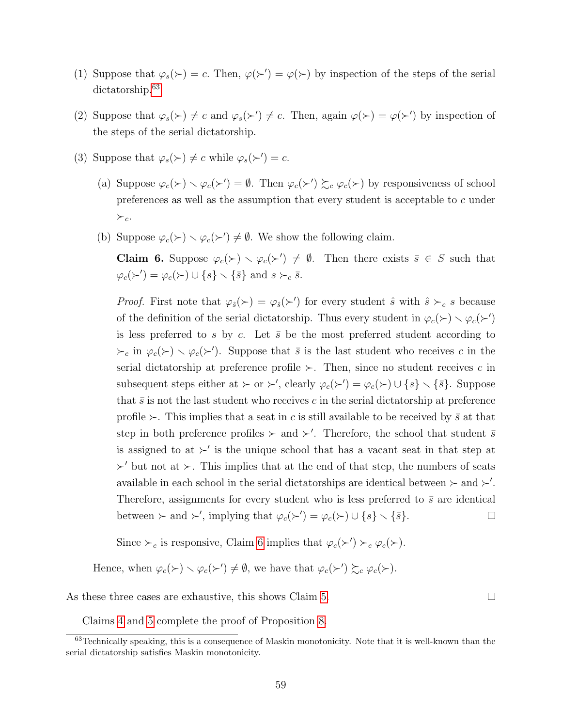- (1) Suppose that  $\varphi_s(\succ) = c$ . Then,  $\varphi(\succ') = \varphi(\succ)$  by inspection of the steps of the serial dictatorship.<sup>[63](#page-58-0)</sup>
- (2) Suppose that  $\varphi_s(\succ) \neq c$  and  $\varphi_s(\succ') \neq c$ . Then, again  $\varphi(\succ) = \varphi(\succ')$  by inspection of the steps of the serial dictatorship.
- (3) Suppose that  $\varphi_s(\succ) \neq c$  while  $\varphi_s(\succ') = c$ .
	- (a) Suppose  $\varphi_c(\succ) \setminus \varphi_c(\succ') = \emptyset$ . Then  $\varphi_c(\succ') \succsim_c \varphi_c(\succ)$  by responsiveness of school preferences as well as the assumption that every student is acceptable to c under  $\succ_c$ .
	- (b) Suppose  $\varphi_c(\succ) \setminus \varphi_c(\succ') \neq \emptyset$ . We show the following claim.

<span id="page-58-1"></span>**Claim 6.** Suppose  $\varphi_c(\succ) \setminus \varphi_c(\succ') \neq \emptyset$ . Then there exists  $\bar{s} \in S$  such that  $\varphi_c(\succ') = \varphi_c(\succ) \cup \{s\} \setminus {\bar{s}}$  and  $s \succ_c \bar{s}$ .

*Proof.* First note that  $\varphi_{\hat{s}}(\succ) = \varphi_{\hat{s}}(\succ')$  for every student  $\hat{s}$  with  $\hat{s} \succ_c s$  because of the definition of the serial dictatorship. Thus every student in  $\varphi_c(\succ) \setminus \varphi_c(\succ')$ is less preferred to s by c. Let  $\bar{s}$  be the most preferred student according to  $\succ_c$  in  $\varphi_c(\succ) \setminus \varphi_c(\succ')$ . Suppose that  $\bar{s}$  is the last student who receives c in the serial dictatorship at preference profile  $\succ$ . Then, since no student receives c in subsequent steps either at  $\succ$  or  $\succ'$ , clearly  $\varphi_c(\succ') = \varphi_c(\succ) \cup \{s\} \setminus {\bar{s}}$ . Suppose that  $\bar{s}$  is not the last student who receives c in the serial dictatorship at preference profile  $\succ$ . This implies that a seat in c is still available to be received by  $\bar{s}$  at that step in both preference profiles  $\succ$  and  $\succ'$ . Therefore, the school that student  $\bar{s}$ is assigned to at  $\succ'$  is the unique school that has a vacant seat in that step at  $\succ'$  but not at  $\succ$ . This implies that at the end of that step, the numbers of seats available in each school in the serial dictatorships are identical between  $\succ$  and  $\succ'$ . Therefore, assignments for every student who is less preferred to  $\bar{s}$  are identical between  $\succ$  and  $\succ'$ , implying that  $\varphi_c(\succ') = \varphi_c(\succ) \cup \{s\} \setminus {\bar{s}}$ .  $\Box$ 

Since  $\succ_c$  is responsive, Claim [6](#page-58-1) implies that  $\varphi_c(\succ') \succ_c \varphi_c(\succ)$ .

Hence, when  $\varphi_c(\succ) \setminus \varphi_c(\succ') \neq \emptyset$ , we have that  $\varphi_c(\succ') \succsim_c \varphi_c(\succ)$ .

As these three cases are exhaustive, this shows Claim [5.](#page-57-4)

 $\Box$ 

<span id="page-58-0"></span>Claims [4](#page-57-5) and [5](#page-57-4) complete the proof of Proposition [8.](#page-30-0)

<sup>63</sup>Technically speaking, this is a consequence of Maskin monotonicity. Note that it is well-known than the serial dictatorship satisfies Maskin monotonicity.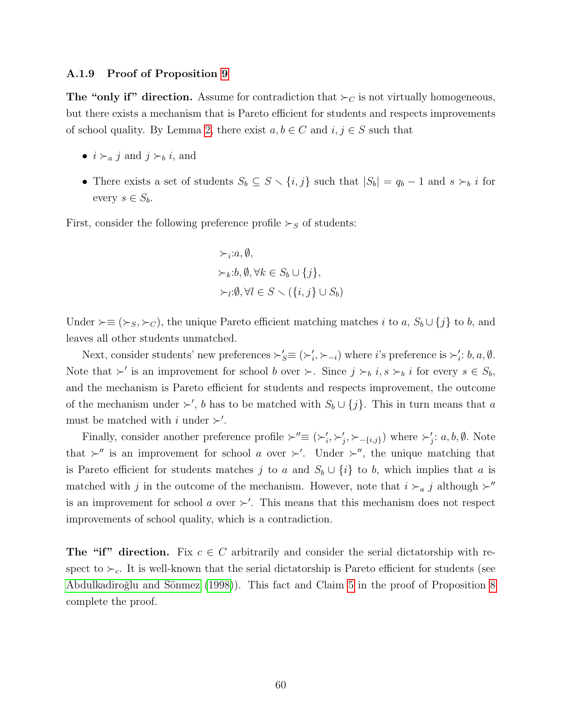#### <span id="page-59-0"></span>A.1.9 Proof of Proposition [9](#page-31-0)

The "only if" direction. Assume for contradiction that  $\succ_C$  is not virtually homogeneous, but there exists a mechanism that is Pareto efficient for students and respects improvements of school quality. By Lemma [2,](#page-54-2) there exist  $a, b \in C$  and  $i, j \in S$  such that

- $i \succ_a j$  and  $j \succ_b i$ , and
- There exists a set of students  $S_b \subseteq S \setminus \{i, j\}$  such that  $|S_b| = q_b 1$  and  $s \succ_b i$  for every  $s \in S_b$ .

First, consider the following preference profile  $\succ_S$  of students:

$$
\succ_i: a, \emptyset,
$$
  
\n
$$
\succ_k: b, \emptyset, \forall k \in S_b \cup \{j\},
$$
  
\n
$$
\succ_l: \emptyset, \forall l \in S \setminus (\{i, j\} \cup S_b)
$$

Under  $\succ ≡ (\succ_S, \succ_C)$ , the unique Pareto efficient matching matches *i* to *a*,  $S_b \cup \{j\}$  to *b*, and leaves all other students unmatched.

Next, consider students' new preferences  $\succ'_S \equiv (\succ'_i, \succ_{-i})$  where *i*'s preference is  $\succ'_i$ : *b*, *a*,  $\emptyset$ . Note that  $\succ'$  is an improvement for school b over  $\succ$ . Since  $j \succ_b i, s \succ_b i$  for every  $s \in S_b$ , and the mechanism is Pareto efficient for students and respects improvement, the outcome of the mechanism under  $\succ'$ , b has to be matched with  $S_b \cup \{j\}$ . This in turn means that a must be matched with i under  $\succ'$ .

Finally, consider another preference profile  $\succ'' \equiv (\succ_i', \succ_j', \succ_{-\{i,j\}})$  where  $\succ_j' : a, b, \emptyset$ . Note that  $\succ''$  is an improvement for school a over  $\succ'$ . Under  $\succ''$ , the unique matching that is Pareto efficient for students matches j to a and  $S_b \cup \{i\}$  to b, which implies that a is matched with j in the outcome of the mechanism. However, note that  $i \succ_a j$  although  $\succ''$ is an improvement for school a over  $\succ'$ . This means that this mechanism does not respect improvements of school quality, which is a contradiction.

**The "if" direction.** Fix  $c \in C$  arbitrarily and consider the serial dictatorship with respect to  $\succ_c$ . It is well-known that the serial dictatorship is Pareto efficient for students (see Abdulkadiroğlu and Sönmez (1998)). This fact and Claim [5](#page-57-4) in the proof of Proposition [8](#page-30-0) complete the proof.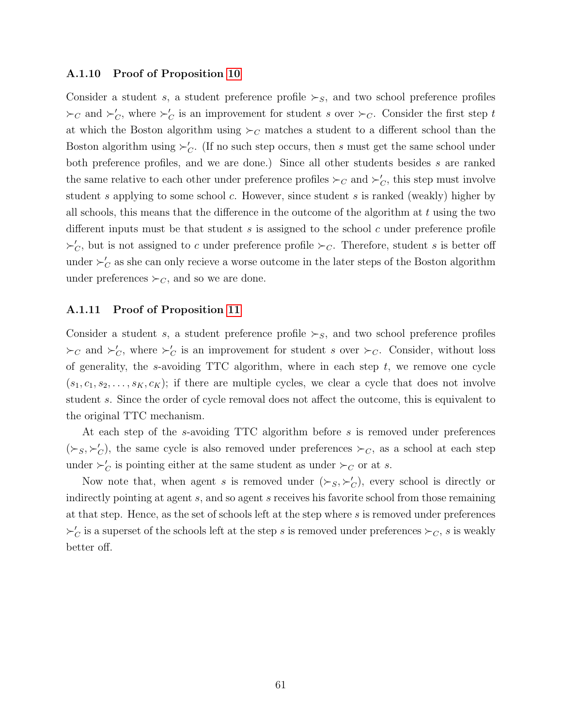#### <span id="page-60-0"></span>A.1.10 Proof of Proposition [10](#page-33-2)

Consider a student s, a student preference profile  $\succ_S$ , and two school preference profiles  $\succ_C$  and  $\succ_C'$ , where  $\succ_C'$  is an improvement for student s over  $\succ_C$ . Consider the first step t at which the Boston algorithm using  $\succ_C$  matches a student to a different school than the Boston algorithm using  $\succ_C'$ . (If no such step occurs, then s must get the same school under both preference profiles, and we are done.) Since all other students besides s are ranked the same relative to each other under preference profiles  $\succ_C$  and  $\succ'_{C}$ , this step must involve student s applying to some school c. However, since student s is ranked (weakly) higher by all schools, this means that the difference in the outcome of the algorithm at  $t$  using the two different inputs must be that student s is assigned to the school c under preference profile  $\succ_C$ , but is not assigned to c under preference profile  $\succ_C$ . Therefore, student s is better off under  $\succ_C'$  as she can only recieve a worse outcome in the later steps of the Boston algorithm under preferences  $\succ_C$ , and so we are done.

#### <span id="page-60-1"></span>A.1.11 Proof of Proposition [11](#page-33-3)

Consider a student s, a student preference profile  $\succ_S$ , and two school preference profiles  $\succ_C$  and  $\succ_C'$ , where  $\succ_C'$  is an improvement for student s over  $\succ_C$ . Consider, without loss of generality, the s-avoiding  $TTC$  algorithm, where in each step  $t$ , we remove one cycle  $(s_1, c_1, s_2, \ldots, s_K, c_K)$ ; if there are multiple cycles, we clear a cycle that does not involve student s. Since the order of cycle removal does not affect the outcome, this is equivalent to the original TTC mechanism.

At each step of the s-avoiding TTC algorithm before s is removed under preferences  $({\succ}_S,{\succ}'_C)$ , the same cycle is also removed under preferences  ${\succ}_C$ , as a school at each step under  $\succ_C'$  is pointing either at the same student as under  $\succ_C$  or at s.

Now note that, when agent s is removed under  $(\succ_S, \succ_C')$ , every school is directly or indirectly pointing at agent s, and so agent s receives his favorite school from those remaining at that step. Hence, as the set of schools left at the step where s is removed under preferences  $\succ_C'$  is a superset of the schools left at the step s is removed under preferences  $\succ_C$ , s is weakly better off.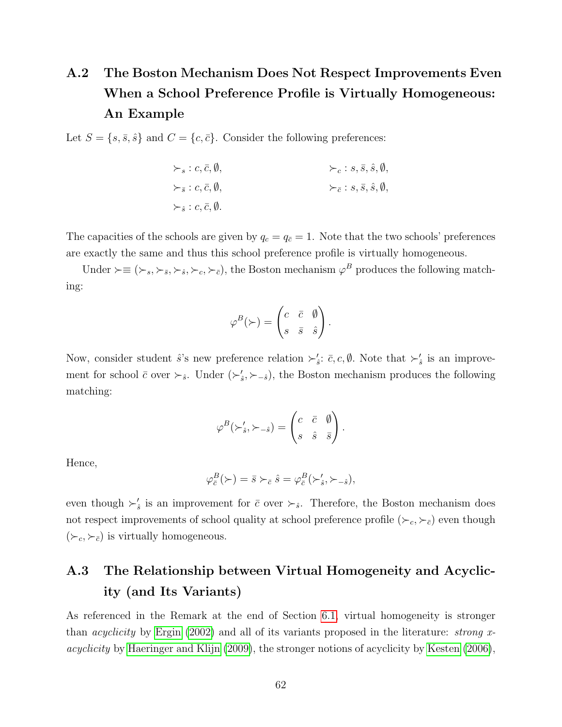# <span id="page-61-0"></span>A.2 The Boston Mechanism Does Not Respect Improvements Even When a School Preference Profile is Virtually Homogeneous: An Example

Let  $S = \{s, \bar{s}, \hat{s}\}\$  and  $C = \{c, \bar{c}\}\$ . Consider the following preferences:

$$
\succ_{s}: c, \overline{c}, \emptyset,
$$
  
\n
$$
\succ_{\overline{s}}: c, \overline{c}, \emptyset,
$$
  
\n
$$
\succ_{\overline{c}}: s, \overline{s}, \hat{s}, \emptyset,
$$
  
\n
$$
\succ_{\overline{c}}: s, \overline{s}, \hat{s}, \emptyset,
$$
  
\n
$$
\succ_{\overline{c}}: s, \overline{s}, \hat{s}, \emptyset,
$$

The capacities of the schools are given by  $q_c = q_{\bar{c}} = 1$ . Note that the two schools' preferences are exactly the same and thus this school preference profile is virtually homogeneous.

Under  $\succ ≡ (\succ_s, \succ_{\bar{s}}, \succ_{\hat{s}}, \succ_{c}, \succ_{\bar{c}})$ , the Boston mechanism  $\varphi^B$  produces the following matching:

$$
\varphi^{B}(\succ) = \begin{pmatrix} c & \overline{c} & \emptyset \\ s & \overline{s} & \hat{s} \end{pmatrix}.
$$

Now, consider student  $\hat{s}$ 's new preference relation  $\succ_{\hat{s}}$ :  $\bar{c}$ ,  $c$ ,  $\emptyset$ . Note that  $\succ_{\hat{s}}'$  is an improvement for school  $\bar{c}$  over  $\succ_{\hat{s}}$ . Under  $(\succ'_{\hat{s}}, \succ_{-\hat{s}})$ , the Boston mechanism produces the following matching:

$$
\varphi^{B}(\succ_{\hat{s}}', \succ_{-\hat{s}}) = \begin{pmatrix} c & \bar{c} & \emptyset \\ s & \hat{s} & \bar{s} \end{pmatrix}.
$$

Hence,

$$
\varphi_{\bar{c}}^B(\succ) = \bar{s} \succ_{\bar{c}} \hat{s} = \varphi_{\bar{c}}^B(\succ'_{\hat{s}}, \succ_{-\hat{s}}),
$$

even though  $\succ'_{\hat{s}}$  is an improvement for  $\bar{c}$  over  $\succ_{\hat{s}}$ . Therefore, the Boston mechanism does not respect improvements of school quality at school preference profile  $(\succ_c, \succ_{\bar{c}})$  even though  $(\succ_c, \succ_{\bar{c}})$  is virtually homogeneous.

# <span id="page-61-1"></span>A.3 The Relationship between Virtual Homogeneity and Acyclicity (and Its Variants)

As referenced in the Remark at the end of Section [6.1,](#page-29-1) virtual homogeneity is stronger than *acyclicity* by [Ergin \(2002\)](#page-37-4) and all of its variants proposed in the literature: *strong x*acyclicity by [Haeringer and Klijn \(2009\)](#page-37-6), the stronger notions of acyclicity by [Kesten \(2006\)](#page-37-5),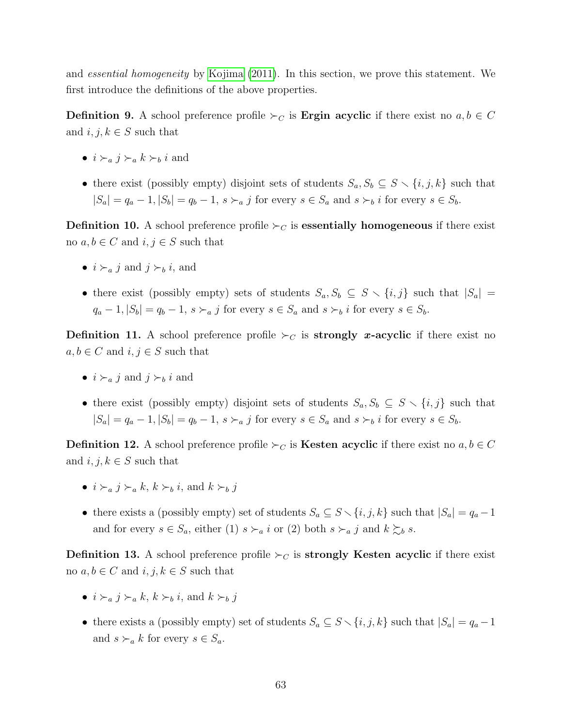and essential homogeneity by [Kojima \(2011\)](#page-37-11). In this section, we prove this statement. We first introduce the definitions of the above properties.

**Definition 9.** A school preference profile  $\succ_C$  is **Ergin acyclic** if there exist no  $a, b \in C$ and  $i, j, k \in S$  such that

- $i \succ_a j \succ_a k \succ_b i$  and
- there exist (possibly empty) disjoint sets of students  $S_a, S_b \subseteq S \setminus \{i, j, k\}$  such that  $|S_a| = q_a - 1, |S_b| = q_b - 1, s \succ_a j$  for every  $s \in S_a$  and  $s \succ_b i$  for every  $s \in S_b$ .

**Definition 10.** A school preference profile  $\succ_C$  is **essentially homogeneous** if there exist no  $a, b \in C$  and  $i, j \in S$  such that

- $i \succ_a i$  and  $j \succ_b i$ , and
- there exist (possibly empty) sets of students  $S_a, S_b \subseteq S \setminus \{i, j\}$  such that  $|S_a|$  =  $q_a - 1, |S_b| = q_b - 1, s \succ_a j$  for every  $s \in S_a$  and  $s \succ_b i$  for every  $s \in S_b$ .

**Definition 11.** A school preference profile  $\succ_C$  is **strongly x-acyclic** if there exist no  $a, b \in C$  and  $i, j \in S$  such that

- $i \succ_a j$  and  $j \succ_b i$  and
- there exist (possibly empty) disjoint sets of students  $S_a, S_b \subseteq S \setminus \{i, j\}$  such that  $|S_a| = q_a - 1, |S_b| = q_b - 1, s \succ_a j$  for every  $s \in S_a$  and  $s \succ_b i$  for every  $s \in S_b$ .

**Definition 12.** A school preference profile  $\succ_C$  is **Kesten acyclic** if there exist no  $a, b \in C$ and  $i, j, k \in S$  such that

- $i \succ_a i \succ_a k$ ,  $k \succ_b i$ , and  $k \succ_b i$
- there exists a (possibly empty) set of students  $S_a \subseteq S \setminus \{i, j, k\}$  such that  $|S_a| = q_a 1$ and for every  $s \in S_a$ , either (1)  $s \succ_a i$  or (2) both  $s \succ_a j$  and  $k \succsim_b s$ .

**Definition 13.** A school preference profile  $\succ_C$  is **strongly Kesten acyclic** if there exist no  $a, b \in C$  and  $i, j, k \in S$  such that

- $i \succ_a j \succ_a k$ ,  $k \succ_b i$ , and  $k \succ_b j$
- there exists a (possibly empty) set of students  $S_a \subseteq S \setminus \{i, j, k\}$  such that  $|S_a| = q_a 1$ and  $s \succ_a k$  for every  $s \in S_a$ .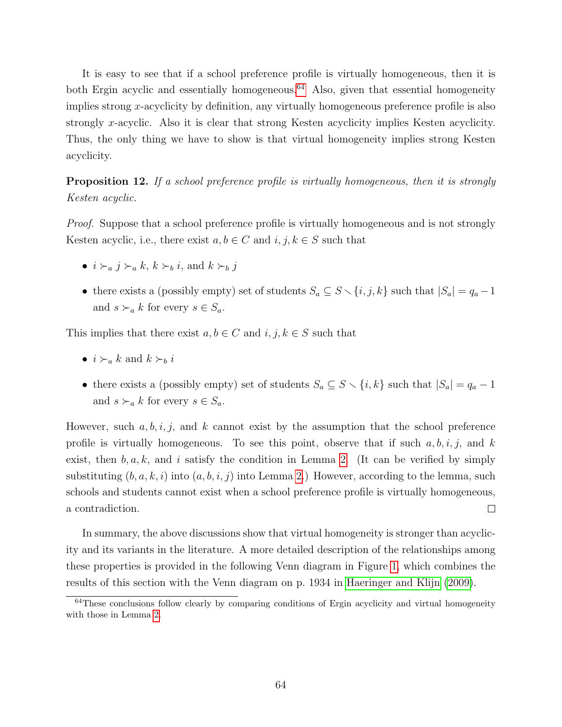It is easy to see that if a school preference profile is virtually homogeneous, then it is both Ergin acyclic and essentially homogeneous.<sup>[64](#page-63-0)</sup> Also, given that essential homogeneity implies strong  $x$ -acyclicity by definition, any virtually homogeneous preference profile is also strongly x-acyclic. Also it is clear that strong Kesten acyclicity implies Kesten acyclicity. Thus, the only thing we have to show is that virtual homogeneity implies strong Kesten acyclicity.

**Proposition 12.** If a school preference profile is virtually homogeneous, then it is strongly Kesten acyclic.

Proof. Suppose that a school preference profile is virtually homogeneous and is not strongly Kesten acyclic, i.e., there exist  $a, b \in C$  and  $i, j, k \in S$  such that

- $i \succ_a j \succ_a k$ ,  $k \succ_b i$ , and  $k \succ_b j$
- there exists a (possibly empty) set of students  $S_a \subseteq S \setminus \{i, j, k\}$  such that  $|S_a| = q_a 1$ and  $s \succ_a k$  for every  $s \in S_a$ .

This implies that there exist  $a, b \in C$  and  $i, j, k \in S$  such that

- $i \succ_a k$  and  $k \succ_b i$
- there exists a (possibly empty) set of students  $S_a \subseteq S \setminus \{i, k\}$  such that  $|S_a| = q_a 1$ and  $s \succ_a k$  for every  $s \in S_a$ .

However, such  $a, b, i, j$ , and k cannot exist by the assumption that the school preference profile is virtually homogeneous. To see this point, observe that if such  $a, b, i, j$ , and  $k$ exist, then  $b, a, k$ , and i satisfy the condition in Lemma [2.](#page-54-2) (It can be verified by simply substituting  $(b, a, k, i)$  into  $(a, b, i, j)$  into Lemma [2.](#page-54-2)) However, according to the lemma, such schools and students cannot exist when a school preference profile is virtually homogeneous, a contradiction.  $\Box$ 

In summary, the above discussions show that virtual homogeneity is stronger than acyclicity and its variants in the literature. A more detailed description of the relationships among these properties is provided in the following Venn diagram in Figure [1,](#page-64-1) which combines the results of this section with the Venn diagram on p. 1934 in [Haeringer and Klijn \(2009\)](#page-37-6).

<span id="page-63-0"></span><sup>&</sup>lt;sup>64</sup>These conclusions follow clearly by comparing conditions of Ergin acyclicity and virtual homogeneity with those in Lemma [2.](#page-54-2)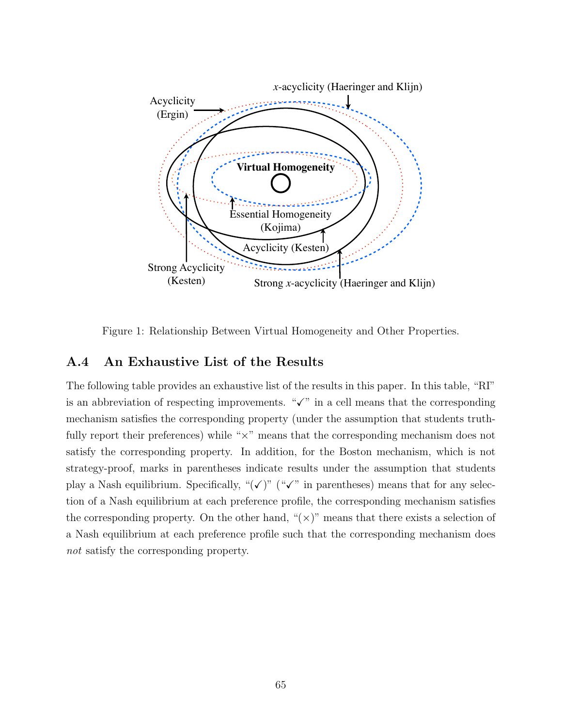

<span id="page-64-1"></span>Figure 1: Relationship Between Virtual Homogeneity and Other Properties.

### <span id="page-64-0"></span>A.4 An Exhaustive List of the Results

The following table provides an exhaustive list of the results in this paper. In this table, "RI" is an abbreviation of respecting improvements. " $\checkmark$ " in a cell means that the corresponding mechanism satisfies the corresponding property (under the assumption that students truthfully report their preferences) while " $\times$ " means that the corresponding mechanism does not satisfy the corresponding property. In addition, for the Boston mechanism, which is not strategy-proof, marks in parentheses indicate results under the assumption that students play a Nash equilibrium. Specifically, " $(\checkmark)$ " (" $\checkmark$ " in parentheses) means that for any selection of a Nash equilibrium at each preference profile, the corresponding mechanism satisfies the corresponding property. On the other hand, " $(x)$ " means that there exists a selection of a Nash equilibrium at each preference profile such that the corresponding mechanism does not satisfy the corresponding property.